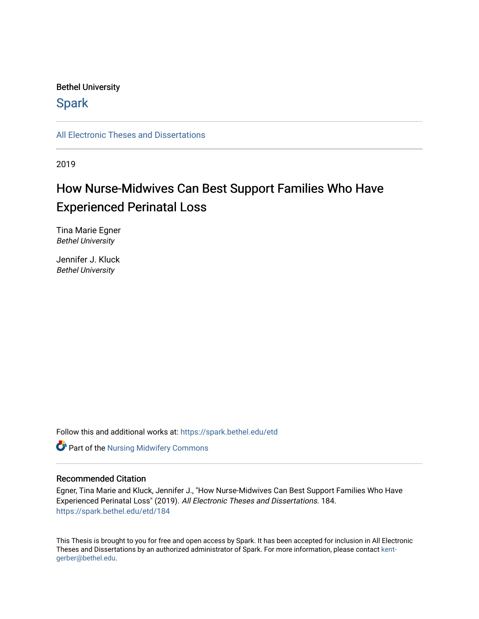## Bethel University

# **Spark**

[All Electronic Theses and Dissertations](https://spark.bethel.edu/etd) 

2019

# How Nurse-Midwives Can Best Support Families Who Have Experienced Perinatal Loss

Tina Marie Egner Bethel University

Jennifer J. Kluck Bethel University

Follow this and additional works at: [https://spark.bethel.edu/etd](https://spark.bethel.edu/etd?utm_source=spark.bethel.edu%2Fetd%2F184&utm_medium=PDF&utm_campaign=PDFCoverPages)

**Part of the Nursing Midwifery Commons** 

## Recommended Citation

Egner, Tina Marie and Kluck, Jennifer J., "How Nurse-Midwives Can Best Support Families Who Have Experienced Perinatal Loss" (2019). All Electronic Theses and Dissertations. 184. [https://spark.bethel.edu/etd/184](https://spark.bethel.edu/etd/184?utm_source=spark.bethel.edu%2Fetd%2F184&utm_medium=PDF&utm_campaign=PDFCoverPages)

This Thesis is brought to you for free and open access by Spark. It has been accepted for inclusion in All Electronic Theses and Dissertations by an authorized administrator of Spark. For more information, please contact [kent](mailto:kent-gerber@bethel.edu)[gerber@bethel.edu.](mailto:kent-gerber@bethel.edu)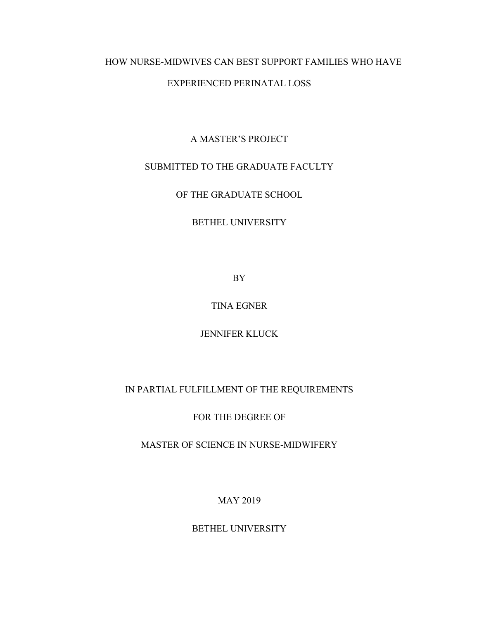# HOW NURSE-MIDWIVES CAN BEST SUPPORT FAMILIES WHO HAVE

## EXPERIENCED PERINATAL LOSS

# A MASTER'S PROJECT

## SUBMITTED TO THE GRADUATE FACULTY

OF THE GRADUATE SCHOOL

## BETHEL UNIVERSITY

BY

# TINA EGNER

# JENNIFER KLUCK

# IN PARTIAL FULFILLMENT OF THE REQUIREMENTS

# FOR THE DEGREE OF

# MASTER OF SCIENCE IN NURSE-MIDWIFERY

MAY 2019

# BETHEL UNIVERSITY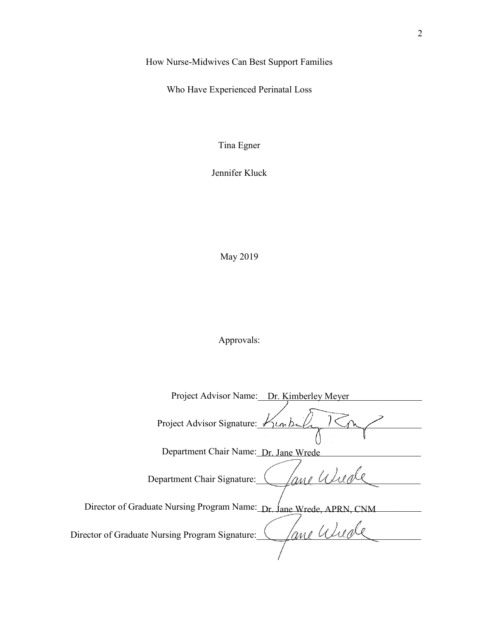How Nurse-Midwives Can Best Support Families

Who Have Experienced Perinatal Loss

Tina Egner

Jennifer Kluck

May 2019

Approvals: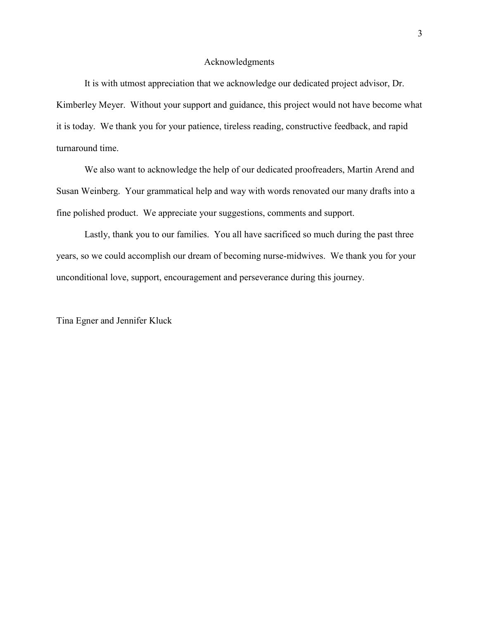### Acknowledgments

<span id="page-3-0"></span>It is with utmost appreciation that we acknowledge our dedicated project advisor, Dr. Kimberley Meyer. Without your support and guidance, this project would not have become what it is today. We thank you for your patience, tireless reading, constructive feedback, and rapid turnaround time.

We also want to acknowledge the help of our dedicated proofreaders, Martin Arend and Susan Weinberg. Your grammatical help and way with words renovated our many drafts into a fine polished product. We appreciate your suggestions, comments and support.

Lastly, thank you to our families. You all have sacrificed so much during the past three years, so we could accomplish our dream of becoming nurse-midwives. We thank you for your unconditional love, support, encouragement and perseverance during this journey.

Tina Egner and Jennifer Kluck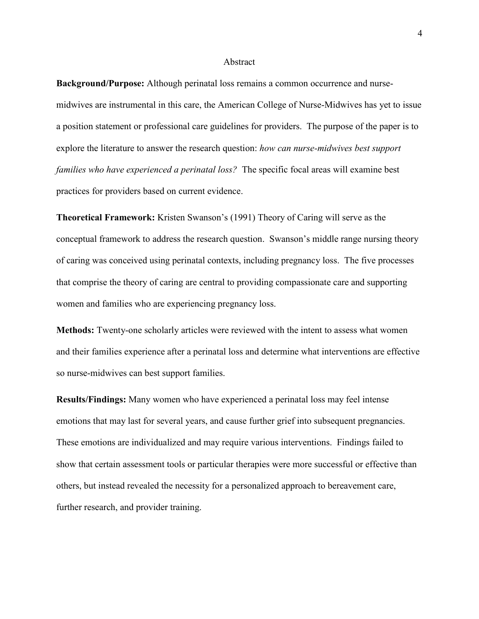#### Abstract

<span id="page-4-0"></span>**Background/Purpose:** Although perinatal loss remains a common occurrence and nursemidwives are instrumental in this care, the American College of Nurse-Midwives has yet to issue a position statement or professional care guidelines for providers. The purpose of the paper is to explore the literature to answer the research question: *how can nurse-midwives best support families who have experienced a perinatal loss?* The specific focal areas will examine best practices for providers based on current evidence.

**Theoretical Framework:** Kristen Swanson's (1991) Theory of Caring will serve as the conceptual framework to address the research question. Swanson's middle range nursing theory of caring was conceived using perinatal contexts, including pregnancy loss. The five processes that comprise the theory of caring are central to providing compassionate care and supporting women and families who are experiencing pregnancy loss.

**Methods:** Twenty-one scholarly articles were reviewed with the intent to assess what women and their families experience after a perinatal loss and determine what interventions are effective so nurse-midwives can best support families.

**Results/Findings:** Many women who have experienced a perinatal loss may feel intense emotions that may last for several years, and cause further grief into subsequent pregnancies. These emotions are individualized and may require various interventions. Findings failed to show that certain assessment tools or particular therapies were more successful or effective than others, but instead revealed the necessity for a personalized approach to bereavement care, further research, and provider training.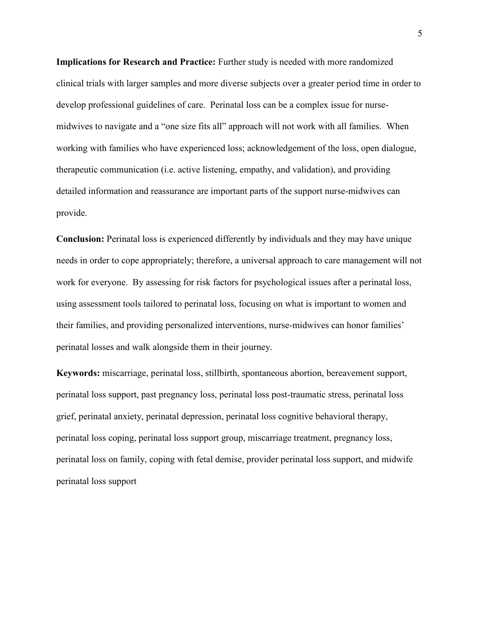**Implications for Research and Practice:** Further study is needed with more randomized clinical trials with larger samples and more diverse subjects over a greater period time in order to develop professional guidelines of care. Perinatal loss can be a complex issue for nursemidwives to navigate and a "one size fits all" approach will not work with all families. When working with families who have experienced loss; acknowledgement of the loss, open dialogue, therapeutic communication (i.e. active listening, empathy, and validation), and providing detailed information and reassurance are important parts of the support nurse-midwives can provide.

**Conclusion:** Perinatal loss is experienced differently by individuals and they may have unique needs in order to cope appropriately; therefore, a universal approach to care management will not work for everyone. By assessing for risk factors for psychological issues after a perinatal loss, using assessment tools tailored to perinatal loss, focusing on what is important to women and their families, and providing personalized interventions, nurse-midwives can honor families' perinatal losses and walk alongside them in their journey.

**Keywords:** miscarriage, perinatal loss, stillbirth, spontaneous abortion, bereavement support, perinatal loss support, past pregnancy loss, perinatal loss post-traumatic stress, perinatal loss grief, perinatal anxiety, perinatal depression, perinatal loss cognitive behavioral therapy, perinatal loss coping, perinatal loss support group, miscarriage treatment, pregnancy loss, perinatal loss on family, coping with fetal demise, provider perinatal loss support, and midwife perinatal loss support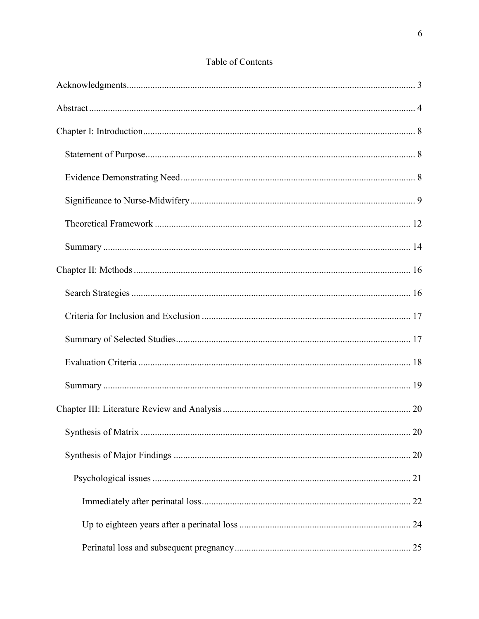| Table of Contents |  |
|-------------------|--|
|-------------------|--|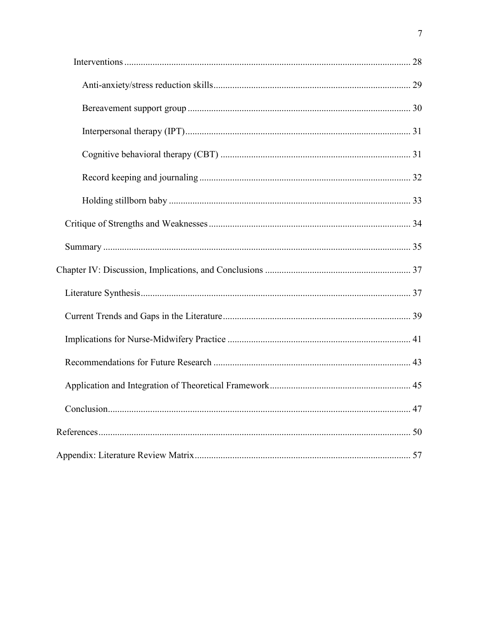| 47 |
|----|
|    |
|    |
|    |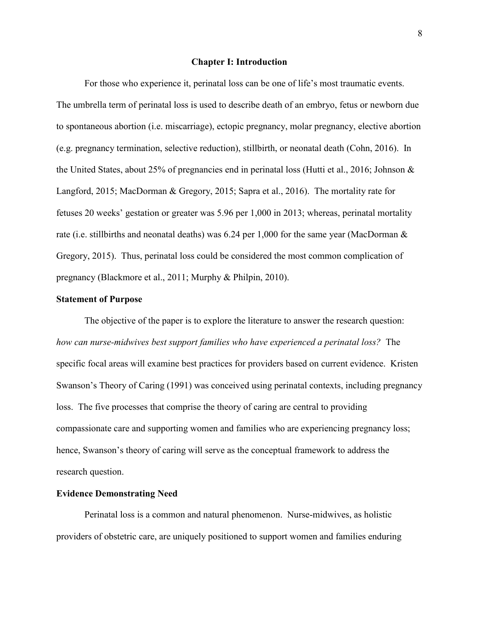#### **Chapter I: Introduction**

<span id="page-8-0"></span>For those who experience it, perinatal loss can be one of life's most traumatic events. The umbrella term of perinatal loss is used to describe death of an embryo, fetus or newborn due to spontaneous abortion (i.e. miscarriage), ectopic pregnancy, molar pregnancy, elective abortion (e.g. pregnancy termination, selective reduction), stillbirth, or neonatal death (Cohn, 2016). In the United States, about 25% of pregnancies end in perinatal loss (Hutti et al., 2016; Johnson & Langford, 2015; MacDorman & Gregory, 2015; Sapra et al., 2016). The mortality rate for fetuses 20 weeks' gestation or greater was 5.96 per 1,000 in 2013; whereas, perinatal mortality rate (i.e. stillbirths and neonatal deaths) was 6.24 per 1,000 for the same year (MacDorman & Gregory, 2015). Thus, perinatal loss could be considered the most common complication of pregnancy (Blackmore et al., 2011; Murphy & Philpin, 2010).

## <span id="page-8-1"></span>**Statement of Purpose**

The objective of the paper is to explore the literature to answer the research question: *how can nurse-midwives best support families who have experienced a perinatal loss?* The specific focal areas will examine best practices for providers based on current evidence. Kristen Swanson's Theory of Caring (1991) was conceived using perinatal contexts, including pregnancy loss. The five processes that comprise the theory of caring are central to providing compassionate care and supporting women and families who are experiencing pregnancy loss; hence, Swanson's theory of caring will serve as the conceptual framework to address the research question.

# <span id="page-8-2"></span>**Evidence Demonstrating Need**

Perinatal loss is a common and natural phenomenon. Nurse-midwives, as holistic providers of obstetric care, are uniquely positioned to support women and families enduring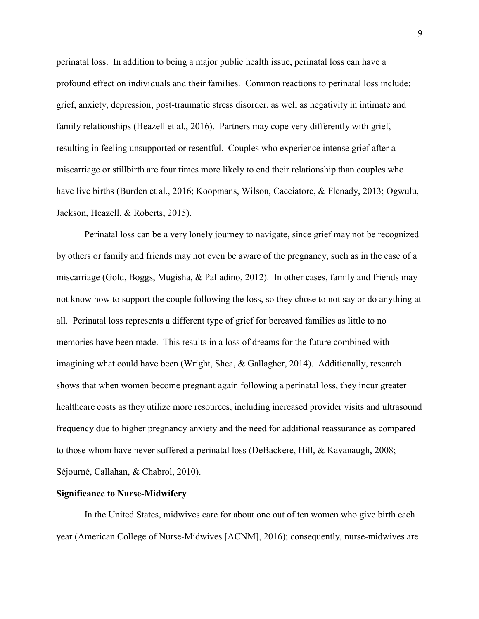perinatal loss. In addition to being a major public health issue, perinatal loss can have a profound effect on individuals and their families. Common reactions to perinatal loss include: grief, anxiety, depression, post-traumatic stress disorder, as well as negativity in intimate and family relationships (Heazell et al., 2016). Partners may cope very differently with grief, resulting in feeling unsupported or resentful. Couples who experience intense grief after a miscarriage or stillbirth are four times more likely to end their relationship than couples who have live births (Burden et al., 2016; Koopmans, Wilson, Cacciatore, & Flenady, 2013; Ogwulu, Jackson, Heazell, & Roberts, 2015).

Perinatal loss can be a very lonely journey to navigate, since grief may not be recognized by others or family and friends may not even be aware of the pregnancy, such as in the case of a miscarriage (Gold, Boggs, Mugisha, & Palladino, 2012). In other cases, family and friends may not know how to support the couple following the loss, so they chose to not say or do anything at all. Perinatal loss represents a different type of grief for bereaved families as little to no memories have been made. This results in a loss of dreams for the future combined with imagining what could have been (Wright, Shea, & Gallagher, 2014). Additionally, research shows that when women become pregnant again following a perinatal loss, they incur greater healthcare costs as they utilize more resources, including increased provider visits and ultrasound frequency due to higher pregnancy anxiety and the need for additional reassurance as compared to those whom have never suffered a perinatal loss (DeBackere, Hill, & Kavanaugh, 2008; Séjourné, Callahan, & Chabrol, 2010).

## <span id="page-9-0"></span>**Significance to Nurse-Midwifery**

In the United States, midwives care for about one out of ten women who give birth each year (American College of Nurse-Midwives [ACNM], 2016); consequently, nurse-midwives are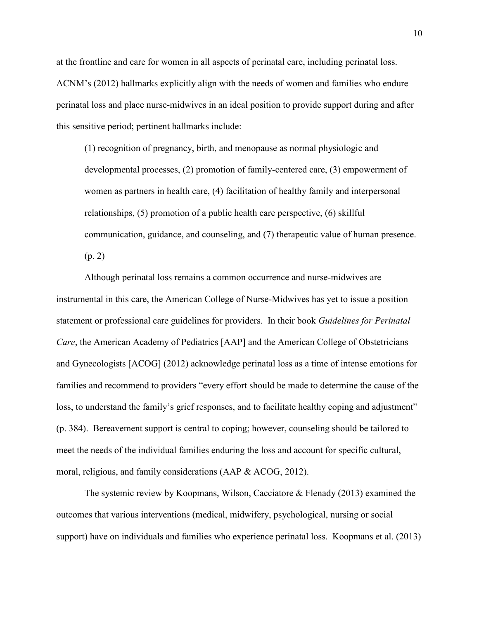at the frontline and care for women in all aspects of perinatal care, including perinatal loss. ACNM's (2012) hallmarks explicitly align with the needs of women and families who endure perinatal loss and place nurse-midwives in an ideal position to provide support during and after this sensitive period; pertinent hallmarks include:

(1) recognition of pregnancy, birth, and menopause as normal physiologic and developmental processes, (2) promotion of family-centered care, (3) empowerment of women as partners in health care, (4) facilitation of healthy family and interpersonal relationships, (5) promotion of a public health care perspective, (6) skillful communication, guidance, and counseling, and (7) therapeutic value of human presence. (p. 2)

Although perinatal loss remains a common occurrence and nurse-midwives are instrumental in this care, the American College of Nurse-Midwives has yet to issue a position statement or professional care guidelines for providers. In their book *Guidelines for Perinatal Care*, the American Academy of Pediatrics [AAP] and the American College of Obstetricians and Gynecologists [ACOG] (2012) acknowledge perinatal loss as a time of intense emotions for families and recommend to providers "every effort should be made to determine the cause of the loss, to understand the family's grief responses, and to facilitate healthy coping and adjustment" (p. 384). Bereavement support is central to coping; however, counseling should be tailored to meet the needs of the individual families enduring the loss and account for specific cultural, moral, religious, and family considerations (AAP & ACOG, 2012).

The systemic review by Koopmans, Wilson, Cacciatore & Flenady (2013) examined the outcomes that various interventions (medical, midwifery, psychological, nursing or social support) have on individuals and families who experience perinatal loss. Koopmans et al. (2013)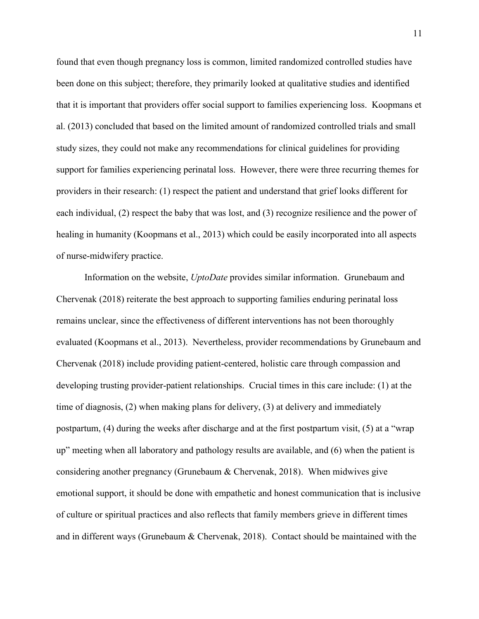found that even though pregnancy loss is common, limited randomized controlled studies have been done on this subject; therefore, they primarily looked at qualitative studies and identified that it is important that providers offer social support to families experiencing loss. Koopmans et al. (2013) concluded that based on the limited amount of randomized controlled trials and small study sizes, they could not make any recommendations for clinical guidelines for providing support for families experiencing perinatal loss. However, there were three recurring themes for providers in their research: (1) respect the patient and understand that grief looks different for each individual, (2) respect the baby that was lost, and (3) recognize resilience and the power of healing in humanity (Koopmans et al., 2013) which could be easily incorporated into all aspects of nurse-midwifery practice.

Information on the website, *UptoDate* provides similar information. Grunebaum and Chervenak (2018) reiterate the best approach to supporting families enduring perinatal loss remains unclear, since the effectiveness of different interventions has not been thoroughly evaluated (Koopmans et al., 2013). Nevertheless, provider recommendations by Grunebaum and Chervenak (2018) include providing patient-centered, holistic care through compassion and developing trusting provider-patient relationships. Crucial times in this care include: (1) at the time of diagnosis, (2) when making plans for delivery, (3) at delivery and immediately postpartum, (4) during the weeks after discharge and at the first postpartum visit, (5) at a "wrap up" meeting when all laboratory and pathology results are available, and (6) when the patient is considering another pregnancy (Grunebaum & Chervenak, 2018). When midwives give emotional support, it should be done with empathetic and honest communication that is inclusive of culture or spiritual practices and also reflects that family members grieve in different times and in different ways (Grunebaum & Chervenak, 2018). Contact should be maintained with the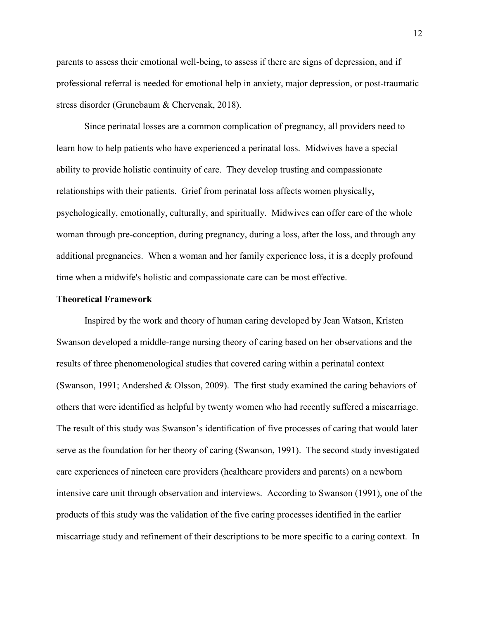parents to assess their emotional well-being, to assess if there are signs of depression, and if professional referral is needed for emotional help in anxiety, major depression, or post-traumatic stress disorder (Grunebaum & Chervenak, 2018).

Since perinatal losses are a common complication of pregnancy, all providers need to learn how to help patients who have experienced a perinatal loss. Midwives have a special ability to provide holistic continuity of care. They develop trusting and compassionate relationships with their patients. Grief from perinatal loss affects women physically, psychologically, emotionally, culturally, and spiritually. Midwives can offer care of the whole woman through pre-conception, during pregnancy, during a loss, after the loss, and through any additional pregnancies. When a woman and her family experience loss, it is a deeply profound time when a midwife's holistic and compassionate care can be most effective.

#### <span id="page-12-0"></span>**Theoretical Framework**

Inspired by the work and theory of human caring developed by Jean Watson, Kristen Swanson developed a middle-range nursing theory of caring based on her observations and the results of three phenomenological studies that covered caring within a perinatal context (Swanson, 1991; Andershed & Olsson, 2009). The first study examined the caring behaviors of others that were identified as helpful by twenty women who had recently suffered a miscarriage. The result of this study was Swanson's identification of five processes of caring that would later serve as the foundation for her theory of caring (Swanson, 1991). The second study investigated care experiences of nineteen care providers (healthcare providers and parents) on a newborn intensive care unit through observation and interviews. According to Swanson (1991), one of the products of this study was the validation of the five caring processes identified in the earlier miscarriage study and refinement of their descriptions to be more specific to a caring context. In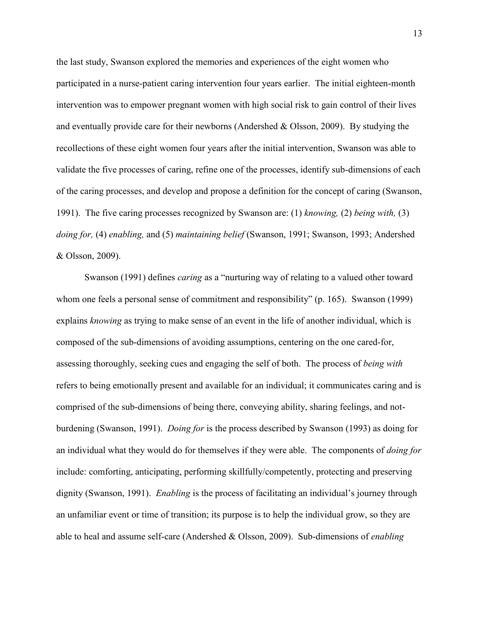the last study, Swanson explored the memories and experiences of the eight women who participated in a nurse-patient caring intervention four years earlier. The initial eighteen-month intervention was to empower pregnant women with high social risk to gain control of their lives and eventually provide care for their newborns (Andershed  $\&$  Olsson, 2009). By studying the recollections of these eight women four years after the initial intervention, Swanson was able to validate the five processes of caring, refine one of the processes, identify sub-dimensions of each of the caring processes, and develop and propose a definition for the concept of caring (Swanson, 1991). The five caring processes recognized by Swanson are: (1) *knowing,* (2) *being with,* (3) *doing for,* (4) *enabling,* and (5) *maintaining belief* (Swanson, 1991; Swanson, 1993; Andershed & Olsson, 2009).

Swanson (1991) defines *caring* as a "nurturing way of relating to a valued other toward whom one feels a personal sense of commitment and responsibility" (p. 165). Swanson (1999) explains *knowing* as trying to make sense of an event in the life of another individual, which is composed of the sub-dimensions of avoiding assumptions, centering on the one cared-for, assessing thoroughly, seeking cues and engaging the self of both. The process of *being with* refers to being emotionally present and available for an individual; it communicates caring and is comprised of the sub-dimensions of being there, conveying ability, sharing feelings, and notburdening (Swanson, 1991). *Doing for* is the process described by Swanson (1993) as doing for an individual what they would do for themselves if they were able. The components of *doing for* include: comforting, anticipating, performing skillfully/competently, protecting and preserving dignity (Swanson, 1991). *Enabling* is the process of facilitating an individual's journey through an unfamiliar event or time of transition; its purpose is to help the individual grow, so they are able to heal and assume self-care (Andershed & Olsson, 2009). Sub-dimensions of *enabling*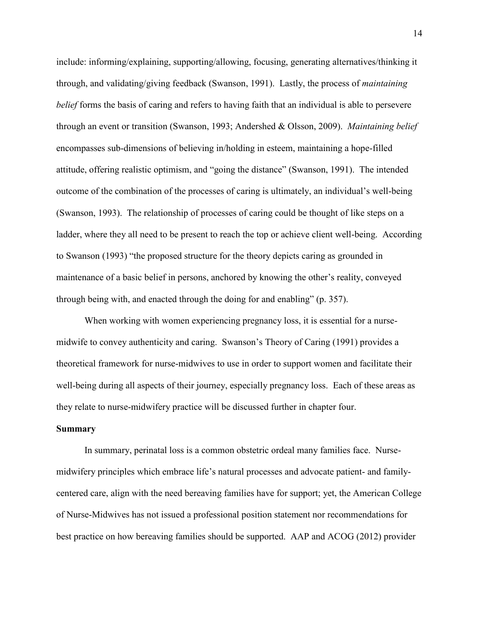include: informing/explaining, supporting/allowing, focusing, generating alternatives/thinking it through, and validating/giving feedback (Swanson, 1991). Lastly, the process of *maintaining belief* forms the basis of caring and refers to having faith that an individual is able to persevere through an event or transition (Swanson, 1993; Andershed & Olsson, 2009). *Maintaining belief* encompasses sub-dimensions of believing in/holding in esteem, maintaining a hope-filled attitude, offering realistic optimism, and "going the distance" (Swanson, 1991). The intended outcome of the combination of the processes of caring is ultimately, an individual's well-being (Swanson, 1993). The relationship of processes of caring could be thought of like steps on a ladder, where they all need to be present to reach the top or achieve client well-being. According to Swanson (1993) "the proposed structure for the theory depicts caring as grounded in maintenance of a basic belief in persons, anchored by knowing the other's reality, conveyed through being with, and enacted through the doing for and enabling" (p. 357).

When working with women experiencing pregnancy loss, it is essential for a nursemidwife to convey authenticity and caring. Swanson's Theory of Caring (1991) provides a theoretical framework for nurse-midwives to use in order to support women and facilitate their well-being during all aspects of their journey, especially pregnancy loss. Each of these areas as they relate to nurse-midwifery practice will be discussed further in chapter four.

#### <span id="page-14-0"></span>**Summary**

In summary, perinatal loss is a common obstetric ordeal many families face. Nursemidwifery principles which embrace life's natural processes and advocate patient- and familycentered care, align with the need bereaving families have for support; yet, the American College of Nurse-Midwives has not issued a professional position statement nor recommendations for best practice on how bereaving families should be supported. AAP and ACOG (2012) provider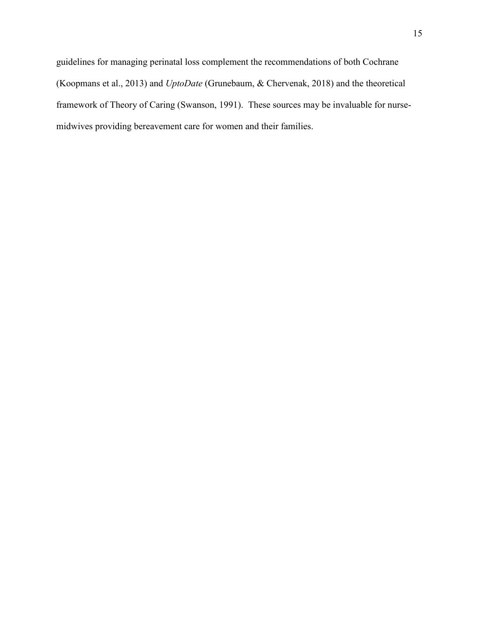guidelines for managing perinatal loss complement the recommendations of both Cochrane (Koopmans et al., 2013) and *UptoDate* (Grunebaum, & Chervenak, 2018) and the theoretical framework of Theory of Caring (Swanson, 1991). These sources may be invaluable for nursemidwives providing bereavement care for women and their families.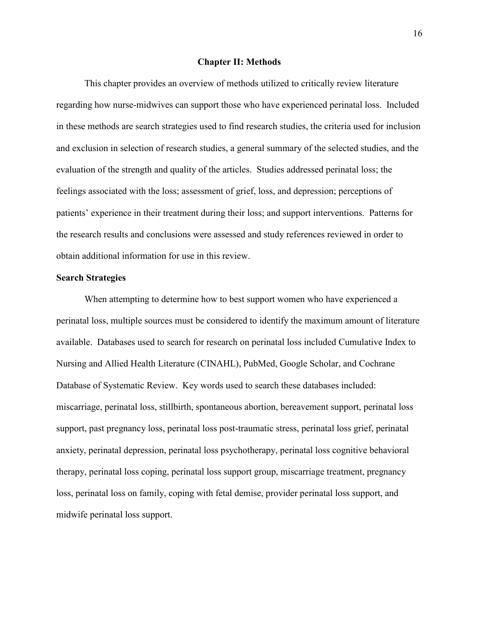### **Chapter II: Methods**

<span id="page-16-0"></span>This chapter provides an overview of methods utilized to critically review literature regarding how nurse-midwives can support those who have experienced perinatal loss. Included in these methods are search strategies used to find research studies, the criteria used for inclusion and exclusion in selection of research studies, a general summary of the selected studies, and the evaluation of the strength and quality of the articles. Studies addressed perinatal loss; the feelings associated with the loss; assessment of grief, loss, and depression; perceptions of patients' experience in their treatment during their loss; and support interventions. Patterns for the research results and conclusions were assessed and study references reviewed in order to obtain additional information for use in this review.

#### <span id="page-16-1"></span>**Search Strategies**

<span id="page-16-2"></span>When attempting to determine how to best support women who have experienced a perinatal loss, multiple sources must be considered to identify the maximum amount of literature available. Databases used to search for research on perinatal loss included Cumulative Index to Nursing and Allied Health Literature (CINAHL), PubMed, Google Scholar, and Cochrane Database of Systematic Review. Key words used to search these databases included: miscarriage, perinatal loss, stillbirth, spontaneous abortion, bereavement support, perinatal loss support, past pregnancy loss, perinatal loss post-traumatic stress, perinatal loss grief, perinatal anxiety, perinatal depression, perinatal loss psychotherapy, perinatal loss cognitive behavioral therapy, perinatal loss coping, perinatal loss support group, miscarriage treatment, pregnancy loss, perinatal loss on family, coping with fetal demise, provider perinatal loss support, and midwife perinatal loss support.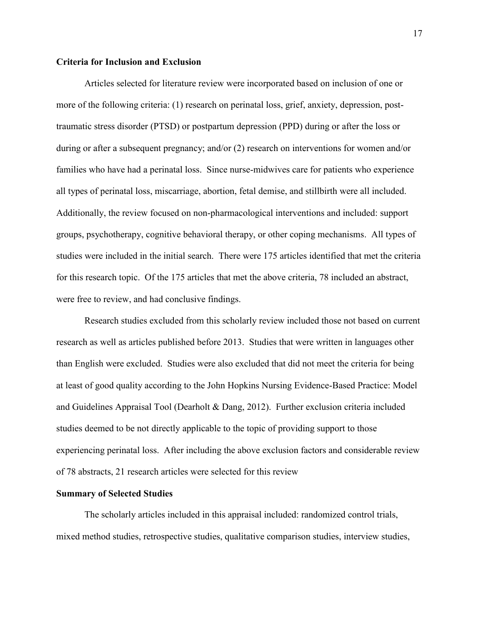## **Criteria for Inclusion and Exclusion**

Articles selected for literature review were incorporated based on inclusion of one or more of the following criteria: (1) research on perinatal loss, grief, anxiety, depression, posttraumatic stress disorder (PTSD) or postpartum depression (PPD) during or after the loss or during or after a subsequent pregnancy; and/or (2) research on interventions for women and/or families who have had a perinatal loss. Since nurse-midwives care for patients who experience all types of perinatal loss, miscarriage, abortion, fetal demise, and stillbirth were all included. Additionally, the review focused on non-pharmacological interventions and included: support groups, psychotherapy, cognitive behavioral therapy, or other coping mechanisms. All types of studies were included in the initial search. There were 175 articles identified that met the criteria for this research topic. Of the 175 articles that met the above criteria, 78 included an abstract, were free to review, and had conclusive findings.

Research studies excluded from this scholarly review included those not based on current research as well as articles published before 2013. Studies that were written in languages other than English were excluded. Studies were also excluded that did not meet the criteria for being at least of good quality according to the John Hopkins Nursing Evidence-Based Practice: Model and Guidelines Appraisal Tool (Dearholt & Dang, 2012). Further exclusion criteria included studies deemed to be not directly applicable to the topic of providing support to those experiencing perinatal loss. After including the above exclusion factors and considerable review of 78 abstracts, 21 research articles were selected for this review

## <span id="page-17-0"></span>**Summary of Selected Studies**

The scholarly articles included in this appraisal included: randomized control trials, mixed method studies, retrospective studies, qualitative comparison studies, interview studies,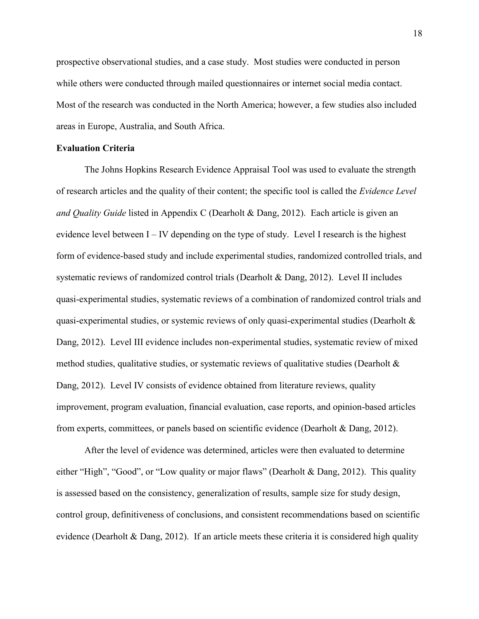prospective observational studies, and a case study. Most studies were conducted in person while others were conducted through mailed questionnaires or internet social media contact. Most of the research was conducted in the North America; however, a few studies also included areas in Europe, Australia, and South Africa.

## <span id="page-18-0"></span>**Evaluation Criteria**

The Johns Hopkins Research Evidence Appraisal Tool was used to evaluate the strength of research articles and the quality of their content; the specific tool is called the *Evidence Level and Quality Guide* listed in Appendix C (Dearholt & Dang, 2012). Each article is given an evidence level between  $I - IV$  depending on the type of study. Level I research is the highest form of evidence-based study and include experimental studies, randomized controlled trials, and systematic reviews of randomized control trials (Dearholt & Dang, 2012). Level II includes quasi-experimental studies, systematic reviews of a combination of randomized control trials and quasi-experimental studies, or systemic reviews of only quasi-experimental studies (Dearholt & Dang, 2012). Level III evidence includes non-experimental studies, systematic review of mixed method studies, qualitative studies, or systematic reviews of qualitative studies (Dearholt  $\&$ Dang, 2012). Level IV consists of evidence obtained from literature reviews, quality improvement, program evaluation, financial evaluation, case reports, and opinion-based articles from experts, committees, or panels based on scientific evidence (Dearholt & Dang, 2012).

After the level of evidence was determined, articles were then evaluated to determine either "High", "Good", or "Low quality or major flaws" (Dearholt & Dang, 2012). This quality is assessed based on the consistency, generalization of results, sample size for study design, control group, definitiveness of conclusions, and consistent recommendations based on scientific evidence (Dearholt & Dang, 2012). If an article meets these criteria it is considered high quality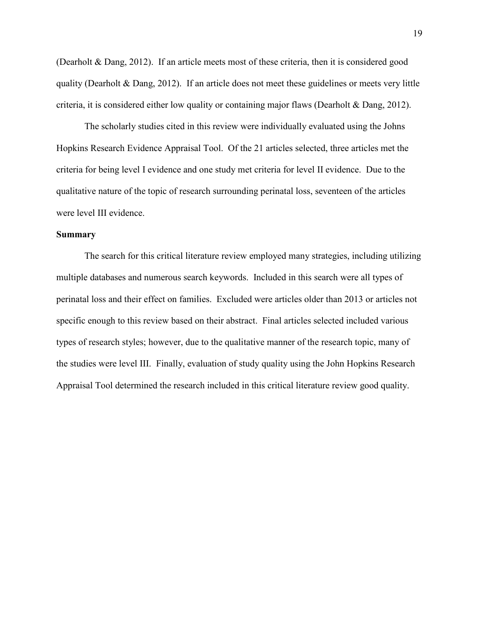(Dearholt & Dang, 2012). If an article meets most of these criteria, then it is considered good quality (Dearholt & Dang, 2012). If an article does not meet these guidelines or meets very little criteria, it is considered either low quality or containing major flaws (Dearholt & Dang, 2012).

The scholarly studies cited in this review were individually evaluated using the Johns Hopkins Research Evidence Appraisal Tool. Of the 21 articles selected, three articles met the criteria for being level I evidence and one study met criteria for level II evidence. Due to the qualitative nature of the topic of research surrounding perinatal loss, seventeen of the articles were level III evidence.

### <span id="page-19-0"></span>**Summary**

The search for this critical literature review employed many strategies, including utilizing multiple databases and numerous search keywords. Included in this search were all types of perinatal loss and their effect on families. Excluded were articles older than 2013 or articles not specific enough to this review based on their abstract. Final articles selected included various types of research styles; however, due to the qualitative manner of the research topic, many of the studies were level III. Finally, evaluation of study quality using the John Hopkins Research Appraisal Tool determined the research included in this critical literature review good quality.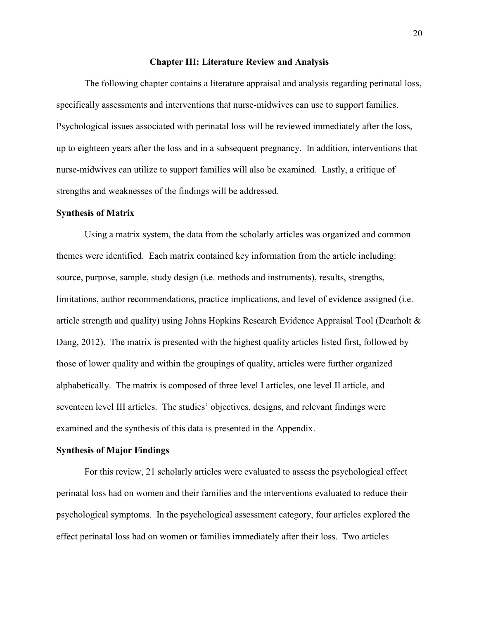#### **Chapter III: Literature Review and Analysis**

<span id="page-20-0"></span>The following chapter contains a literature appraisal and analysis regarding perinatal loss, specifically assessments and interventions that nurse-midwives can use to support families. Psychological issues associated with perinatal loss will be reviewed immediately after the loss, up to eighteen years after the loss and in a subsequent pregnancy. In addition, interventions that nurse-midwives can utilize to support families will also be examined. Lastly, a critique of strengths and weaknesses of the findings will be addressed.

#### <span id="page-20-1"></span>**Synthesis of Matrix**

Using a matrix system, the data from the scholarly articles was organized and common themes were identified. Each matrix contained key information from the article including: source, purpose, sample, study design (i.e. methods and instruments), results, strengths, limitations, author recommendations, practice implications, and level of evidence assigned (i.e. article strength and quality) using Johns Hopkins Research Evidence Appraisal Tool (Dearholt & Dang, 2012). The matrix is presented with the highest quality articles listed first, followed by those of lower quality and within the groupings of quality, articles were further organized alphabetically. The matrix is composed of three level I articles, one level II article, and seventeen level III articles. The studies' objectives, designs, and relevant findings were examined and the synthesis of this data is presented in the Appendix.

## <span id="page-20-2"></span>**Synthesis of Major Findings**

For this review, 21 scholarly articles were evaluated to assess the psychological effect perinatal loss had on women and their families and the interventions evaluated to reduce their psychological symptoms. In the psychological assessment category, four articles explored the effect perinatal loss had on women or families immediately after their loss. Two articles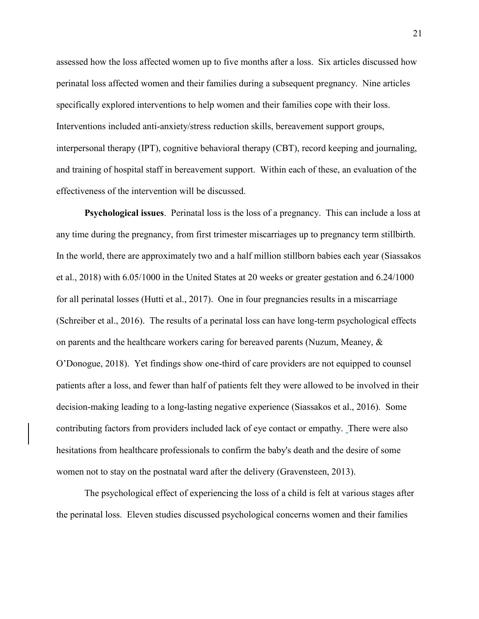assessed how the loss affected women up to five months after a loss. Six articles discussed how perinatal loss affected women and their families during a subsequent pregnancy. Nine articles specifically explored interventions to help women and their families cope with their loss. Interventions included anti-anxiety/stress reduction skills, bereavement support groups, interpersonal therapy (IPT), cognitive behavioral therapy (CBT), record keeping and journaling, and training of hospital staff in bereavement support. Within each of these, an evaluation of the effectiveness of the intervention will be discussed.

<span id="page-21-0"></span>**Psychological issues**. Perinatal loss is the loss of a pregnancy. This can include a loss at any time during the pregnancy, from first trimester miscarriages up to pregnancy term stillbirth. In the world, there are approximately two and a half million stillborn babies each year (Siassakos et al., 2018) with 6.05/1000 in the United States at 20 weeks or greater gestation and 6.24/1000 for all perinatal losses (Hutti et al., 2017). One in four pregnancies results in a miscarriage (Schreiber et al., 2016). The results of a perinatal loss can have long-term psychological effects on parents and the healthcare workers caring for bereaved parents (Nuzum, Meaney, & O'Donogue, 2018). Yet findings show one-third of care providers are not equipped to counsel patients after a loss, and fewer than half of patients felt they were allowed to be involved in their decision-making leading to a long-lasting negative experience (Siassakos et al., 2016). Some contributing factors from providers included lack of eye contact or empathy. There were also hesitations from healthcare professionals to confirm the baby's death and the desire of some women not to stay on the postnatal ward after the delivery (Gravensteen, 2013).

The psychological effect of experiencing the loss of a child is felt at various stages after the perinatal loss. Eleven studies discussed psychological concerns women and their families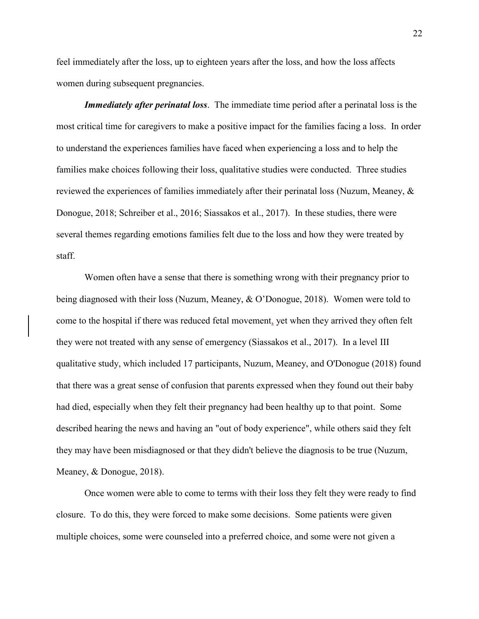feel immediately after the loss, up to eighteen years after the loss, and how the loss affects women during subsequent pregnancies.

<span id="page-22-0"></span>*Immediately after perinatal loss*. The immediate time period after a perinatal loss is the most critical time for caregivers to make a positive impact for the families facing a loss. In order to understand the experiences families have faced when experiencing a loss and to help the families make choices following their loss, qualitative studies were conducted. Three studies reviewed the experiences of families immediately after their perinatal loss (Nuzum, Meaney, & Donogue, 2018; Schreiber et al., 2016; Siassakos et al., 2017). In these studies, there were several themes regarding emotions families felt due to the loss and how they were treated by staff.

Women often have a sense that there is something wrong with their pregnancy prior to being diagnosed with their loss (Nuzum, Meaney, & O'Donogue, 2018). Women were told to come to the hospital if there was reduced fetal movement, yet when they arrived they often felt they were not treated with any sense of emergency (Siassakos et al., 2017). In a level III qualitative study, which included 17 participants, Nuzum, Meaney, and O'Donogue (2018) found that there was a great sense of confusion that parents expressed when they found out their baby had died, especially when they felt their pregnancy had been healthy up to that point. Some described hearing the news and having an "out of body experience", while others said they felt they may have been misdiagnosed or that they didn't believe the diagnosis to be true (Nuzum, Meaney, & Donogue, 2018).

Once women were able to come to terms with their loss they felt they were ready to find closure. To do this, they were forced to make some decisions. Some patients were given multiple choices, some were counseled into a preferred choice, and some were not given a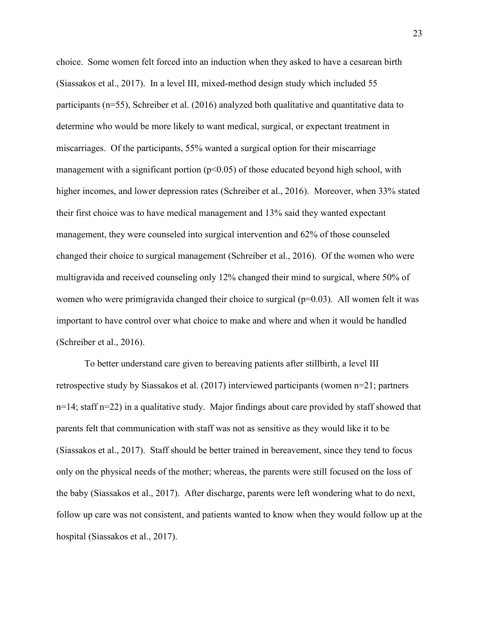choice. Some women felt forced into an induction when they asked to have a cesarean birth (Siassakos et al., 2017). In a level III, mixed-method design study which included 55 participants (n=55), Schreiber et al. (2016) analyzed both qualitative and quantitative data to determine who would be more likely to want medical, surgical, or expectant treatment in miscarriages. Of the participants, 55% wanted a surgical option for their miscarriage management with a significant portion ( $p<0.05$ ) of those educated beyond high school, with higher incomes, and lower depression rates (Schreiber et al., 2016). Moreover, when 33% stated their first choice was to have medical management and 13% said they wanted expectant management, they were counseled into surgical intervention and 62% of those counseled changed their choice to surgical management (Schreiber et al., 2016). Of the women who were multigravida and received counseling only 12% changed their mind to surgical, where 50% of women who were primigravida changed their choice to surgical (p=0.03). All women felt it was important to have control over what choice to make and where and when it would be handled (Schreiber et al., 2016).

To better understand care given to bereaving patients after stillbirth, a level III retrospective study by Siassakos et al. (2017) interviewed participants (women n=21; partners n=14; staff n=22) in a qualitative study. Major findings about care provided by staff showed that parents felt that communication with staff was not as sensitive as they would like it to be (Siassakos et al., 2017). Staff should be better trained in bereavement, since they tend to focus only on the physical needs of the mother; whereas, the parents were still focused on the loss of the baby (Siassakos et al., 2017). After discharge, parents were left wondering what to do next, follow up care was not consistent, and patients wanted to know when they would follow up at the hospital (Siassakos et al., 2017).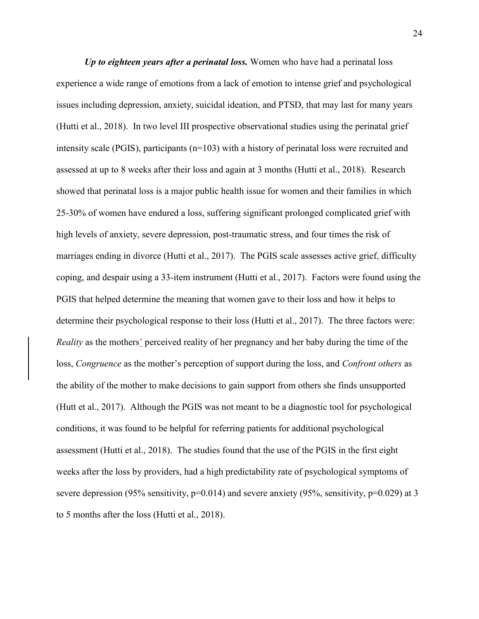<span id="page-24-0"></span>*Up to eighteen years after a perinatal loss.* Women who have had a perinatal loss experience a wide range of emotions from a lack of emotion to intense grief and psychological issues including depression, anxiety, suicidal ideation, and PTSD, that may last for many years (Hutti et al., 2018). In two level III prospective observational studies using the perinatal grief intensity scale (PGIS), participants  $(n=103)$  with a history of perinatal loss were recruited and assessed at up to 8 weeks after their loss and again at 3 months (Hutti et al., 2018). Research showed that perinatal loss is a major public health issue for women and their families in which 25-30% of women have endured a loss, suffering significant prolonged complicated grief with high levels of anxiety, severe depression, post-traumatic stress, and four times the risk of marriages ending in divorce (Hutti et al., 2017). The PGIS scale assesses active grief, difficulty coping, and despair using a 33-item instrument (Hutti et al., 2017). Factors were found using the PGIS that helped determine the meaning that women gave to their loss and how it helps to determine their psychological response to their loss (Hutti et al., 2017). The three factors were: *Reality* as the mothers' perceived reality of her pregnancy and her baby during the time of the loss, *Congruence* as the mother's perception of support during the loss, and *Confront others* as the ability of the mother to make decisions to gain support from others she finds unsupported (Hutt et al., 2017). Although the PGIS was not meant to be a diagnostic tool for psychological conditions, it was found to be helpful for referring patients for additional psychological assessment (Hutti et al., 2018). The studies found that the use of the PGIS in the first eight weeks after the loss by providers, had a high predictability rate of psychological symptoms of severe depression (95% sensitivity, p=0.014) and severe anxiety (95%, sensitivity, p=0.029) at 3 to 5 months after the loss (Hutti et al., 2018).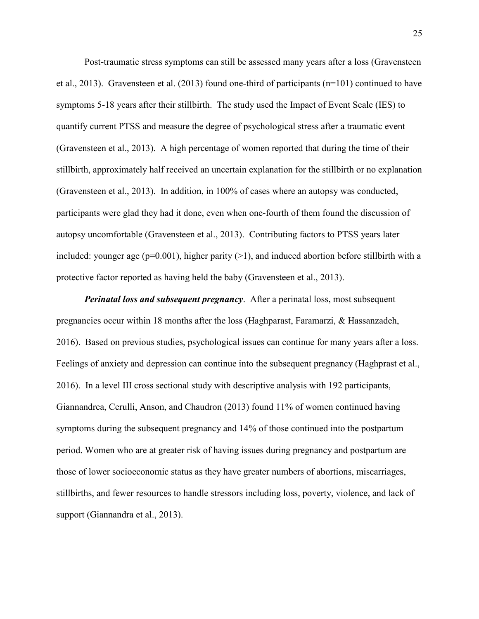Post-traumatic stress symptoms can still be assessed many years after a loss (Gravensteen et al., 2013). Gravensteen et al. (2013) found one-third of participants (n=101) continued to have symptoms 5-18 years after their stillbirth. The study used the Impact of Event Scale (IES) to quantify current PTSS and measure the degree of psychological stress after a traumatic event (Gravensteen et al., 2013). A high percentage of women reported that during the time of their stillbirth, approximately half received an uncertain explanation for the stillbirth or no explanation (Gravensteen et al., 2013). In addition, in 100% of cases where an autopsy was conducted, participants were glad they had it done, even when one-fourth of them found the discussion of autopsy uncomfortable (Gravensteen et al., 2013). Contributing factors to PTSS years later included: younger age ( $p=0.001$ ), higher parity ( $>1$ ), and induced abortion before stillbirth with a protective factor reported as having held the baby (Gravensteen et al., 2013).

<span id="page-25-0"></span>*Perinatal loss and subsequent pregnancy*. After a perinatal loss, most subsequent pregnancies occur within 18 months after the loss (Haghparast, Faramarzi, & Hassanzadeh, 2016). Based on previous studies, psychological issues can continue for many years after a loss. Feelings of anxiety and depression can continue into the subsequent pregnancy (Haghprast et al., 2016). In a level III cross sectional study with descriptive analysis with 192 participants, Giannandrea, Cerulli, Anson, and Chaudron (2013) found 11% of women continued having symptoms during the subsequent pregnancy and 14% of those continued into the postpartum period. Women who are at greater risk of having issues during pregnancy and postpartum are those of lower socioeconomic status as they have greater numbers of abortions, miscarriages, stillbirths, and fewer resources to handle stressors including loss, poverty, violence, and lack of support (Giannandra et al., 2013).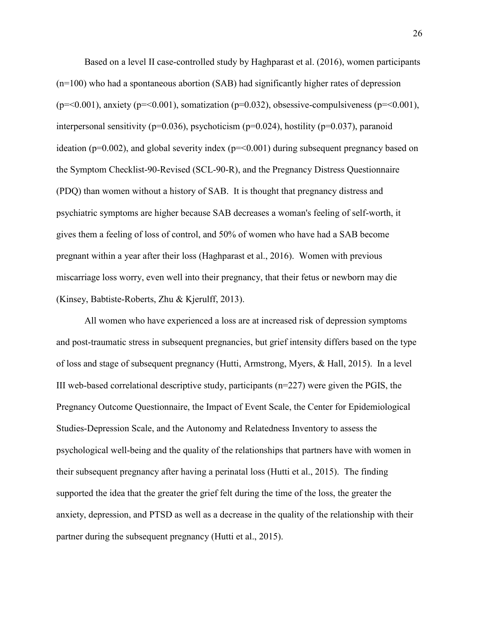Based on a level II case-controlled study by Haghparast et al. (2016), women participants (n=100) who had a spontaneous abortion (SAB) had significantly higher rates of depression ( $p = 0.001$ ), anxiety ( $p = 0.001$ ), somatization ( $p = 0.032$ ), obsessive-compulsiveness ( $p = 0.001$ ), interpersonal sensitivity ( $p=0.036$ ), psychoticism ( $p=0.024$ ), hostility ( $p=0.037$ ), paranoid ideation ( $p=0.002$ ), and global severity index ( $p=<0.001$ ) during subsequent pregnancy based on the Symptom Checklist-90-Revised (SCL-90-R), and the Pregnancy Distress Questionnaire (PDQ) than women without a history of SAB. It is thought that pregnancy distress and psychiatric symptoms are higher because SAB decreases a woman's feeling of self-worth, it gives them a feeling of loss of control, and 50% of women who have had a SAB become pregnant within a year after their loss (Haghparast et al., 2016). Women with previous miscarriage loss worry, even well into their pregnancy, that their fetus or newborn may die (Kinsey, Babtiste-Roberts, Zhu & Kjerulff, 2013).

All women who have experienced a loss are at increased risk of depression symptoms and post-traumatic stress in subsequent pregnancies, but grief intensity differs based on the type of loss and stage of subsequent pregnancy (Hutti, Armstrong, Myers, & Hall, 2015). In a level III web-based correlational descriptive study, participants (n=227) were given the PGIS, the Pregnancy Outcome Questionnaire, the Impact of Event Scale, the Center for Epidemiological Studies-Depression Scale, and the Autonomy and Relatedness Inventory to assess the psychological well-being and the quality of the relationships that partners have with women in their subsequent pregnancy after having a perinatal loss (Hutti et al., 2015). The finding supported the idea that the greater the grief felt during the time of the loss, the greater the anxiety, depression, and PTSD as well as a decrease in the quality of the relationship with their partner during the subsequent pregnancy (Hutti et al., 2015).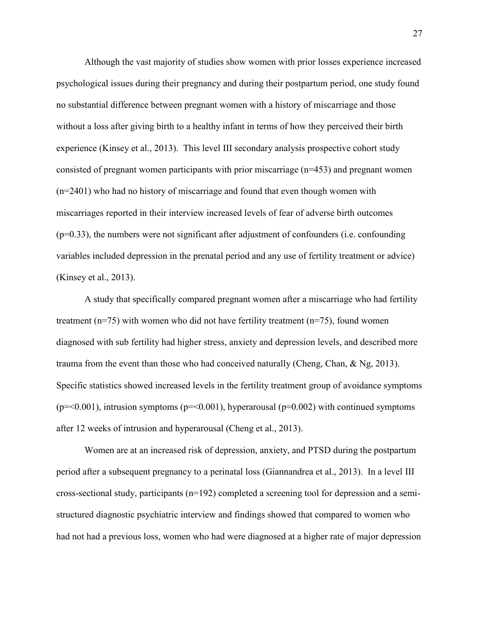Although the vast majority of studies show women with prior losses experience increased psychological issues during their pregnancy and during their postpartum period, one study found no substantial difference between pregnant women with a history of miscarriage and those without a loss after giving birth to a healthy infant in terms of how they perceived their birth experience (Kinsey et al., 2013). This level III secondary analysis prospective cohort study consisted of pregnant women participants with prior miscarriage (n=453) and pregnant women (n=2401) who had no history of miscarriage and found that even though women with miscarriages reported in their interview increased levels of fear of adverse birth outcomes (p=0.33), the numbers were not significant after adjustment of confounders (i.e. confounding variables included depression in the prenatal period and any use of fertility treatment or advice) (Kinsey et al., 2013).

A study that specifically compared pregnant women after a miscarriage who had fertility treatment (n=75) with women who did not have fertility treatment (n=75), found women diagnosed with sub fertility had higher stress, anxiety and depression levels, and described more trauma from the event than those who had conceived naturally (Cheng, Chan,  $\&$  Ng, 2013). Specific statistics showed increased levels in the fertility treatment group of avoidance symptoms  $(p=0.001)$ , intrusion symptoms  $(p=0.001)$ , hyperarousal  $(p=0.002)$  with continued symptoms after 12 weeks of intrusion and hyperarousal (Cheng et al., 2013).

Women are at an increased risk of depression, anxiety, and PTSD during the postpartum period after a subsequent pregnancy to a perinatal loss (Giannandrea et al., 2013). In a level III cross-sectional study, participants (n=192) completed a screening tool for depression and a semistructured diagnostic psychiatric interview and findings showed that compared to women who had not had a previous loss, women who had were diagnosed at a higher rate of major depression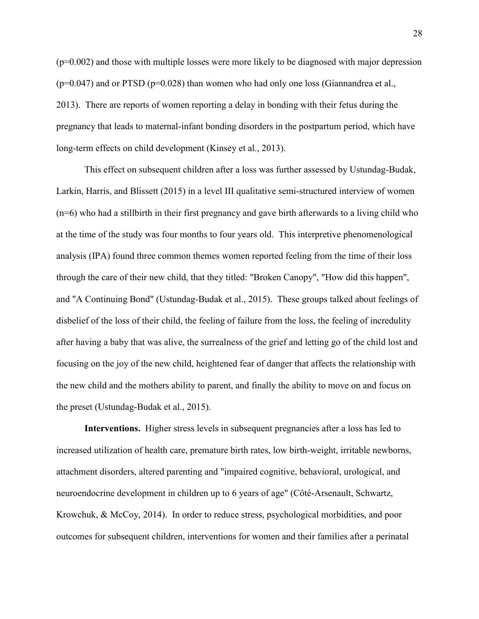$(p=0.002)$  and those with multiple losses were more likely to be diagnosed with major depression  $(p=0.047)$  and or PTSD  $(p=0.028)$  than women who had only one loss (Giannandrea et al., 2013). There are reports of women reporting a delay in bonding with their fetus during the pregnancy that leads to maternal-infant bonding disorders in the postpartum period, which have long-term effects on child development (Kinsey et al., 2013).

This effect on subsequent children after a loss was further assessed by Ustundag-Budak, Larkin, Harris, and Blissett (2015) in a level III qualitative semi-structured interview of women (n=6) who had a stillbirth in their first pregnancy and gave birth afterwards to a living child who at the time of the study was four months to four years old. This interpretive phenomenological analysis (IPA) found three common themes women reported feeling from the time of their loss through the care of their new child, that they titled: "Broken Canopy", "How did this happen", and "A Continuing Bond" (Ustundag-Budak et al., 2015). These groups talked about feelings of disbelief of the loss of their child, the feeling of failure from the loss, the feeling of incredulity after having a baby that was alive, the surrealness of the grief and letting go of the child lost and focusing on the joy of the new child, heightened fear of danger that affects the relationship with the new child and the mothers ability to parent, and finally the ability to move on and focus on the preset (Ustundag-Budak et al., 2015).

<span id="page-28-0"></span>**Interventions.** Higher stress levels in subsequent pregnancies after a loss has led to increased utilization of health care, premature birth rates, low birth-weight, irritable newborns, attachment disorders, altered parenting and "impaired cognitive, behavioral, urological, and neuroendocrine development in children up to 6 years of age" (Côté-Arsenault, Schwartz, Krowchuk, & McCoy, 2014). In order to reduce stress, psychological morbidities, and poor outcomes for subsequent children, interventions for women and their families after a perinatal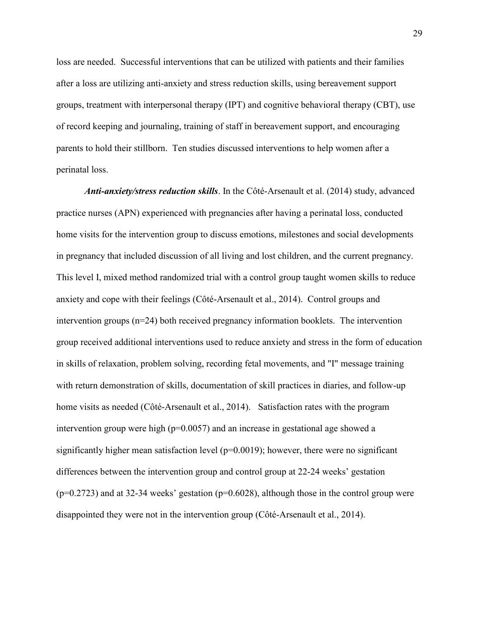loss are needed. Successful interventions that can be utilized with patients and their families after a loss are utilizing anti-anxiety and stress reduction skills, using bereavement support groups, treatment with interpersonal therapy (IPT) and cognitive behavioral therapy (CBT), use of record keeping and journaling, training of staff in bereavement support, and encouraging parents to hold their stillborn. Ten studies discussed interventions to help women after a perinatal loss.

<span id="page-29-0"></span>*Anti-anxiety/stress reduction skills*. In the Côté-Arsenault et al. (2014) study, advanced practice nurses (APN) experienced with pregnancies after having a perinatal loss, conducted home visits for the intervention group to discuss emotions, milestones and social developments in pregnancy that included discussion of all living and lost children, and the current pregnancy. This level I, mixed method randomized trial with a control group taught women skills to reduce anxiety and cope with their feelings (Côté-Arsenault et al., 2014). Control groups and intervention groups (n=24) both received pregnancy information booklets. The intervention group received additional interventions used to reduce anxiety and stress in the form of education in skills of relaxation, problem solving, recording fetal movements, and "I" message training with return demonstration of skills, documentation of skill practices in diaries, and follow-up home visits as needed (Côté-Arsenault et al., 2014). Satisfaction rates with the program intervention group were high ( $p=0.0057$ ) and an increase in gestational age showed a significantly higher mean satisfaction level ( $p=0.0019$ ); however, there were no significant differences between the intervention group and control group at 22-24 weeks' gestation  $(p=0.2723)$  and at 32-34 weeks' gestation ( $p=0.6028$ ), although those in the control group were disappointed they were not in the intervention group (Côté-Arsenault et al., 2014).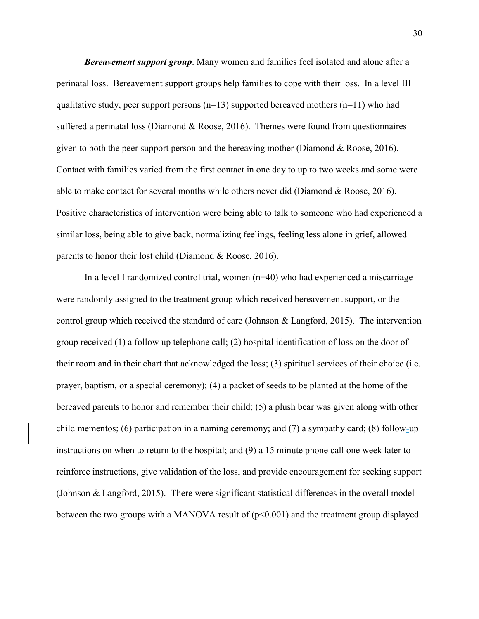<span id="page-30-0"></span>*Bereavement support group*. Many women and families feel isolated and alone after a perinatal loss. Bereavement support groups help families to cope with their loss. In a level III qualitative study, peer support persons  $(n=13)$  supported bereaved mothers  $(n=11)$  who had suffered a perinatal loss (Diamond & Roose, 2016). Themes were found from questionnaires given to both the peer support person and the bereaving mother (Diamond  $\&$  Roose, 2016). Contact with families varied from the first contact in one day to up to two weeks and some were able to make contact for several months while others never did (Diamond & Roose, 2016). Positive characteristics of intervention were being able to talk to someone who had experienced a similar loss, being able to give back, normalizing feelings, feeling less alone in grief, allowed parents to honor their lost child (Diamond & Roose, 2016).

In a level I randomized control trial, women (n=40) who had experienced a miscarriage were randomly assigned to the treatment group which received bereavement support, or the control group which received the standard of care (Johnson & Langford, 2015). The intervention group received (1) a follow up telephone call; (2) hospital identification of loss on the door of their room and in their chart that acknowledged the loss; (3) spiritual services of their choice (i.e. prayer, baptism, or a special ceremony); (4) a packet of seeds to be planted at the home of the bereaved parents to honor and remember their child; (5) a plush bear was given along with other child mementos; (6) participation in a naming ceremony; and (7) a sympathy card; (8) follow-up instructions on when to return to the hospital; and (9) a 15 minute phone call one week later to reinforce instructions, give validation of the loss, and provide encouragement for seeking support (Johnson & Langford, 2015). There were significant statistical differences in the overall model between the two groups with a MANOVA result of  $(p<0.001)$  and the treatment group displayed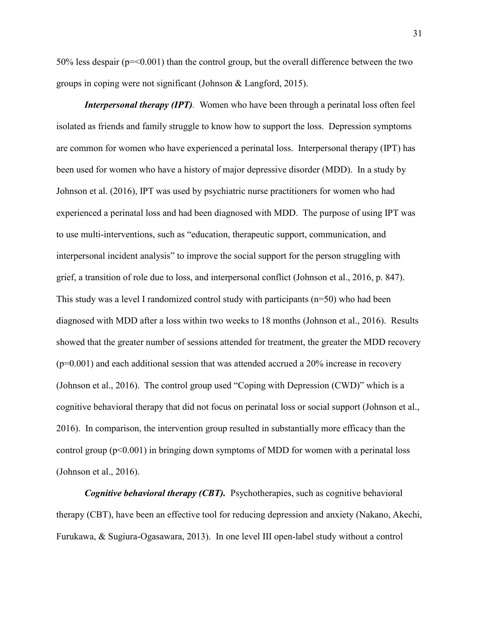50% less despair ( $p = 0.001$ ) than the control group, but the overall difference between the two groups in coping were not significant (Johnson & Langford, 2015).

<span id="page-31-0"></span>*Interpersonal therapy (IPT).* Women who have been through a perinatal loss often feel isolated as friends and family struggle to know how to support the loss. Depression symptoms are common for women who have experienced a perinatal loss. Interpersonal therapy (IPT) has been used for women who have a history of major depressive disorder (MDD). In a study by Johnson et al. (2016), IPT was used by psychiatric nurse practitioners for women who had experienced a perinatal loss and had been diagnosed with MDD. The purpose of using IPT was to use multi-interventions, such as "education, therapeutic support, communication, and interpersonal incident analysis" to improve the social support for the person struggling with grief, a transition of role due to loss, and interpersonal conflict (Johnson et al., 2016, p. 847). This study was a level I randomized control study with participants  $(n=50)$  who had been diagnosed with MDD after a loss within two weeks to 18 months (Johnson et al., 2016). Results showed that the greater number of sessions attended for treatment, the greater the MDD recovery  $(p=0.001)$  and each additional session that was attended accrued a 20% increase in recovery (Johnson et al., 2016). The control group used "Coping with Depression (CWD)" which is a cognitive behavioral therapy that did not focus on perinatal loss or social support (Johnson et al., 2016). In comparison, the intervention group resulted in substantially more efficacy than the control group  $(p<0.001)$  in bringing down symptoms of MDD for women with a perinatal loss (Johnson et al., 2016).

<span id="page-31-1"></span>*Cognitive behavioral therapy (CBT).* Psychotherapies, such as cognitive behavioral therapy (CBT), have been an effective tool for reducing depression and anxiety (Nakano, Akechi, Furukawa, & Sugiura-Ogasawara, 2013). In one level III open-label study without a control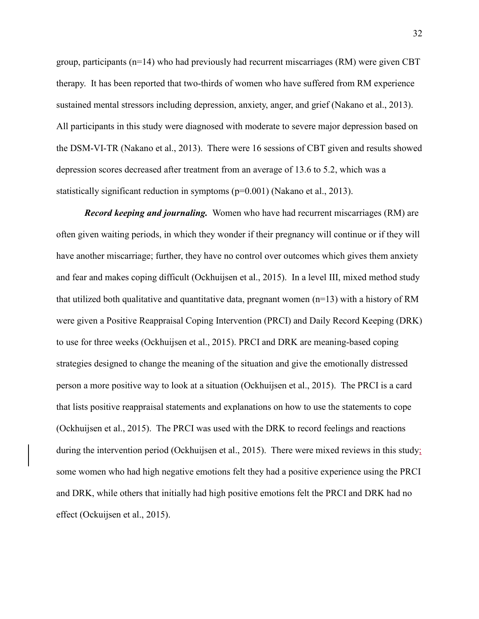group, participants (n=14) who had previously had recurrent miscarriages (RM) were given CBT therapy. It has been reported that two-thirds of women who have suffered from RM experience sustained mental stressors including depression, anxiety, anger, and grief (Nakano et al., 2013). All participants in this study were diagnosed with moderate to severe major depression based on the DSM-VI-TR (Nakano et al., 2013). There were 16 sessions of CBT given and results showed depression scores decreased after treatment from an average of 13.6 to 5.2, which was a statistically significant reduction in symptoms (p=0.001) (Nakano et al., 2013).

<span id="page-32-0"></span>*Record keeping and journaling.* Women who have had recurrent miscarriages (RM) are often given waiting periods, in which they wonder if their pregnancy will continue or if they will have another miscarriage; further, they have no control over outcomes which gives them anxiety and fear and makes coping difficult (Ockhuijsen et al., 2015). In a level III, mixed method study that utilized both qualitative and quantitative data, pregnant women  $(n=13)$  with a history of RM were given a Positive Reappraisal Coping Intervention (PRCI) and Daily Record Keeping (DRK) to use for three weeks (Ockhuijsen et al., 2015). PRCI and DRK are meaning-based coping strategies designed to change the meaning of the situation and give the emotionally distressed person a more positive way to look at a situation (Ockhuijsen et al., 2015). The PRCI is a card that lists positive reappraisal statements and explanations on how to use the statements to cope (Ockhuijsen et al., 2015). The PRCI was used with the DRK to record feelings and reactions during the intervention period (Ockhuijsen et al., 2015). There were mixed reviews in this study; some women who had high negative emotions felt they had a positive experience using the PRCI and DRK, while others that initially had high positive emotions felt the PRCI and DRK had no effect (Ockuijsen et al., 2015).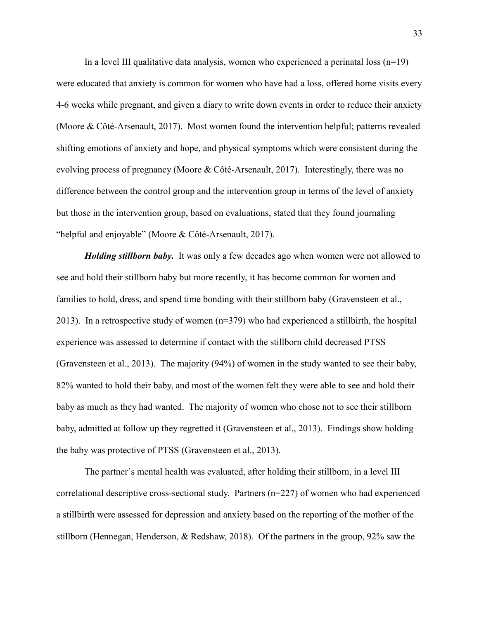In a level III qualitative data analysis, women who experienced a perinatal loss  $(n=19)$ were educated that anxiety is common for women who have had a loss, offered home visits every 4-6 weeks while pregnant, and given a diary to write down events in order to reduce their anxiety (Moore & Côté-Arsenault, 2017). Most women found the intervention helpful; patterns revealed shifting emotions of anxiety and hope, and physical symptoms which were consistent during the evolving process of pregnancy (Moore & Côté-Arsenault, 2017). Interestingly, there was no difference between the control group and the intervention group in terms of the level of anxiety but those in the intervention group, based on evaluations, stated that they found journaling "helpful and enjoyable" (Moore & Côté-Arsenault, 2017).

<span id="page-33-0"></span>*Holding stillborn baby.* It was only a few decades ago when women were not allowed to see and hold their stillborn baby but more recently, it has become common for women and families to hold, dress, and spend time bonding with their stillborn baby (Gravensteen et al., 2013). In a retrospective study of women (n=379) who had experienced a stillbirth, the hospital experience was assessed to determine if contact with the stillborn child decreased PTSS (Gravensteen et al., 2013). The majority (94%) of women in the study wanted to see their baby, 82% wanted to hold their baby, and most of the women felt they were able to see and hold their baby as much as they had wanted. The majority of women who chose not to see their stillborn baby, admitted at follow up they regretted it (Gravensteen et al., 2013). Findings show holding the baby was protective of PTSS (Gravensteen et al., 2013).

The partner's mental health was evaluated, after holding their stillborn, in a level III correlational descriptive cross-sectional study. Partners (n=227) of women who had experienced a stillbirth were assessed for depression and anxiety based on the reporting of the mother of the stillborn (Hennegan, Henderson, & Redshaw, 2018). Of the partners in the group, 92% saw the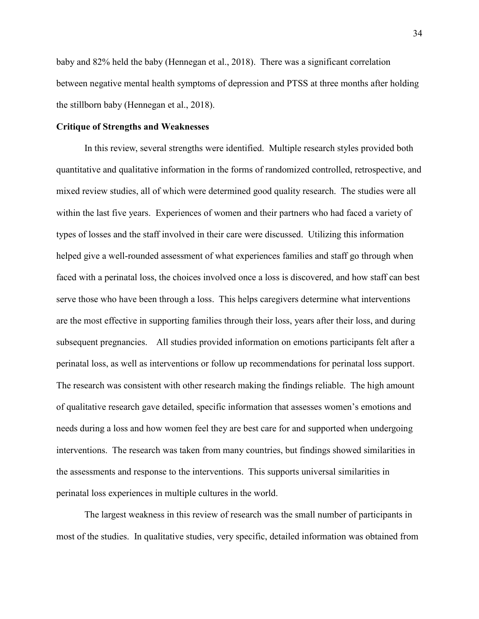baby and 82% held the baby (Hennegan et al., 2018). There was a significant correlation between negative mental health symptoms of depression and PTSS at three months after holding the stillborn baby (Hennegan et al., 2018).

## <span id="page-34-0"></span>**Critique of Strengths and Weaknesses**

In this review, several strengths were identified. Multiple research styles provided both quantitative and qualitative information in the forms of randomized controlled, retrospective, and mixed review studies, all of which were determined good quality research. The studies were all within the last five years. Experiences of women and their partners who had faced a variety of types of losses and the staff involved in their care were discussed. Utilizing this information helped give a well-rounded assessment of what experiences families and staff go through when faced with a perinatal loss, the choices involved once a loss is discovered, and how staff can best serve those who have been through a loss. This helps caregivers determine what interventions are the most effective in supporting families through their loss, years after their loss, and during subsequent pregnancies. All studies provided information on emotions participants felt after a perinatal loss, as well as interventions or follow up recommendations for perinatal loss support. The research was consistent with other research making the findings reliable. The high amount of qualitative research gave detailed, specific information that assesses women's emotions and needs during a loss and how women feel they are best care for and supported when undergoing interventions. The research was taken from many countries, but findings showed similarities in the assessments and response to the interventions. This supports universal similarities in perinatal loss experiences in multiple cultures in the world.

The largest weakness in this review of research was the small number of participants in most of the studies. In qualitative studies, very specific, detailed information was obtained from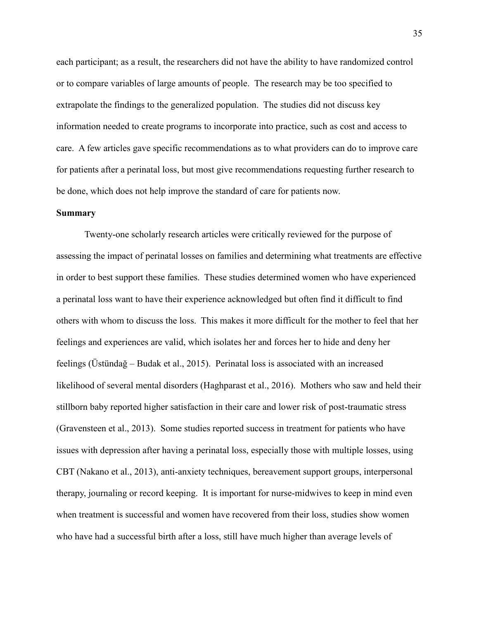each participant; as a result, the researchers did not have the ability to have randomized control or to compare variables of large amounts of people. The research may be too specified to extrapolate the findings to the generalized population. The studies did not discuss key information needed to create programs to incorporate into practice, such as cost and access to care. A few articles gave specific recommendations as to what providers can do to improve care for patients after a perinatal loss, but most give recommendations requesting further research to be done, which does not help improve the standard of care for patients now.

#### <span id="page-35-0"></span>**Summary**

Twenty-one scholarly research articles were critically reviewed for the purpose of assessing the impact of perinatal losses on families and determining what treatments are effective in order to best support these families. These studies determined women who have experienced a perinatal loss want to have their experience acknowledged but often find it difficult to find others with whom to discuss the loss. This makes it more difficult for the mother to feel that her feelings and experiences are valid, which isolates her and forces her to hide and deny her feelings (Üstündağ – Budak et al., 2015). Perinatal loss is associated with an increased likelihood of several mental disorders (Haghparast et al., 2016). Mothers who saw and held their stillborn baby reported higher satisfaction in their care and lower risk of post-traumatic stress (Gravensteen et al., 2013). Some studies reported success in treatment for patients who have issues with depression after having a perinatal loss, especially those with multiple losses, using CBT (Nakano et al., 2013), anti-anxiety techniques, bereavement support groups, interpersonal therapy, journaling or record keeping. It is important for nurse-midwives to keep in mind even when treatment is successful and women have recovered from their loss, studies show women who have had a successful birth after a loss, still have much higher than average levels of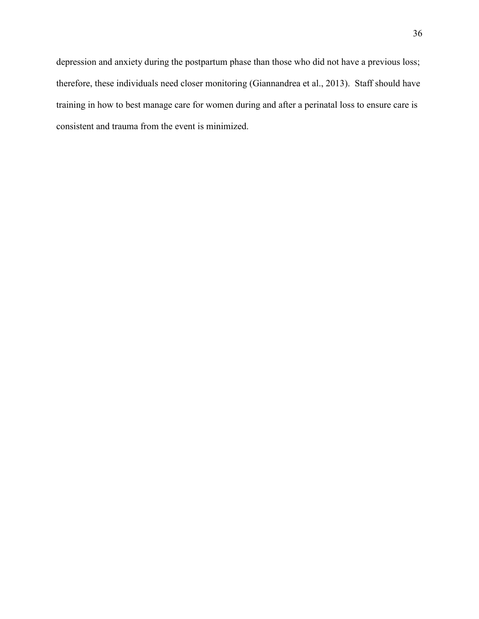depression and anxiety during the postpartum phase than those who did not have a previous loss; therefore, these individuals need closer monitoring (Giannandrea et al., 2013). Staff should have training in how to best manage care for women during and after a perinatal loss to ensure care is consistent and trauma from the event is minimized.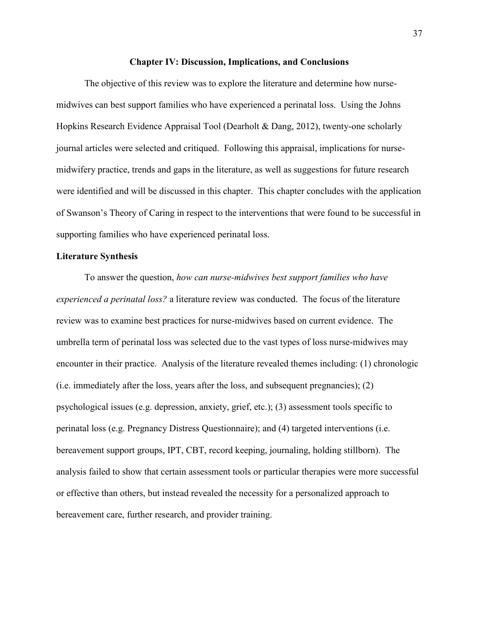#### **Chapter IV: Discussion, Implications, and Conclusions**

The objective of this review was to explore the literature and determine how nursemidwives can best support families who have experienced a perinatal loss. Using the Johns Hopkins Research Evidence Appraisal Tool (Dearholt & Dang, 2012), twenty-one scholarly journal articles were selected and critiqued. Following this appraisal, implications for nursemidwifery practice, trends and gaps in the literature, as well as suggestions for future research were identified and will be discussed in this chapter. This chapter concludes with the application of Swanson's Theory of Caring in respect to the interventions that were found to be successful in supporting families who have experienced perinatal loss.

#### **Literature Synthesis**

To answer the question, *how can nurse-midwives best support families who have experienced a perinatal loss?* a literature review was conducted. The focus of the literature review was to examine best practices for nurse-midwives based on current evidence. The umbrella term of perinatal loss was selected due to the vast types of loss nurse-midwives may encounter in their practice. Analysis of the literature revealed themes including: (1) chronologic (i.e. immediately after the loss, years after the loss, and subsequent pregnancies); (2) psychological issues (e.g. depression, anxiety, grief, etc.); (3) assessment tools specific to perinatal loss (e.g. Pregnancy Distress Questionnaire); and (4) targeted interventions (i.e. bereavement support groups, IPT, CBT, record keeping, journaling, holding stillborn). The analysis failed to show that certain assessment tools or particular therapies were more successful or effective than others, but instead revealed the necessity for a personalized approach to bereavement care, further research, and provider training.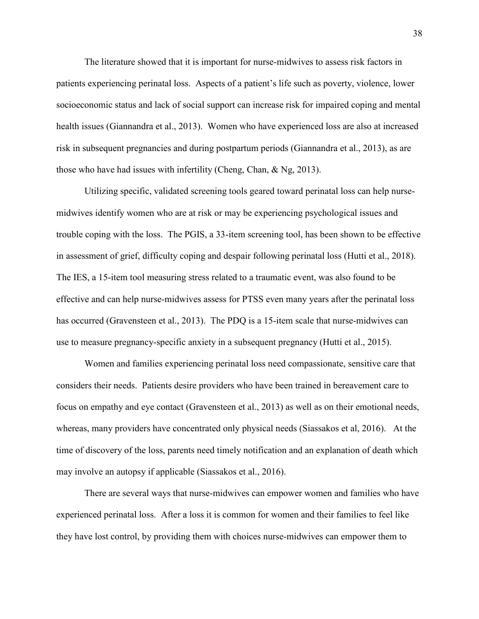The literature showed that it is important for nurse-midwives to assess risk factors in patients experiencing perinatal loss. Aspects of a patient's life such as poverty, violence, lower socioeconomic status and lack of social support can increase risk for impaired coping and mental health issues (Giannandra et al., 2013). Women who have experienced loss are also at increased risk in subsequent pregnancies and during postpartum periods (Giannandra et al., 2013), as are those who have had issues with infertility (Cheng, Chan, & Ng, 2013).

Utilizing specific, validated screening tools geared toward perinatal loss can help nursemidwives identify women who are at risk or may be experiencing psychological issues and trouble coping with the loss. The PGIS, a 33-item screening tool, has been shown to be effective in assessment of grief, difficulty coping and despair following perinatal loss (Hutti et al., 2018). The IES, a 15-item tool measuring stress related to a traumatic event, was also found to be effective and can help nurse-midwives assess for PTSS even many years after the perinatal loss has occurred (Gravensteen et al., 2013). The PDQ is a 15-item scale that nurse-midwives can use to measure pregnancy-specific anxiety in a subsequent pregnancy (Hutti et al., 2015).

Women and families experiencing perinatal loss need compassionate, sensitive care that considers their needs. Patients desire providers who have been trained in bereavement care to focus on empathy and eye contact (Gravensteen et al., 2013) as well as on their emotional needs, whereas, many providers have concentrated only physical needs (Siassakos et al, 2016). At the time of discovery of the loss, parents need timely notification and an explanation of death which may involve an autopsy if applicable (Siassakos et al., 2016).

There are several ways that nurse-midwives can empower women and families who have experienced perinatal loss. After a loss it is common for women and their families to feel like they have lost control, by providing them with choices nurse-midwives can empower them to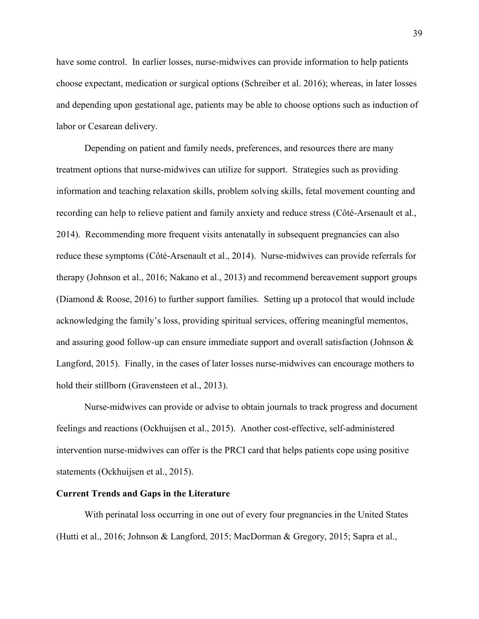have some control. In earlier losses, nurse-midwives can provide information to help patients choose expectant, medication or surgical options (Schreiber et al. 2016); whereas, in later losses and depending upon gestational age, patients may be able to choose options such as induction of labor or Cesarean delivery.

Depending on patient and family needs, preferences, and resources there are many treatment options that nurse-midwives can utilize for support. Strategies such as providing information and teaching relaxation skills, problem solving skills, fetal movement counting and recording can help to relieve patient and family anxiety and reduce stress (Côté-Arsenault et al., 2014). Recommending more frequent visits antenatally in subsequent pregnancies can also reduce these symptoms (Côté-Arsenault et al., 2014). Nurse-midwives can provide referrals for therapy (Johnson et al., 2016; Nakano et al., 2013) and recommend bereavement support groups (Diamond & Roose, 2016) to further support families. Setting up a protocol that would include acknowledging the family's loss, providing spiritual services, offering meaningful mementos, and assuring good follow-up can ensure immediate support and overall satisfaction (Johnson & Langford, 2015). Finally, in the cases of later losses nurse-midwives can encourage mothers to hold their stillborn (Gravensteen et al., 2013).

Nurse-midwives can provide or advise to obtain journals to track progress and document feelings and reactions (Ockhuijsen et al., 2015). Another cost-effective, self-administered intervention nurse-midwives can offer is the PRCI card that helps patients cope using positive statements (Ockhuijsen et al., 2015).

#### **Current Trends and Gaps in the Literature**

With perinatal loss occurring in one out of every four pregnancies in the United States (Hutti et al., 2016; Johnson & Langford, 2015; MacDorman & Gregory, 2015; Sapra et al.,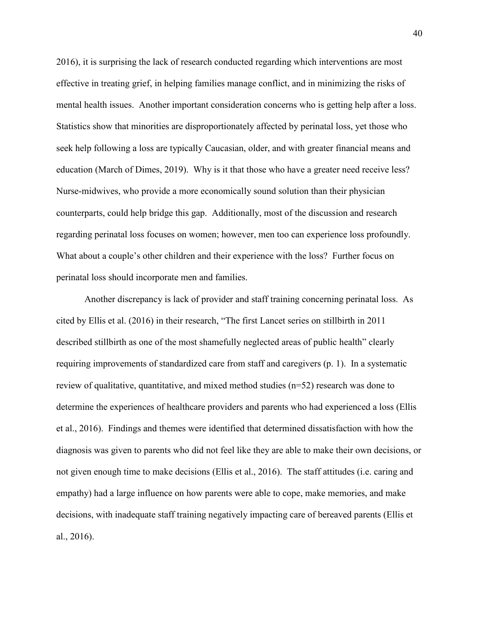2016), it is surprising the lack of research conducted regarding which interventions are most effective in treating grief, in helping families manage conflict, and in minimizing the risks of mental health issues. Another important consideration concerns who is getting help after a loss. Statistics show that minorities are disproportionately affected by perinatal loss, yet those who seek help following a loss are typically Caucasian, older, and with greater financial means and education (March of Dimes, 2019). Why is it that those who have a greater need receive less? Nurse-midwives, who provide a more economically sound solution than their physician counterparts, could help bridge this gap. Additionally, most of the discussion and research regarding perinatal loss focuses on women; however, men too can experience loss profoundly. What about a couple's other children and their experience with the loss? Further focus on perinatal loss should incorporate men and families.

Another discrepancy is lack of provider and staff training concerning perinatal loss. As cited by Ellis et al. (2016) in their research, "The first Lancet series on stillbirth in 2011 described stillbirth as one of the most shamefully neglected areas of public health" clearly requiring improvements of standardized care from staff and caregivers (p. 1). In a systematic review of qualitative, quantitative, and mixed method studies (n=52) research was done to determine the experiences of healthcare providers and parents who had experienced a loss (Ellis et al., 2016). Findings and themes were identified that determined dissatisfaction with how the diagnosis was given to parents who did not feel like they are able to make their own decisions, or not given enough time to make decisions (Ellis et al., 2016). The staff attitudes (i.e. caring and empathy) had a large influence on how parents were able to cope, make memories, and make decisions, with inadequate staff training negatively impacting care of bereaved parents (Ellis et al., 2016).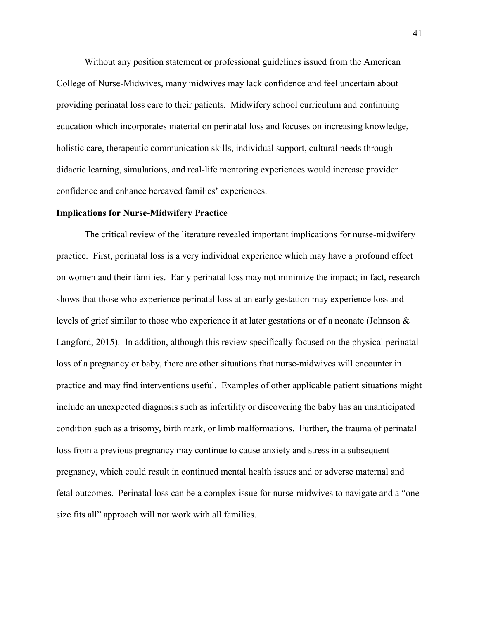Without any position statement or professional guidelines issued from the American College of Nurse-Midwives, many midwives may lack confidence and feel uncertain about providing perinatal loss care to their patients. Midwifery school curriculum and continuing education which incorporates material on perinatal loss and focuses on increasing knowledge, holistic care, therapeutic communication skills, individual support, cultural needs through didactic learning, simulations, and real-life mentoring experiences would increase provider confidence and enhance bereaved families' experiences.

#### **Implications for Nurse-Midwifery Practice**

The critical review of the literature revealed important implications for nurse-midwifery practice. First, perinatal loss is a very individual experience which may have a profound effect on women and their families. Early perinatal loss may not minimize the impact; in fact, research shows that those who experience perinatal loss at an early gestation may experience loss and levels of grief similar to those who experience it at later gestations or of a neonate (Johnson & Langford, 2015). In addition, although this review specifically focused on the physical perinatal loss of a pregnancy or baby, there are other situations that nurse-midwives will encounter in practice and may find interventions useful. Examples of other applicable patient situations might include an unexpected diagnosis such as infertility or discovering the baby has an unanticipated condition such as a trisomy, birth mark, or limb malformations. Further, the trauma of perinatal loss from a previous pregnancy may continue to cause anxiety and stress in a subsequent pregnancy, which could result in continued mental health issues and or adverse maternal and fetal outcomes. Perinatal loss can be a complex issue for nurse-midwives to navigate and a "one size fits all" approach will not work with all families.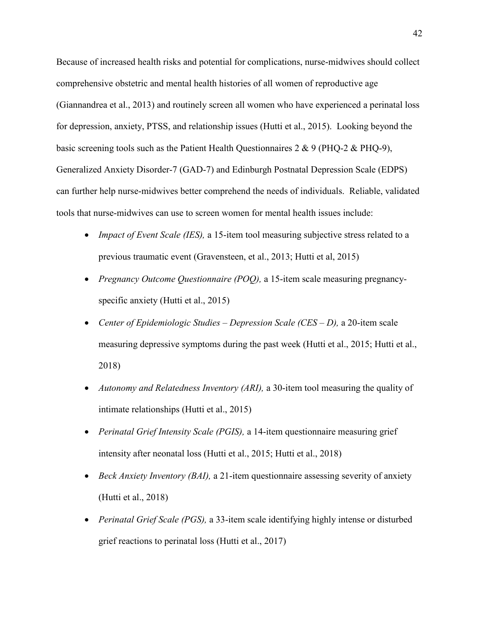Because of increased health risks and potential for complications, nurse-midwives should collect comprehensive obstetric and mental health histories of all women of reproductive age (Giannandrea et al., 2013) and routinely screen all women who have experienced a perinatal loss for depression, anxiety, PTSS, and relationship issues (Hutti et al., 2015). Looking beyond the basic screening tools such as the Patient Health Questionnaires 2 & 9 (PHQ-2 & PHQ-9), Generalized Anxiety Disorder-7 (GAD-7) and Edinburgh Postnatal Depression Scale (EDPS) can further help nurse-midwives better comprehend the needs of individuals. Reliable, validated tools that nurse-midwives can use to screen women for mental health issues include:

- *Impact of Event Scale (IES),* a 15-item tool measuring subjective stress related to a previous traumatic event (Gravensteen, et al., 2013; Hutti et al, 2015)
- *Pregnancy Outcome Questionnaire (POQ),* a 15-item scale measuring pregnancyspecific anxiety (Hutti et al., 2015)
- *Center of Epidemiologic Studies – Depression Scale (CES – D),* a 20-item scale measuring depressive symptoms during the past week (Hutti et al., 2015; Hutti et al., 2018)
- *Autonomy and Relatedness Inventory (ARI),* a 30-item tool measuring the quality of intimate relationships (Hutti et al., 2015)
- *Perinatal Grief Intensity Scale (PGIS),* a 14-item questionnaire measuring grief intensity after neonatal loss (Hutti et al., 2015; Hutti et al., 2018)
- *Beck Anxiety Inventory (BAI),* a 21-item questionnaire assessing severity of anxiety (Hutti et al., 2018)
- *Perinatal Grief Scale (PGS),* a 33-item scale identifying highly intense or disturbed grief reactions to perinatal loss (Hutti et al., 2017)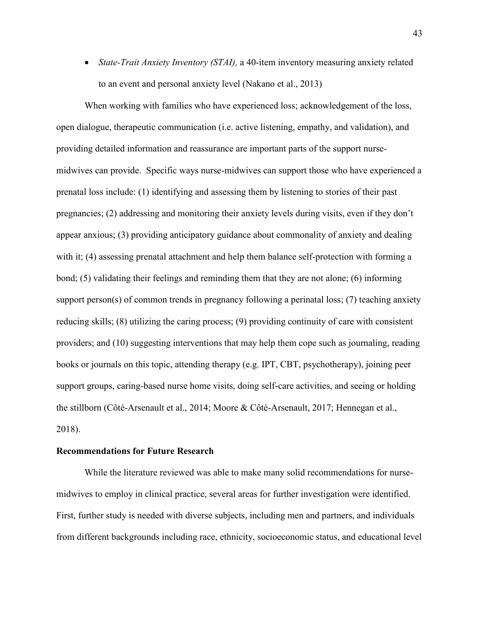*State-Trait Anxiety Inventory (STAI),* a 40-item inventory measuring anxiety related to an event and personal anxiety level (Nakano et al., 2013)

When working with families who have experienced loss; acknowledgement of the loss, open dialogue, therapeutic communication (i.e. active listening, empathy, and validation), and providing detailed information and reassurance are important parts of the support nursemidwives can provide. Specific ways nurse-midwives can support those who have experienced a prenatal loss include: (1) identifying and assessing them by listening to stories of their past pregnancies; (2) addressing and monitoring their anxiety levels during visits, even if they don't appear anxious; (3) providing anticipatory guidance about commonality of anxiety and dealing with it; (4) assessing prenatal attachment and help them balance self-protection with forming a bond; (5) validating their feelings and reminding them that they are not alone; (6) informing support person(s) of common trends in pregnancy following a perinatal loss; (7) teaching anxiety reducing skills; (8) utilizing the caring process; (9) providing continuity of care with consistent providers; and (10) suggesting interventions that may help them cope such as journaling, reading books or journals on this topic, attending therapy (e.g. IPT, CBT, psychotherapy), joining peer support groups, caring-based nurse home visits, doing self-care activities, and seeing or holding the stillborn (Côté-Arsenault et al., 2014; Moore & Côté-Arsenault, 2017; Hennegan et al., 2018).

#### **Recommendations for Future Research**

While the literature reviewed was able to make many solid recommendations for nursemidwives to employ in clinical practice, several areas for further investigation were identified. First, further study is needed with diverse subjects, including men and partners, and individuals from different backgrounds including race, ethnicity, socioeconomic status, and educational level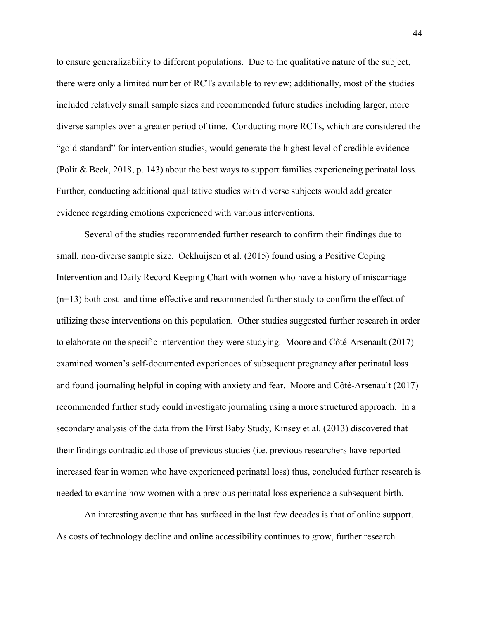to ensure generalizability to different populations. Due to the qualitative nature of the subject, there were only a limited number of RCTs available to review; additionally, most of the studies included relatively small sample sizes and recommended future studies including larger, more diverse samples over a greater period of time. Conducting more RCTs, which are considered the "gold standard" for intervention studies, would generate the highest level of credible evidence (Polit & Beck, 2018, p. 143) about the best ways to support families experiencing perinatal loss. Further, conducting additional qualitative studies with diverse subjects would add greater evidence regarding emotions experienced with various interventions.

Several of the studies recommended further research to confirm their findings due to small, non-diverse sample size. Ockhuijsen et al. (2015) found using a Positive Coping Intervention and Daily Record Keeping Chart with women who have a history of miscarriage (n=13) both cost- and time-effective and recommended further study to confirm the effect of utilizing these interventions on this population. Other studies suggested further research in order to elaborate on the specific intervention they were studying. Moore and Côté-Arsenault (2017) examined women's self-documented experiences of subsequent pregnancy after perinatal loss and found journaling helpful in coping with anxiety and fear. Moore and Côté-Arsenault (2017) recommended further study could investigate journaling using a more structured approach. In a secondary analysis of the data from the First Baby Study, Kinsey et al. (2013) discovered that their findings contradicted those of previous studies (i.e. previous researchers have reported increased fear in women who have experienced perinatal loss) thus, concluded further research is needed to examine how women with a previous perinatal loss experience a subsequent birth.

An interesting avenue that has surfaced in the last few decades is that of online support. As costs of technology decline and online accessibility continues to grow, further research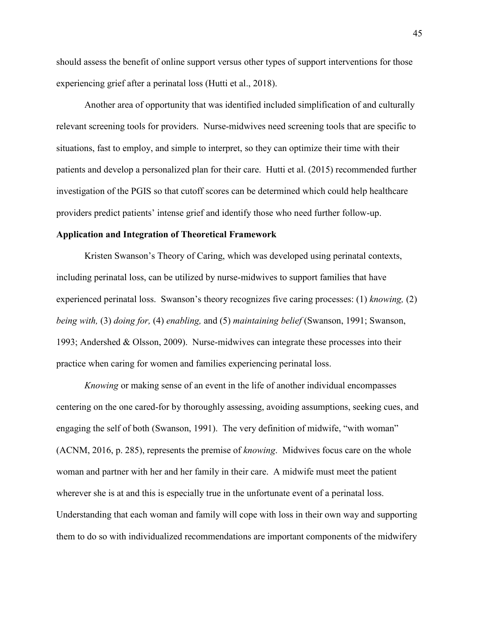should assess the benefit of online support versus other types of support interventions for those experiencing grief after a perinatal loss (Hutti et al., 2018).

Another area of opportunity that was identified included simplification of and culturally relevant screening tools for providers. Nurse-midwives need screening tools that are specific to situations, fast to employ, and simple to interpret, so they can optimize their time with their patients and develop a personalized plan for their care. Hutti et al. (2015) recommended further investigation of the PGIS so that cutoff scores can be determined which could help healthcare providers predict patients' intense grief and identify those who need further follow-up.

#### **Application and Integration of Theoretical Framework**

Kristen Swanson's Theory of Caring, which was developed using perinatal contexts, including perinatal loss, can be utilized by nurse-midwives to support families that have experienced perinatal loss. Swanson's theory recognizes five caring processes: (1) *knowing,* (2) *being with,* (3) *doing for,* (4) *enabling,* and (5) *maintaining belief* (Swanson, 1991; Swanson, 1993; Andershed & Olsson, 2009). Nurse-midwives can integrate these processes into their practice when caring for women and families experiencing perinatal loss.

*Knowing* or making sense of an event in the life of another individual encompasses centering on the one cared-for by thoroughly assessing, avoiding assumptions, seeking cues, and engaging the self of both (Swanson, 1991). The very definition of midwife, "with woman" (ACNM, 2016, p. 285), represents the premise of *knowing*. Midwives focus care on the whole woman and partner with her and her family in their care. A midwife must meet the patient wherever she is at and this is especially true in the unfortunate event of a perinatal loss. Understanding that each woman and family will cope with loss in their own way and supporting them to do so with individualized recommendations are important components of the midwifery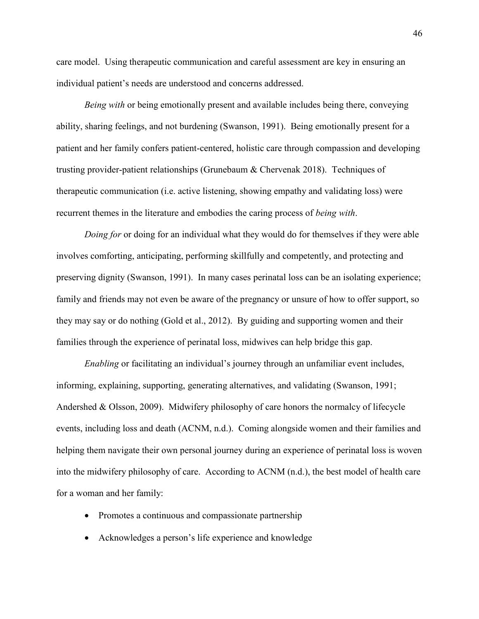care model. Using therapeutic communication and careful assessment are key in ensuring an individual patient's needs are understood and concerns addressed.

*Being with* or being emotionally present and available includes being there, conveying ability, sharing feelings, and not burdening (Swanson, 1991). Being emotionally present for a patient and her family confers patient-centered, holistic care through compassion and developing trusting provider-patient relationships (Grunebaum & Chervenak 2018). Techniques of therapeutic communication (i.e. active listening, showing empathy and validating loss) were recurrent themes in the literature and embodies the caring process of *being with*.

*Doing for* or doing for an individual what they would do for themselves if they were able involves comforting, anticipating, performing skillfully and competently, and protecting and preserving dignity (Swanson, 1991). In many cases perinatal loss can be an isolating experience; family and friends may not even be aware of the pregnancy or unsure of how to offer support, so they may say or do nothing (Gold et al., 2012). By guiding and supporting women and their families through the experience of perinatal loss, midwives can help bridge this gap.

*Enabling* or facilitating an individual's journey through an unfamiliar event includes, informing, explaining, supporting, generating alternatives, and validating (Swanson, 1991; Andershed & Olsson, 2009). Midwifery philosophy of care honors the normalcy of lifecycle events, including loss and death (ACNM, n.d.). Coming alongside women and their families and helping them navigate their own personal journey during an experience of perinatal loss is woven into the midwifery philosophy of care. According to ACNM (n.d.), the best model of health care for a woman and her family:

- Promotes a continuous and compassionate partnership
- Acknowledges a person's life experience and knowledge

46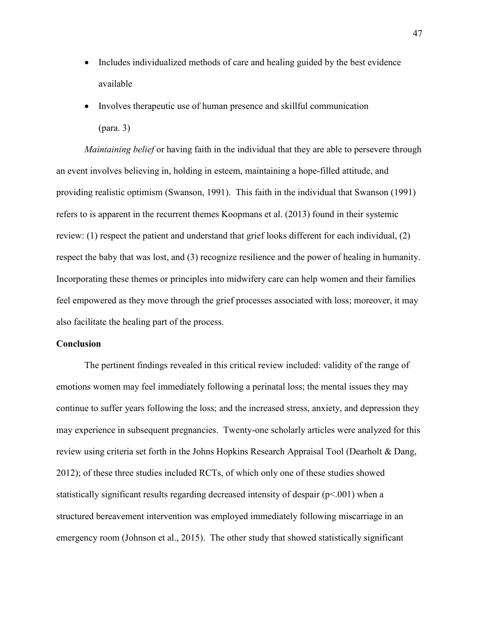- Includes individualized methods of care and healing guided by the best evidence available
- Involves therapeutic use of human presence and skillful communication (para. 3)

*Maintaining belief* or having faith in the individual that they are able to persevere through an event involves believing in, holding in esteem, maintaining a hope-filled attitude, and providing realistic optimism (Swanson, 1991). This faith in the individual that Swanson (1991) refers to is apparent in the recurrent themes Koopmans et al. (2013) found in their systemic review: (1) respect the patient and understand that grief looks different for each individual, (2) respect the baby that was lost, and (3) recognize resilience and the power of healing in humanity. Incorporating these themes or principles into midwifery care can help women and their families feel empowered as they move through the grief processes associated with loss; moreover, it may also facilitate the healing part of the process.

#### **Conclusion**

The pertinent findings revealed in this critical review included: validity of the range of emotions women may feel immediately following a perinatal loss; the mental issues they may continue to suffer years following the loss; and the increased stress, anxiety, and depression they may experience in subsequent pregnancies. Twenty-one scholarly articles were analyzed for this review using criteria set forth in the Johns Hopkins Research Appraisal Tool (Dearholt & Dang, 2012); of these three studies included RCTs, of which only one of these studies showed statistically significant results regarding decreased intensity of despair  $(p<0.01)$  when a structured bereavement intervention was employed immediately following miscarriage in an emergency room (Johnson et al., 2015). The other study that showed statistically significant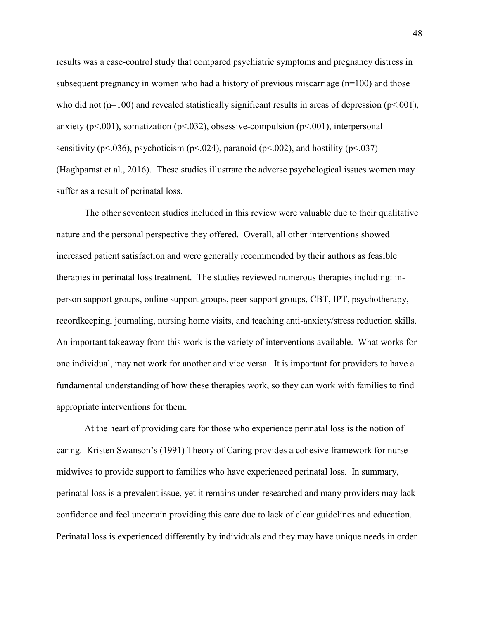results was a case-control study that compared psychiatric symptoms and pregnancy distress in subsequent pregnancy in women who had a history of previous miscarriage (n=100) and those who did not ( $n=100$ ) and revealed statistically significant results in areas of depression ( $p<.001$ ), anxiety ( $p<001$ ), somatization ( $p<032$ ), obsessive-compulsion ( $p<001$ ), interpersonal sensitivity (p<.036), psychoticism (p<.024), paranoid (p<.002), and hostility (p<.037) (Haghparast et al., 2016). These studies illustrate the adverse psychological issues women may suffer as a result of perinatal loss.

The other seventeen studies included in this review were valuable due to their qualitative nature and the personal perspective they offered. Overall, all other interventions showed increased patient satisfaction and were generally recommended by their authors as feasible therapies in perinatal loss treatment. The studies reviewed numerous therapies including: inperson support groups, online support groups, peer support groups, CBT, IPT, psychotherapy, recordkeeping, journaling, nursing home visits, and teaching anti-anxiety/stress reduction skills. An important takeaway from this work is the variety of interventions available. What works for one individual, may not work for another and vice versa. It is important for providers to have a fundamental understanding of how these therapies work, so they can work with families to find appropriate interventions for them.

At the heart of providing care for those who experience perinatal loss is the notion of caring. Kristen Swanson's (1991) Theory of Caring provides a cohesive framework for nursemidwives to provide support to families who have experienced perinatal loss. In summary, perinatal loss is a prevalent issue, yet it remains under-researched and many providers may lack confidence and feel uncertain providing this care due to lack of clear guidelines and education. Perinatal loss is experienced differently by individuals and they may have unique needs in order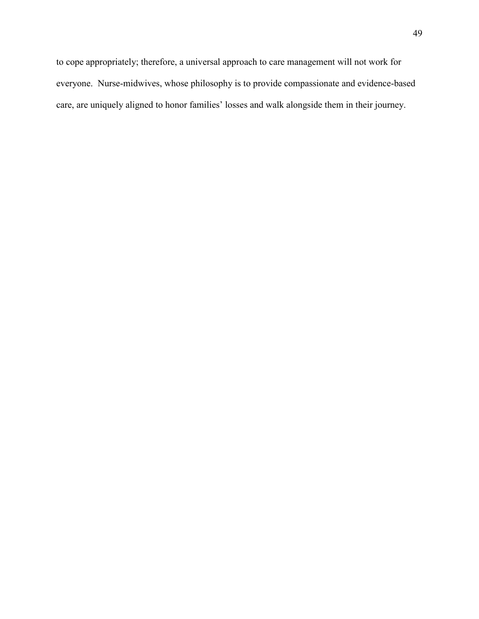to cope appropriately; therefore, a universal approach to care management will not work for everyone. Nurse-midwives, whose philosophy is to provide compassionate and evidence-based care, are uniquely aligned to honor families' losses and walk alongside them in their journey.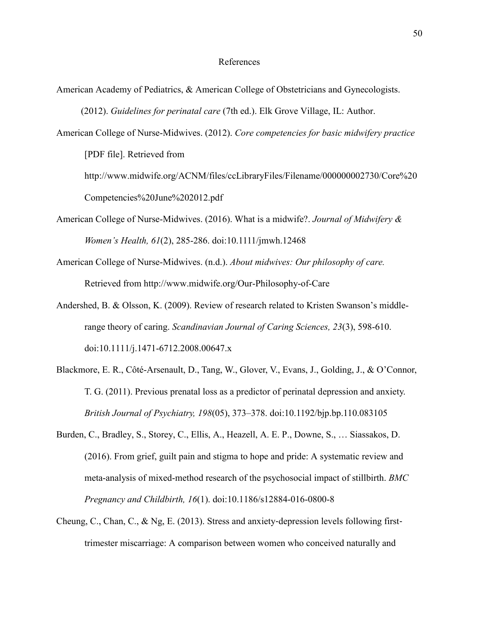#### References

- American Academy of Pediatrics, & American College of Obstetricians and Gynecologists. (2012). *Guidelines for perinatal care* (7th ed.). Elk Grove Village, IL: Author.
- American College of Nurse-Midwives. (2012). *Core competencies for basic midwifery practice* [PDF file]. Retrieved from
	- http://www.midwife.org/ACNM/files/ccLibraryFiles/Filename/000000002730/Core%20 Competencies%20June%202012.pdf
- American College of Nurse-Midwives. (2016). What is a midwife?. *Journal of Midwifery & Women's Health, 61*(2), 285-286. doi:10.1111/jmwh.12468
- American College of Nurse-Midwives. (n.d.). *About midwives: Our philosophy of care.* Retrieved from http://www.midwife.org/Our-Philosophy-of-Care
- Andershed, B. & Olsson, K. (2009). Review of research related to Kristen Swanson's middlerange theory of caring. *Scandinavian Journal of Caring Sciences, 23*(3), 598-610. doi:10.1111/j.1471-6712.2008.00647.x
- Blackmore, E. R., Côté-Arsenault, D., Tang, W., Glover, V., Evans, J., Golding, J., & O'Connor, T. G. (2011). Previous prenatal loss as a predictor of perinatal depression and anxiety. *British Journal of Psychiatry, 198*(05), 373–378. doi:10.1192/bjp.bp.110.083105
- Burden, C., Bradley, S., Storey, C., Ellis, A., Heazell, A. E. P., Downe, S., … Siassakos, D. (2016). From grief, guilt pain and stigma to hope and pride: A systematic review and meta-analysis of mixed-method research of the psychosocial impact of stillbirth. *BMC Pregnancy and Childbirth, 16*(1). doi:10.1186/s12884-016-0800-8
- Cheung, C., Chan, C., & Ng, E. (2013). Stress and anxiety‐depression levels following first‐ trimester miscarriage: A comparison between women who conceived naturally and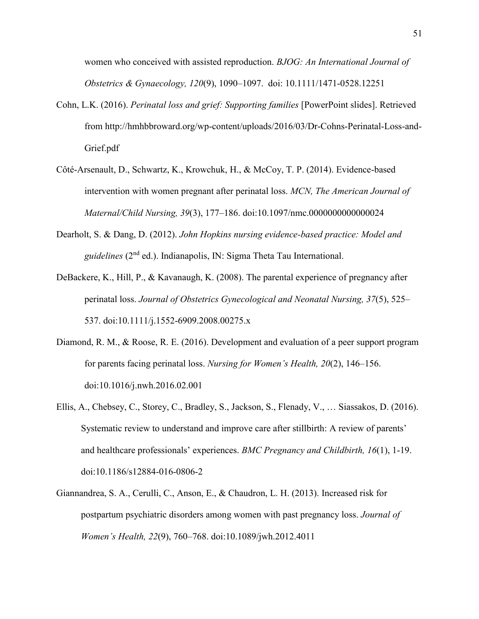women who conceived with assisted reproduction. *BJOG: An International Journal of Obstetrics & Gynaecology, 120*(9), 1090–1097. doi: 10.1111/1471-0528.12251

- Cohn, L.K. (2016). *Perinatal loss and grief: Supporting families* [PowerPoint slides]. Retrieved from http://hmhbbroward.org/wp-content/uploads/2016/03/Dr-Cohns-Perinatal-Loss-and-Grief.pdf
- Côté-Arsenault, D., Schwartz, K., Krowchuk, H., & McCoy, T. P. (2014). Evidence-based intervention with women pregnant after perinatal loss. *MCN, The American Journal of Maternal/Child Nursing, 39*(3), 177–186. doi:10.1097/nmc.0000000000000024
- Dearholt, S. & Dang, D. (2012). *John Hopkins nursing evidence-based practice: Model and guidelines* (2nd ed.). Indianapolis, IN: Sigma Theta Tau International.
- DeBackere, K., Hill, P., & Kavanaugh, K. (2008). The parental experience of pregnancy after perinatal loss. *Journal of Obstetrics Gynecological and Neonatal Nursing, 37*(5), 525– 537. doi:10.1111/j.1552-6909.2008.00275.x
- Diamond, R. M., & Roose, R. E. (2016). Development and evaluation of a peer support program for parents facing perinatal loss. *Nursing for Women's Health, 20*(2), 146–156. doi:10.1016/j.nwh.2016.02.001
- Ellis, A., Chebsey, C., Storey, C., Bradley, S., Jackson, S., Flenady, V., … Siassakos, D. (2016). Systematic review to understand and improve care after stillbirth: A review of parents' and healthcare professionals' experiences. *BMC Pregnancy and Childbirth, 16*(1), 1-19. doi:10.1186/s12884-016-0806-2
- Giannandrea, S. A., Cerulli, C., Anson, E., & Chaudron, L. H. (2013). Increased risk for postpartum psychiatric disorders among women with past pregnancy loss. *Journal of Women's Health, 22*(9), 760–768. doi:10.1089/jwh.2012.4011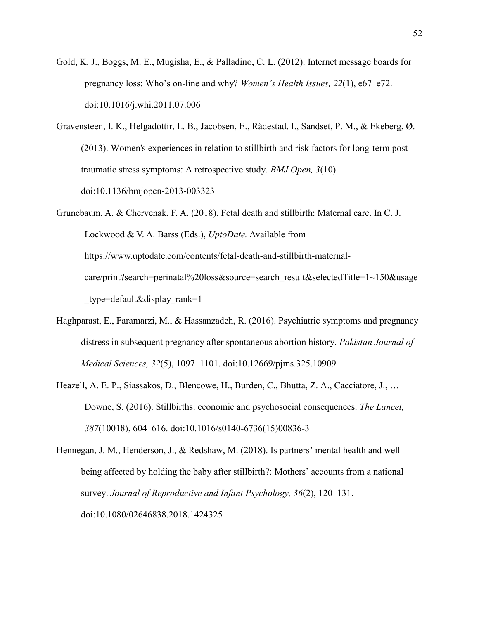- Gold, K. J., Boggs, M. E., Mugisha, E., & Palladino, C. L. (2012). Internet message boards for pregnancy loss: Who's on-line and why? *Women's Health Issues, 22*(1), e67–e72. doi:10.1016/j.whi.2011.07.006
- Gravensteen, I. K., Helgadóttir, L. B., Jacobsen, E., Rådestad, I., Sandset, P. M., & Ekeberg, Ø. (2013). Women's experiences in relation to stillbirth and risk factors for long-term posttraumatic stress symptoms: A retrospective study. *BMJ Open, 3*(10). doi:10.1136/bmjopen-2013-003323
- Grunebaum, A. & Chervenak, F. A. (2018). Fetal death and stillbirth: Maternal care. In C. J. Lockwood & V. A. Barss (Eds.), *UptoDate.* Available from https://www.uptodate.com/contents/fetal-death-and-stillbirth-maternalcare/print?search=perinatal%20loss&source=search\_result&selectedTitle=1~150&usage \_type=default&display\_rank=1
- Haghparast, E., Faramarzi, M., & Hassanzadeh, R. (2016). Psychiatric symptoms and pregnancy distress in subsequent pregnancy after spontaneous abortion history. *Pakistan Journal of Medical Sciences, 32*(5), 1097–1101. doi:10.12669/pjms.325.10909
- Heazell, A. E. P., Siassakos, D., Blencowe, H., Burden, C., Bhutta, Z. A., Cacciatore, J., … Downe, S. (2016). Stillbirths: economic and psychosocial consequences. *The Lancet, 387*(10018), 604–616. doi:10.1016/s0140-6736(15)00836-3
- Hennegan, J. M., Henderson, J., & Redshaw, M. (2018). Is partners' mental health and wellbeing affected by holding the baby after stillbirth?: Mothers' accounts from a national survey. *Journal of Reproductive and Infant Psychology, 36*(2), 120–131. doi:10.1080/02646838.2018.1424325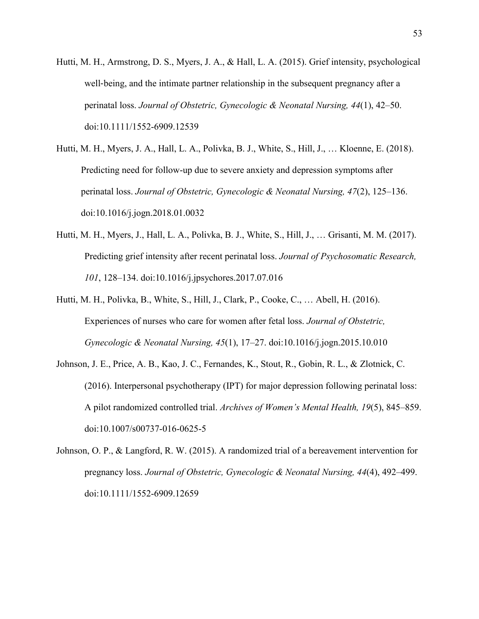- Hutti, M. H., Armstrong, D. S., Myers, J. A., & Hall, L. A. (2015). Grief intensity, psychological well-being, and the intimate partner relationship in the subsequent pregnancy after a perinatal loss. *Journal of Obstetric, Gynecologic & Neonatal Nursing, 44*(1), 42–50. doi:10.1111/1552-6909.12539
- Hutti, M. H., Myers, J. A., Hall, L. A., Polivka, B. J., White, S., Hill, J., … Kloenne, E. (2018). Predicting need for follow-up due to severe anxiety and depression symptoms after perinatal loss. *Journal of Obstetric, Gynecologic & Neonatal Nursing, 47*(2), 125–136. doi:10.1016/j.jogn.2018.01.0032
- Hutti, M. H., Myers, J., Hall, L. A., Polivka, B. J., White, S., Hill, J., … Grisanti, M. M. (2017). Predicting grief intensity after recent perinatal loss. *Journal of Psychosomatic Research, 101*, 128–134. doi:10.1016/j.jpsychores.2017.07.016
- Hutti, M. H., Polivka, B., White, S., Hill, J., Clark, P., Cooke, C., … Abell, H. (2016). Experiences of nurses who care for women after fetal loss. *Journal of Obstetric, Gynecologic & Neonatal Nursing, 45*(1), 17–27. doi:10.1016/j.jogn.2015.10.010
- Johnson, J. E., Price, A. B., Kao, J. C., Fernandes, K., Stout, R., Gobin, R. L., & Zlotnick, C. (2016). Interpersonal psychotherapy (IPT) for major depression following perinatal loss: A pilot randomized controlled trial. *Archives of Women's Mental Health, 19*(5), 845–859. doi:10.1007/s00737-016-0625-5
- Johnson, O. P., & Langford, R. W. (2015). A randomized trial of a bereavement intervention for pregnancy loss. *Journal of Obstetric, Gynecologic & Neonatal Nursing, 44*(4), 492–499. doi:10.1111/1552-6909.12659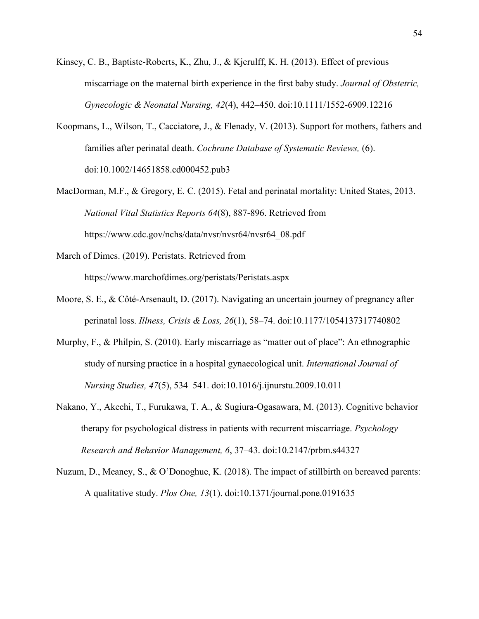- Kinsey, C. B., Baptiste-Roberts, K., Zhu, J., & Kjerulff, K. H. (2013). Effect of previous miscarriage on the maternal birth experience in the first baby study. *Journal of Obstetric, Gynecologic & Neonatal Nursing, 42*(4), 442–450. doi:10.1111/1552-6909.12216
- Koopmans, L., Wilson, T., Cacciatore, J., & Flenady, V. (2013). Support for mothers, fathers and families after perinatal death. *Cochrane Database of Systematic Reviews,* (6). doi:10.1002/14651858.cd000452.pub3
- MacDorman, M.F., & Gregory, E. C. (2015). Fetal and perinatal mortality: United States, 2013. *National Vital Statistics Reports 64*(8), 887-896. Retrieved from https://www.cdc.gov/nchs/data/nvsr/nvsr64/nvsr64\_08.pdf
- March of Dimes. (2019). Peristats. Retrieved from https://www.marchofdimes.org/peristats/Peristats.aspx
- Moore, S. E., & Côté-Arsenault, D. (2017). Navigating an uncertain journey of pregnancy after perinatal loss. *Illness, Crisis & Loss, 26*(1), 58–74. doi:10.1177/1054137317740802
- Murphy, F., & Philpin, S. (2010). Early miscarriage as "matter out of place": An ethnographic study of nursing practice in a hospital gynaecological unit. *International Journal of Nursing Studies, 47*(5), 534–541. doi:10.1016/j.ijnurstu.2009.10.011
- Nakano, Y., Akechi, T., Furukawa, T. A., & Sugiura-Ogasawara, M. (2013). Cognitive behavior therapy for psychological distress in patients with recurrent miscarriage. *Psychology Research and Behavior Management, 6*, 37–43. doi:10.2147/prbm.s44327
- Nuzum, D., Meaney, S., & O'Donoghue, K. (2018). The impact of stillbirth on bereaved parents: A qualitative study. *Plos One, 13*(1). doi:10.1371/journal.pone.0191635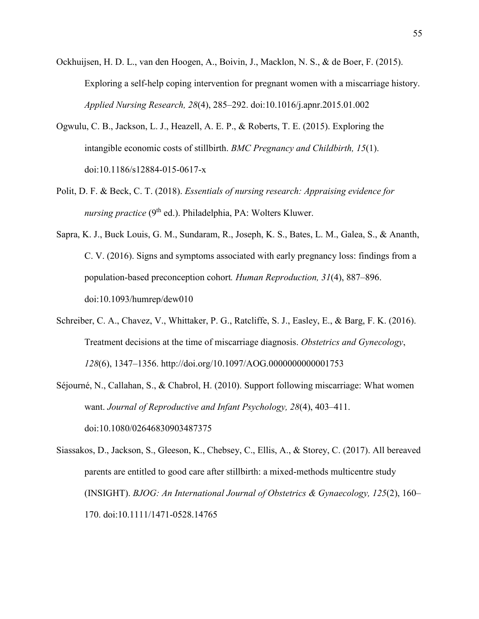- Ockhuijsen, H. D. L., van den Hoogen, A., Boivin, J., Macklon, N. S., & de Boer, F. (2015). Exploring a self-help coping intervention for pregnant women with a miscarriage history. *Applied Nursing Research, 28*(4), 285–292. doi:10.1016/j.apnr.2015.01.002
- Ogwulu, C. B., Jackson, L. J., Heazell, A. E. P., & Roberts, T. E. (2015). Exploring the intangible economic costs of stillbirth. *BMC Pregnancy and Childbirth, 15*(1). doi:10.1186/s12884-015-0617-x
- Polit, D. F. & Beck, C. T. (2018). *Essentials of nursing research: Appraising evidence for nursing practice* (9<sup>th</sup> ed.). Philadelphia, PA: Wolters Kluwer.
- Sapra, K. J., Buck Louis, G. M., Sundaram, R., Joseph, K. S., Bates, L. M., Galea, S., & Ananth, C. V. (2016). Signs and symptoms associated with early pregnancy loss: findings from a population-based preconception cohort*. Human Reproduction, 31*(4), 887–896. doi:10.1093/humrep/dew010
- Schreiber, C. A., Chavez, V., Whittaker, P. G., Ratcliffe, S. J., Easley, E., & Barg, F. K. (2016). Treatment decisions at the time of miscarriage diagnosis. *Obstetrics and Gynecology*, *128*(6), 1347–1356. http://doi.org/10.1097/AOG.0000000000001753
- Séjourné, N., Callahan, S., & Chabrol, H. (2010). Support following miscarriage: What women want. *Journal of Reproductive and Infant Psychology, 28*(4), 403–411. doi:10.1080/02646830903487375
- Siassakos, D., Jackson, S., Gleeson, K., Chebsey, C., Ellis, A., & Storey, C. (2017). All bereaved parents are entitled to good care after stillbirth: a mixed-methods multicentre study (INSIGHT). *BJOG: An International Journal of Obstetrics & Gynaecology, 125*(2), 160– 170. doi:10.1111/1471-0528.14765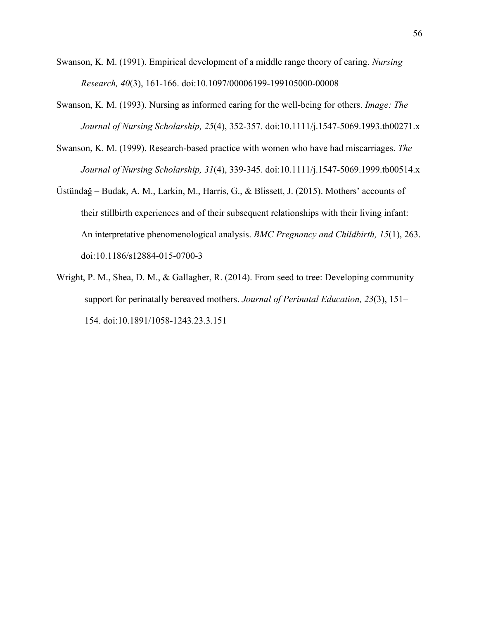- Swanson, K. M. (1991). Empirical development of a middle range theory of caring. *Nursing Research, 40*(3), 161-166. doi:10.1097/00006199-199105000-00008
- Swanson, K. M. (1993). Nursing as informed caring for the well-being for others. *Image: The Journal of Nursing Scholarship, 25*(4), 352-357. doi:10.1111/j.1547-5069.1993.tb00271.x
- Swanson, K. M. (1999). Research-based practice with women who have had miscarriages. *The Journal of Nursing Scholarship, 31*(4), 339-345. doi:10.1111/j.1547-5069.1999.tb00514.x
- Üstündağ Budak, A. M., Larkin, M., Harris, G., & Blissett, J. (2015). Mothers' accounts of their stillbirth experiences and of their subsequent relationships with their living infant: An interpretative phenomenological analysis. *BMC Pregnancy and Childbirth, 15*(1), 263. doi:10.1186/s12884-015-0700-3
- Wright, P. M., Shea, D. M., & Gallagher, R. (2014). From seed to tree: Developing community support for perinatally bereaved mothers. *Journal of Perinatal Education, 23*(3), 151– 154. doi:10.1891/1058-1243.23.3.151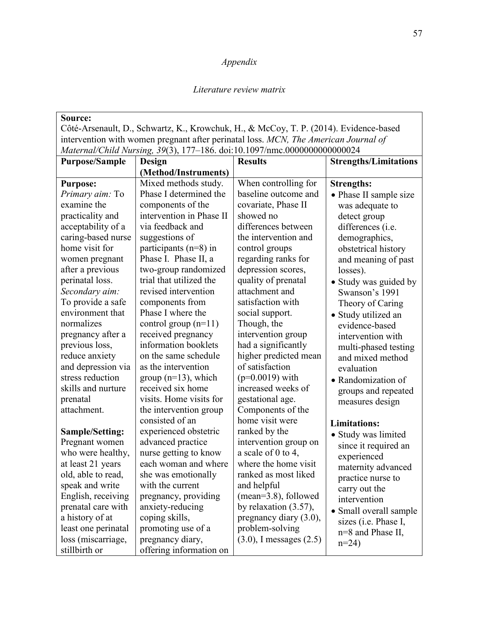# *Appendix*

#### *Literature review matrix*

| Source:                |                                                                                       |                              |                              |
|------------------------|---------------------------------------------------------------------------------------|------------------------------|------------------------------|
|                        | Côté-Arsenault, D., Schwartz, K., Krowchuk, H., & McCoy, T. P. (2014). Evidence-based |                              |                              |
|                        | intervention with women pregnant after perinatal loss. MCN, The American Journal of   |                              |                              |
|                        | Maternal/Child Nursing, 39(3), 177-186. doi:10.1097/nmc.000000000000024               |                              |                              |
| <b>Purpose/Sample</b>  | Design                                                                                | <b>Results</b>               | <b>Strengths/Limitations</b> |
|                        | (Method/Instruments)                                                                  |                              |                              |
| <b>Purpose:</b>        | Mixed methods study.                                                                  | When controlling for         | <b>Strengths:</b>            |
| Primary aim: To        | Phase I determined the                                                                | baseline outcome and         | • Phase II sample size       |
| examine the            | components of the                                                                     | covariate, Phase II          | was adequate to              |
| practicality and       | intervention in Phase II                                                              | showed no                    | detect group                 |
| acceptability of a     | via feedback and                                                                      | differences between          | differences (i.e.            |
| caring-based nurse     | suggestions of                                                                        | the intervention and         | demographics,                |
| home visit for         | participants $(n=8)$ in                                                               | control groups               | obstetrical history          |
| women pregnant         | Phase I. Phase II, a                                                                  | regarding ranks for          | and meaning of past          |
| after a previous       | two-group randomized                                                                  | depression scores,           | losses).                     |
| perinatal loss.        | trial that utilized the                                                               | quality of prenatal          | • Study was guided by        |
| Secondary aim:         | revised intervention                                                                  | attachment and               | Swanson's 1991               |
| To provide a safe      | components from                                                                       | satisfaction with            | Theory of Caring             |
| environment that       | Phase I where the                                                                     | social support.              | • Study utilized an          |
| normalizes             | control group $(n=11)$                                                                | Though, the                  | evidence-based               |
| pregnancy after a      | received pregnancy                                                                    | intervention group           | intervention with            |
| previous loss,         | information booklets                                                                  | had a significantly          | multi-phased testing         |
| reduce anxiety         | on the same schedule                                                                  | higher predicted mean        | and mixed method             |
| and depression via     | as the intervention                                                                   | of satisfaction              | evaluation                   |
| stress reduction       | group $(n=13)$ , which                                                                | $(p=0.0019)$ with            | • Randomization of           |
| skills and nurture     | received six home                                                                     | increased weeks of           | groups and repeated          |
| prenatal               | visits. Home visits for                                                               | gestational age.             | measures design              |
| attachment.            | the intervention group                                                                | Components of the            |                              |
|                        | consisted of an                                                                       | home visit were              | <b>Limitations:</b>          |
| <b>Sample/Setting:</b> | experienced obstetric                                                                 | ranked by the                | • Study was limited          |
| Pregnant women         | advanced practice                                                                     | intervention group on        | since it required an         |
| who were healthy,      | nurse getting to know                                                                 | a scale of 0 to 4,           | experienced                  |
| at least 21 years      | each woman and where                                                                  | where the home visit         | maternity advanced           |
| old, able to read,     | she was emotionally                                                                   | ranked as most liked         | practice nurse to            |
| speak and write        | with the current                                                                      | and helpful                  | carry out the                |
| English, receiving     | pregnancy, providing                                                                  | $(mean=3.8)$ , followed      | intervention                 |
| prenatal care with     | anxiety-reducing                                                                      | by relaxation $(3.57)$ ,     | • Small overall sample       |
| a history of at        | coping skills,                                                                        | pregnancy diary $(3.0)$ ,    | sizes (i.e. Phase I,         |
| least one perinatal    | promoting use of a                                                                    | problem-solving              | n=8 and Phase II,            |
| loss (miscarriage,     | pregnancy diary,                                                                      | $(3.0)$ , I messages $(2.5)$ | $n=24$                       |
| stillbirth or          | offering information on                                                               |                              |                              |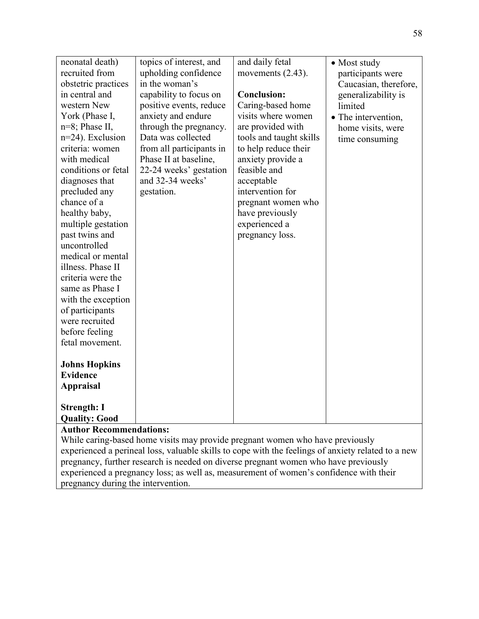| neonatal death)<br>recruited from<br>obstetric practices<br>in central and<br>western New<br>York (Phase I,<br>$n=8$ ; Phase II,<br>$n=24$ ). Exclusion<br>criteria: women<br>with medical<br>conditions or fetal<br>diagnoses that<br>precluded any<br>chance of a<br>healthy baby,<br>multiple gestation<br>past twins and<br>uncontrolled<br>medical or mental<br>illness. Phase II<br>criteria were the<br>same as Phase I<br>with the exception<br>of participants<br>were recruited<br>before feeling<br>fetal movement.<br><b>Johns Hopkins</b><br><b>Evidence</b><br><b>Appraisal</b><br><b>Strength: I</b><br><b>Quality: Good</b> | topics of interest, and<br>upholding confidence<br>in the woman's<br>capability to focus on<br>positive events, reduce<br>anxiety and endure<br>through the pregnancy.<br>Data was collected<br>from all participants in<br>Phase II at baseline,<br>22-24 weeks' gestation<br>and 32-34 weeks'<br>gestation. | and daily fetal<br>movements $(2.43)$ .<br><b>Conclusion:</b><br>Caring-based home<br>visits where women<br>are provided with<br>tools and taught skills<br>to help reduce their<br>anxiety provide a<br>feasible and<br>acceptable<br>intervention for<br>pregnant women who<br>have previously<br>experienced a<br>pregnancy loss. | • Most study<br>participants were<br>Caucasian, therefore,<br>generalizability is<br>limited<br>• The intervention,<br>home visits, were<br>time consuming |
|---------------------------------------------------------------------------------------------------------------------------------------------------------------------------------------------------------------------------------------------------------------------------------------------------------------------------------------------------------------------------------------------------------------------------------------------------------------------------------------------------------------------------------------------------------------------------------------------------------------------------------------------|---------------------------------------------------------------------------------------------------------------------------------------------------------------------------------------------------------------------------------------------------------------------------------------------------------------|--------------------------------------------------------------------------------------------------------------------------------------------------------------------------------------------------------------------------------------------------------------------------------------------------------------------------------------|------------------------------------------------------------------------------------------------------------------------------------------------------------|
| <b>Author Recommendations:</b>                                                                                                                                                                                                                                                                                                                                                                                                                                                                                                                                                                                                              |                                                                                                                                                                                                                                                                                                               |                                                                                                                                                                                                                                                                                                                                      |                                                                                                                                                            |
|                                                                                                                                                                                                                                                                                                                                                                                                                                                                                                                                                                                                                                             |                                                                                                                                                                                                                                                                                                               |                                                                                                                                                                                                                                                                                                                                      |                                                                                                                                                            |

While caring-based home visits may provide pregnant women who have previously experienced a perineal loss, valuable skills to cope with the feelings of anxiety related to a new pregnancy, further research is needed on diverse pregnant women who have previously experienced a pregnancy loss; as well as, measurement of women's confidence with their pregnancy during the intervention.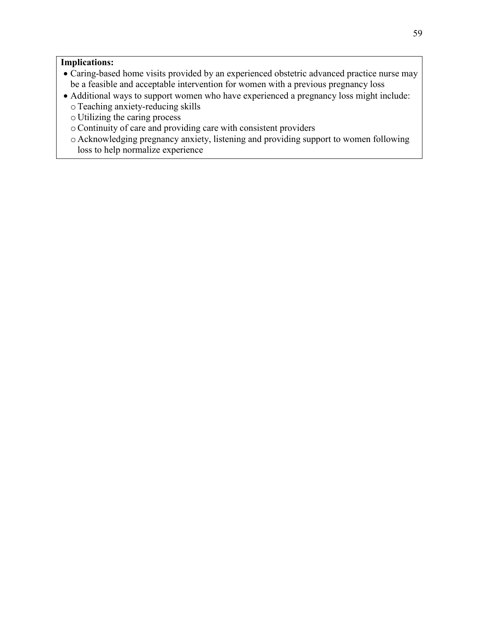#### **Implications:**

- Caring-based home visits provided by an experienced obstetric advanced practice nurse may be a feasible and acceptable intervention for women with a previous pregnancy loss
- Additional ways to support women who have experienced a pregnancy loss might include: oTeaching anxiety-reducing skills
	- o Utilizing the caring process
	- oContinuity of care and providing care with consistent providers
	- o Acknowledging pregnancy anxiety, listening and providing support to women following loss to help normalize experience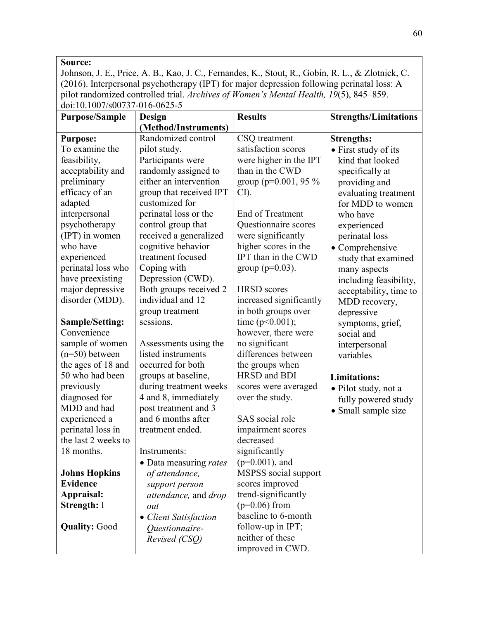#### **Source:**

Johnson, J. E., Price, A. B., Kao, J. C., Fernandes, K., Stout, R., Gobin, R. L., & Zlotnick, C. (2016). Interpersonal psychotherapy (IPT) for major depression following perinatal loss: A pilot randomized controlled trial. *Archives of Women's Mental Health, 19*(5), 845–859. doi:10.1007/s00737-016-0625-5

| <b>Purpose/Sample</b>  | Design                  | <b>Results</b>           | <b>Strengths/Limitations</b> |
|------------------------|-------------------------|--------------------------|------------------------------|
|                        | (Method/Instruments)    |                          |                              |
| <b>Purpose:</b>        | Randomized control      | CSQ treatment            | <b>Strengths:</b>            |
| To examine the         | pilot study.            | satisfaction scores      | • First study of its         |
| feasibility,           | Participants were       | were higher in the IPT   | kind that looked             |
| acceptability and      | randomly assigned to    | than in the CWD          | specifically at              |
| preliminary            | either an intervention  | group ( $p=0.001$ , 95 % | providing and                |
| efficacy of an         | group that received IPT | $CI$ ).                  | evaluating treatment         |
| adapted                | customized for          |                          | for MDD to women             |
| interpersonal          | perinatal loss or the   | End of Treatment         | who have                     |
| psychotherapy          | control group that      | Questionnaire scores     | experienced                  |
| (IPT) in women         | received a generalized  | were significantly       | perinatal loss               |
| who have               | cognitive behavior      | higher scores in the     | • Comprehensive              |
| experienced            | treatment focused       | IPT than in the CWD      | study that examined          |
| perinatal loss who     | Coping with             | group ( $p=0.03$ ).      | many aspects                 |
| have preexisting       | Depression (CWD).       |                          | including feasibility,       |
| major depressive       | Both groups received 2  | <b>HRSD</b> scores       | acceptability, time to       |
| disorder (MDD).        | individual and 12       | increased significantly  | MDD recovery,                |
|                        | group treatment         | in both groups over      | depressive                   |
| <b>Sample/Setting:</b> | sessions.               | time $(p<0.001)$ ;       | symptoms, grief,             |
| Convenience            |                         | however, there were      | social and                   |
| sample of women        | Assessments using the   | no significant           | interpersonal                |
| $(n=50)$ between       | listed instruments      | differences between      | variables                    |
| the ages of 18 and     | occurred for both       | the groups when          |                              |
| 50 who had been        | groups at baseline,     | HRSD and BDI             | <b>Limitations:</b>          |
| previously             | during treatment weeks  | scores were averaged     | • Pilot study, not a         |
| diagnosed for          | 4 and 8, immediately    | over the study.          | fully powered study          |
| MDD and had            | post treatment and 3    |                          | • Small sample size          |
| experienced a          | and 6 months after      | SAS social role          |                              |
| perinatal loss in      | treatment ended.        | impairment scores        |                              |
| the last 2 weeks to    |                         | decreased                |                              |
| 18 months.             | Instruments:            | significantly            |                              |
|                        | · Data measuring rates  | $(p=0.001)$ , and        |                              |
| <b>Johns Hopkins</b>   | of attendance,          | MSPSS social support     |                              |
| <b>Evidence</b>        | support person          | scores improved          |                              |
| Appraisal:             | attendance, and drop    | trend-significantly      |                              |
| <b>Strength: I</b>     | out                     | $(p=0.06)$ from          |                              |
|                        | • Client Satisfaction   | baseline to 6-month      |                              |
| <b>Quality: Good</b>   | Questionnaire-          | follow-up in IPT;        |                              |
|                        | Revised (CSQ)           | neither of these         |                              |
|                        |                         | improved in CWD.         |                              |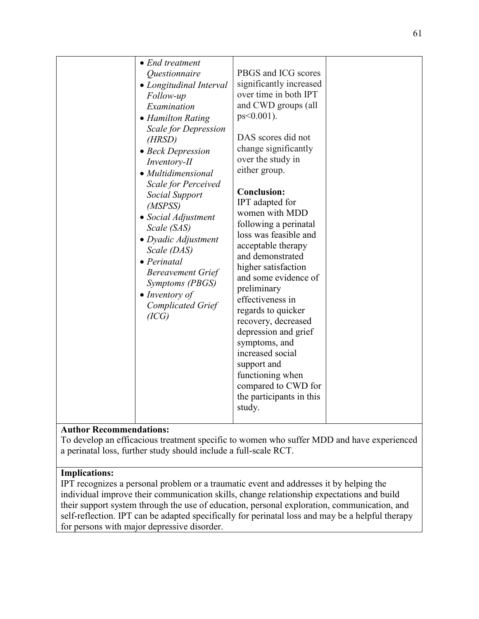## **Author Recommendations:**

To develop an efficacious treatment specific to women who suffer MDD and have experienced a perinatal loss, further study should include a full-scale RCT.

#### **Implications:**

IPT recognizes a personal problem or a traumatic event and addresses it by helping the individual improve their communication skills, change relationship expectations and build their support system through the use of education, personal exploration, communication, and self-reflection. IPT can be adapted specifically for perinatal loss and may be a helpful therapy for persons with major depressive disorder.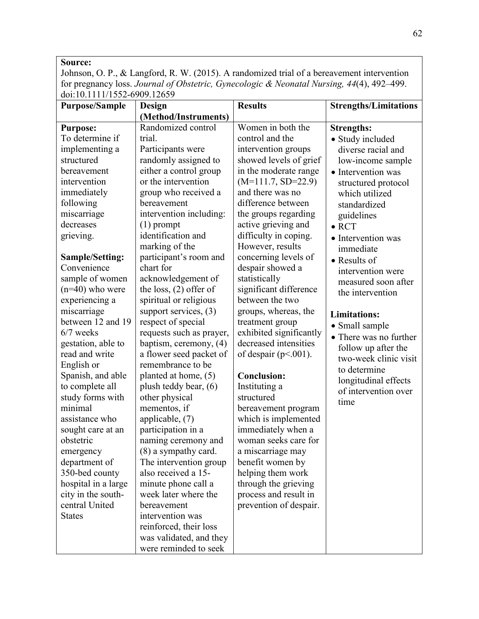## **Source:**

Johnson, O. P., & Langford, R. W. (2015). A randomized trial of a bereavement intervention for pregnancy loss. *Journal of Obstetric, Gynecologic & Neonatal Nursing, 44*(4), 492–499. doi:10.1111/1552-6909.12659

| <b>Purpose/Sample</b>  | Design                   | <b>Results</b>          | <b>Strengths/Limitations</b> |
|------------------------|--------------------------|-------------------------|------------------------------|
|                        | (Method/Instruments)     |                         |                              |
| <b>Purpose:</b>        | Randomized control       | Women in both the       | <b>Strengths:</b>            |
| To determine if        | trial.                   | control and the         | • Study included             |
| implementing a         | Participants were        | intervention groups     | diverse racial and           |
| structured             | randomly assigned to     | showed levels of grief  | low-income sample            |
| bereavement            | either a control group   | in the moderate range   | • Intervention was           |
| intervention           | or the intervention      | $(M=111.7, SD=22.9)$    | structured protocol          |
| immediately            | group who received a     | and there was no        | which utilized               |
| following              | bereavement              | difference between      | standardized                 |
| miscarriage            | intervention including:  | the groups regarding    | guidelines                   |
| decreases              | $(1)$ prompt             | active grieving and     | $\bullet$ RCT                |
| grieving.              | identification and       | difficulty in coping.   | • Intervention was           |
|                        | marking of the           | However, results        | immediate                    |
| <b>Sample/Setting:</b> | participant's room and   | concerning levels of    | $\bullet$ Results of         |
| Convenience            | chart for                | despair showed a        | intervention were            |
| sample of women        | acknowledgement of       | statistically           | measured soon after          |
| $(n=40)$ who were      | the loss, $(2)$ offer of | significant difference  | the intervention             |
| experiencing a         | spiritual or religious   | between the two         |                              |
| miscarriage            | support services, $(3)$  | groups, whereas, the    | <b>Limitations:</b>          |
| between 12 and 19      | respect of special       | treatment group         | • Small sample               |
| $6/7$ weeks            | requests such as prayer, | exhibited significantly | • There was no further       |
| gestation, able to     | baptism, ceremony, (4)   | decreased intensities   | follow up after the          |
| read and write         | a flower seed packet of  | of despair $(p<.001)$ . | two-week clinic visit        |
| English or             | remembrance to be        |                         | to determine                 |
| Spanish, and able      | planted at home, (5)     | <b>Conclusion:</b>      | longitudinal effects         |
| to complete all        | plush teddy bear, (6)    | Instituting a           | of intervention over         |
| study forms with       | other physical           | structured              | time                         |
| minimal                | mementos, if             | bereavement program     |                              |
| assistance who         | applicable, (7)          | which is implemented    |                              |
| sought care at an      | participation in a       | immediately when a      |                              |
| obstetric              | naming ceremony and      | woman seeks care for    |                              |
| emergency              | (8) a sympathy card.     | a miscarriage may       |                              |
| department of          | The intervention group   | benefit women by        |                              |
| 350-bed county         | also received a 15-      | helping them work       |                              |
| hospital in a large    | minute phone call a      | through the grieving    |                              |
| city in the south-     | week later where the     | process and result in   |                              |
| central United         | bereavement              | prevention of despair.  |                              |
| <b>States</b>          | intervention was         |                         |                              |
|                        | reinforced, their loss   |                         |                              |
|                        | was validated, and they  |                         |                              |
|                        | were reminded to seek    |                         |                              |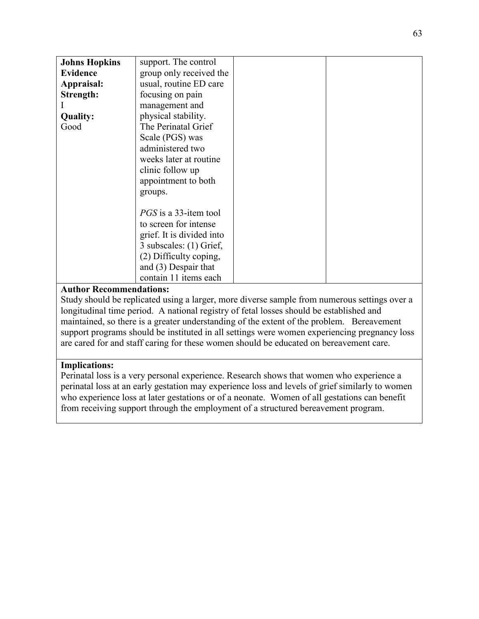| <b>Johns Hopkins</b> | support. The control         |  |
|----------------------|------------------------------|--|
| <b>Evidence</b>      | group only received the      |  |
| Appraisal:           | usual, routine ED care       |  |
| Strength:            | focusing on pain             |  |
|                      | management and               |  |
| <b>Quality:</b>      | physical stability.          |  |
| Good                 | The Perinatal Grief          |  |
|                      | Scale (PGS) was              |  |
|                      | administered two             |  |
|                      | weeks later at routine       |  |
|                      | clinic follow up             |  |
|                      | appointment to both          |  |
|                      | groups.                      |  |
|                      |                              |  |
|                      | <i>PGS</i> is a 33-item tool |  |
|                      | to screen for intense        |  |
|                      | grief. It is divided into    |  |
|                      | 3 subscales: (1) Grief,      |  |
|                      | (2) Difficulty coping,       |  |
|                      | and $(3)$ Despair that       |  |
|                      | contain 11 items each        |  |
|                      |                              |  |

## **Author Recommendations:**

Study should be replicated using a larger, more diverse sample from numerous settings over a longitudinal time period. A national registry of fetal losses should be established and maintained, so there is a greater understanding of the extent of the problem. Bereavement support programs should be instituted in all settings were women experiencing pregnancy loss are cared for and staff caring for these women should be educated on bereavement care.

## **Implications:**

Perinatal loss is a very personal experience. Research shows that women who experience a perinatal loss at an early gestation may experience loss and levels of grief similarly to women who experience loss at later gestations or of a neonate. Women of all gestations can benefit from receiving support through the employment of a structured bereavement program.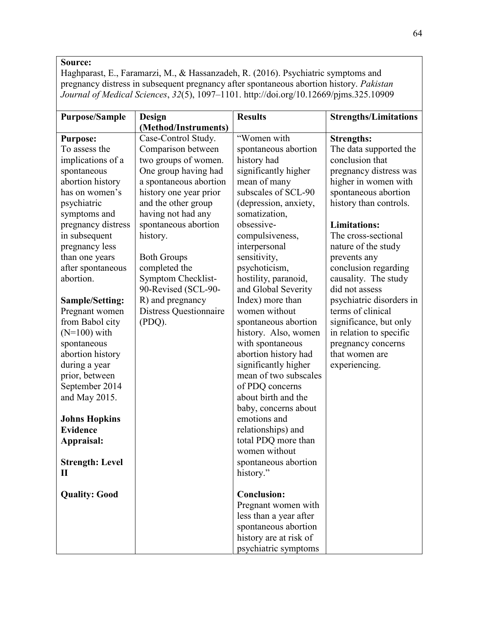## **Source:**

Haghparast, E., Faramarzi, M., & Hassanzadeh, R. (2016). Psychiatric symptoms and pregnancy distress in subsequent pregnancy after spontaneous abortion history. *Pakistan Journal of Medical Sciences*, *32*(5), 1097–1101. http://doi.org/10.12669/pjms.325.10909

| <b>Purpose/Sample</b>                                                                                                                                                                                                                                                                    | Design<br>(Method/Instruments)                                                                                       | <b>Results</b>                                                                                                                                                                                                                                                                                                                                                      | <b>Strengths/Limitations</b>                                                                                                                                |
|------------------------------------------------------------------------------------------------------------------------------------------------------------------------------------------------------------------------------------------------------------------------------------------|----------------------------------------------------------------------------------------------------------------------|---------------------------------------------------------------------------------------------------------------------------------------------------------------------------------------------------------------------------------------------------------------------------------------------------------------------------------------------------------------------|-------------------------------------------------------------------------------------------------------------------------------------------------------------|
| <b>Purpose:</b><br>To assess the<br>implications of a<br>spontaneous<br>abortion history                                                                                                                                                                                                 | Case-Control Study.<br>Comparison between<br>two groups of women.<br>One group having had<br>a spontaneous abortion  | "Women with<br>spontaneous abortion<br>history had<br>significantly higher<br>mean of many<br>subscales of SCL-90                                                                                                                                                                                                                                                   | <b>Strengths:</b><br>The data supported the<br>conclusion that<br>pregnancy distress was<br>higher in women with                                            |
| has on women's<br>psychiatric<br>symptoms and                                                                                                                                                                                                                                            | history one year prior<br>and the other group<br>having not had any                                                  | (depression, anxiety,<br>somatization,                                                                                                                                                                                                                                                                                                                              | spontaneous abortion<br>history than controls.                                                                                                              |
| pregnancy distress<br>in subsequent<br>pregnancy less<br>than one years<br>after spontaneous<br>abortion.                                                                                                                                                                                | spontaneous abortion<br>history.<br><b>Both Groups</b><br>completed the<br>Symptom Checklist-<br>90-Revised (SCL-90- | obsessive-<br>compulsiveness,<br>interpersonal<br>sensitivity,<br>psychoticism,<br>hostility, paranoid,<br>and Global Severity                                                                                                                                                                                                                                      | <b>Limitations:</b><br>The cross-sectional<br>nature of the study<br>prevents any<br>conclusion regarding<br>causality. The study<br>did not assess         |
| <b>Sample/Setting:</b><br>Pregnant women<br>from Babol city<br>$(N=100)$ with<br>spontaneous<br>abortion history<br>during a year<br>prior, between<br>September 2014<br>and May 2015.<br><b>Johns Hopkins</b><br><b>Evidence</b><br>Appraisal:<br><b>Strength: Level</b><br>$\mathbf H$ | R) and pregnancy<br><b>Distress Questionnaire</b><br>(PDQ).                                                          | Index) more than<br>women without<br>spontaneous abortion<br>history. Also, women<br>with spontaneous<br>abortion history had<br>significantly higher<br>mean of two subscales<br>of PDQ concerns<br>about birth and the<br>baby, concerns about<br>emotions and<br>relationships) and<br>total PDQ more than<br>women without<br>spontaneous abortion<br>history." | psychiatric disorders in<br>terms of clinical<br>significance, but only<br>in relation to specific<br>pregnancy concerns<br>that women are<br>experiencing. |
| <b>Quality: Good</b>                                                                                                                                                                                                                                                                     |                                                                                                                      | <b>Conclusion:</b><br>Pregnant women with<br>less than a year after<br>spontaneous abortion<br>history are at risk of<br>psychiatric symptoms                                                                                                                                                                                                                       |                                                                                                                                                             |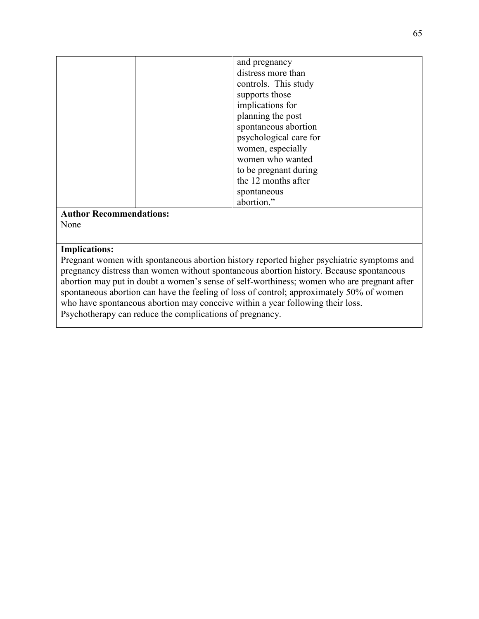| and pregnancy          |
|------------------------|
| distress more than     |
| controls. This study   |
| supports those         |
|                        |
| implications for       |
| planning the post      |
| spontaneous abortion   |
| psychological care for |
| women, especially      |
| women who wanted       |
| to be pregnant during  |
| the 12 months after    |
| spontaneous            |
| abortion."             |

#### **Author Recommendations:** None

## **Implications:**

Pregnant women with spontaneous abortion history reported higher psychiatric symptoms and pregnancy distress than women without spontaneous abortion history. Because spontaneous abortion may put in doubt a women's sense of self-worthiness; women who are pregnant after spontaneous abortion can have the feeling of loss of control; approximately 50% of women who have spontaneous abortion may conceive within a year following their loss. Psychotherapy can reduce the complications of pregnancy.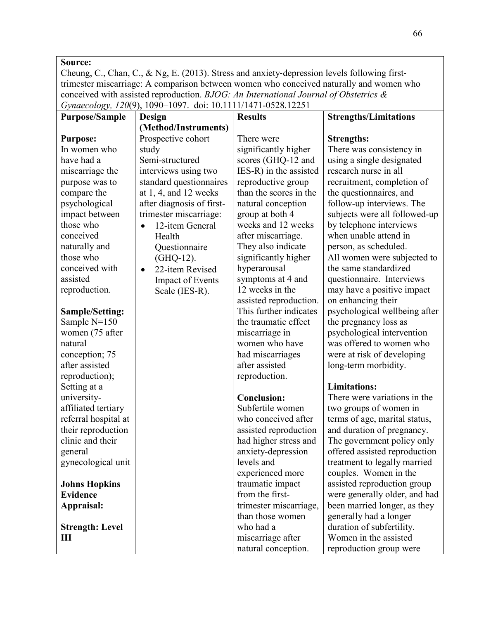#### **Source:**

Cheung, C., Chan, C., & Ng, E. (2013). Stress and anxiety-depression levels following firsttrimester miscarriage: A comparison between women who conceived naturally and women who conceived with assisted reproduction. *BJOG: An International Journal of Obstetrics & Gynaecology, 120*(9), 1090–1097. doi: 10.1111/1471-0528.12251

| <b>Purpose/Sample</b>  | Design                       | <b>Results</b>         | <b>Strengths/Limitations</b>  |
|------------------------|------------------------------|------------------------|-------------------------------|
|                        | (Method/Instruments)         |                        |                               |
| <b>Purpose:</b>        | Prospective cohort           | There were             | <b>Strengths:</b>             |
| In women who           | study                        | significantly higher   | There was consistency in      |
| have had a             | Semi-structured              | scores (GHQ-12 and     | using a single designated     |
| miscarriage the        | interviews using two         | IES-R) in the assisted | research nurse in all         |
| purpose was to         | standard questionnaires      | reproductive group     | recruitment, completion of    |
| compare the            | at $1, 4$ , and $12$ weeks   | than the scores in the | the questionnaires, and       |
| psychological          | after diagnosis of first-    | natural conception     | follow-up interviews. The     |
| impact between         | trimester miscarriage:       | group at both 4        | subjects were all followed-up |
| those who              | 12-item General<br>$\bullet$ | weeks and 12 weeks     | by telephone interviews       |
| conceived              | Health                       | after miscarriage.     | when unable attend in         |
| naturally and          | Questionnaire                | They also indicate     | person, as scheduled.         |
| those who              | (GHQ-12).                    | significantly higher   | All women were subjected to   |
| conceived with         | 22-item Revised<br>$\bullet$ | hyperarousal           | the same standardized         |
| assisted               | <b>Impact of Events</b>      | symptoms at 4 and      | questionnaire. Interviews     |
| reproduction.          | Scale (IES-R).               | 12 weeks in the        | may have a positive impact    |
|                        |                              | assisted reproduction. | on enhancing their            |
| <b>Sample/Setting:</b> |                              | This further indicates | psychological wellbeing after |
| Sample $N=150$         |                              | the traumatic effect   | the pregnancy loss as         |
| women (75 after        |                              | miscarriage in         | psychological intervention    |
| natural                |                              | women who have         | was offered to women who      |
| conception; 75         |                              | had miscarriages       | were at risk of developing    |
| after assisted         |                              | after assisted         | long-term morbidity.          |
| reproduction);         |                              | reproduction.          |                               |
| Setting at a           |                              |                        | <b>Limitations:</b>           |
| university-            |                              | <b>Conclusion:</b>     | There were variations in the  |
| affiliated tertiary    |                              | Subfertile women       | two groups of women in        |
| referral hospital at   |                              | who conceived after    | terms of age, marital status, |
| their reproduction     |                              | assisted reproduction  | and duration of pregnancy.    |
| clinic and their       |                              | had higher stress and  | The government policy only    |
| general                |                              | anxiety-depression     | offered assisted reproduction |
| gynecological unit     |                              | levels and             | treatment to legally married  |
|                        |                              | experienced more       | couples. Women in the         |
| <b>Johns Hopkins</b>   |                              | traumatic impact       | assisted reproduction group   |
| <b>Evidence</b>        |                              | from the first-        | were generally older, and had |
| Appraisal:             |                              | trimester miscarriage, | been married longer, as they  |
|                        |                              | than those women       | generally had a longer        |
| <b>Strength: Level</b> |                              | who had a              | duration of subfertility.     |
| Ш                      |                              | miscarriage after      | Women in the assisted         |
|                        |                              | natural conception.    | reproduction group were       |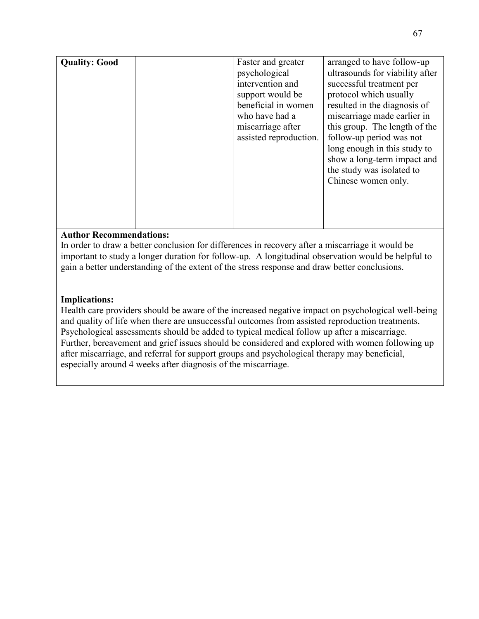| <b>Quality: Good</b> | Faster and greater     | arranged to have follow-up      |
|----------------------|------------------------|---------------------------------|
|                      |                        |                                 |
|                      | psychological          | ultrasounds for viability after |
|                      | intervention and       | successful treatment per        |
|                      | support would be       | protocol which usually          |
|                      | beneficial in women    | resulted in the diagnosis of    |
|                      | who have had a         | miscarriage made earlier in     |
|                      | miscarriage after      | this group. The length of the   |
|                      | assisted reproduction. | follow-up period was not        |
|                      |                        | long enough in this study to    |
|                      |                        | show a long-term impact and     |
|                      |                        | the study was isolated to       |
|                      |                        | Chinese women only.             |
|                      |                        |                                 |
|                      |                        |                                 |
|                      |                        |                                 |
|                      |                        |                                 |

## **Author Recommendations:**

In order to draw a better conclusion for differences in recovery after a miscarriage it would be important to study a longer duration for follow-up. A longitudinal observation would be helpful to gain a better understanding of the extent of the stress response and draw better conclusions.

#### **Implications:**

Health care providers should be aware of the increased negative impact on psychological well-being and quality of life when there are unsuccessful outcomes from assisted reproduction treatments. Psychological assessments should be added to typical medical follow up after a miscarriage. Further, bereavement and grief issues should be considered and explored with women following up after miscarriage, and referral for support groups and psychological therapy may beneficial, especially around 4 weeks after diagnosis of the miscarriage.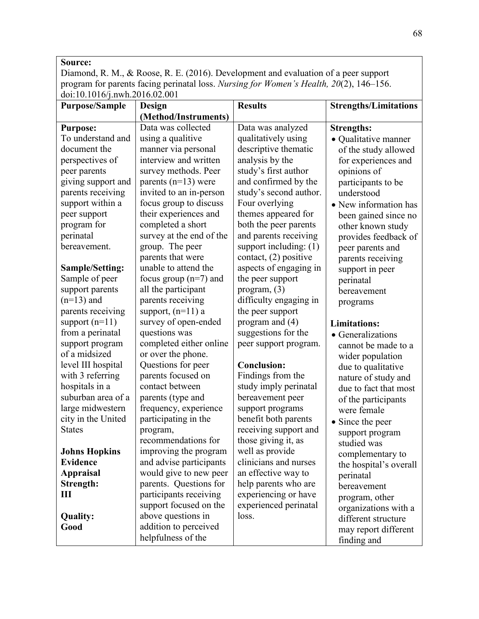## **Source:**

Diamond, R. M., & Roose, R. E. (2016). Development and evaluation of a peer support program for parents facing perinatal loss. *Nursing for Women's Health, 20*(2), 146–156. doi:10.1016/j.nwh.2016.02.001

| <b>Purpose/Sample</b>  | Design                   | <b>Results</b>         | <b>Strengths/Limitations</b> |
|------------------------|--------------------------|------------------------|------------------------------|
|                        | (Method/Instruments)     |                        |                              |
| <b>Purpose:</b>        | Data was collected       | Data was analyzed      | <b>Strengths:</b>            |
| To understand and      | using a qualitive        | qualitatively using    | · Qualitative manner         |
| document the           | manner via personal      | descriptive thematic   | of the study allowed         |
| perspectives of        | interview and written    | analysis by the        | for experiences and          |
| peer parents           | survey methods. Peer     | study's first author   | opinions of                  |
| giving support and     | parents $(n=13)$ were    | and confirmed by the   | participants to be           |
| parents receiving      | invited to an in-person  | study's second author. | understood                   |
| support within a       | focus group to discuss   | Four overlying         | • New information has        |
| peer support           | their experiences and    | themes appeared for    | been gained since no         |
| program for            | completed a short        | both the peer parents  | other known study            |
| perinatal              | survey at the end of the | and parents receiving  | provides feedback of         |
| bereavement.           | group. The peer          | support including: (1) | peer parents and             |
|                        | parents that were        | contact, (2) positive  | parents receiving            |
| <b>Sample/Setting:</b> | unable to attend the     | aspects of engaging in | support in peer              |
| Sample of peer         | focus group $(n=7)$ and  | the peer support       | perinatal                    |
| support parents        | all the participant      | program, $(3)$         | bereavement                  |
| $(n=13)$ and           | parents receiving        | difficulty engaging in | programs                     |
| parents receiving      | support, $(n=11)$ a      | the peer support       |                              |
| support $(n=11)$       | survey of open-ended     | program and $(4)$      | <b>Limitations:</b>          |
| from a perinatal       | questions was            | suggestions for the    | • Generalizations            |
| support program        | completed either online  | peer support program.  | cannot be made to a          |
| of a midsized          | or over the phone.       |                        | wider population             |
| level III hospital     | Questions for peer       | <b>Conclusion:</b>     | due to qualitative           |
| with 3 referring       | parents focused on       | Findings from the      | nature of study and          |
| hospitals in a         | contact between          | study imply perinatal  | due to fact that most        |
| suburban area of a     | parents (type and        | bereavement peer       | of the participants          |
| large midwestern       | frequency, experience    | support programs       | were female                  |
| city in the United     | participating in the     | benefit both parents   | • Since the peer             |
| <b>States</b>          | program,                 | receiving support and  | support program              |
|                        | recommendations for      | those giving it, as    | studied was                  |
| <b>Johns Hopkins</b>   | improving the program    | well as provide        | complementary to             |
| <b>Evidence</b>        | and advise participants  | clinicians and nurses  | the hospital's overall       |
| <b>Appraisal</b>       | would give to new peer   | an effective way to    | perinatal                    |
| Strength:              | parents. Questions for   | help parents who are   | bereavement                  |
| Ш                      | participants receiving   | experiencing or have   | program, other               |
|                        | support focused on the   | experienced perinatal  | organizations with a         |
| Quality:               | above questions in       | loss.                  | different structure          |
| Good                   | addition to perceived    |                        | may report different         |
|                        | helpfulness of the       |                        | finding and                  |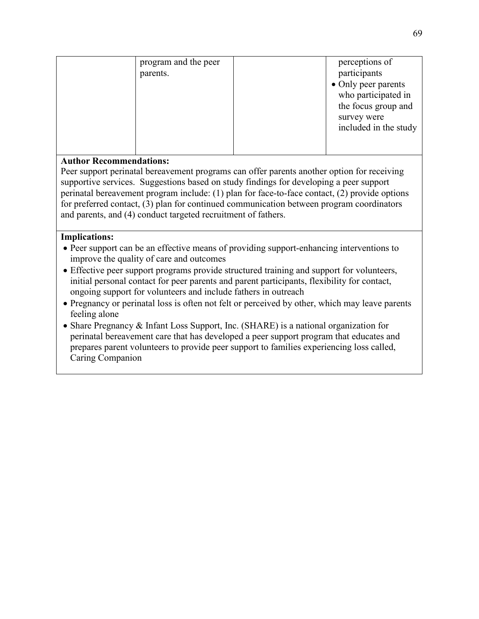| program and the peer | perceptions of        |
|----------------------|-----------------------|
| parents.             | participants          |
|                      | • Only peer parents   |
|                      | who participated in   |
|                      | the focus group and   |
|                      | survey were           |
|                      | included in the study |
|                      |                       |
|                      |                       |

## **Author Recommendations:**

Peer support perinatal bereavement programs can offer parents another option for receiving supportive services. Suggestions based on study findings for developing a peer support perinatal bereavement program include: (1) plan for face-to-face contact, (2) provide options for preferred contact, (3) plan for continued communication between program coordinators and parents, and (4) conduct targeted recruitment of fathers.

#### **Implications:**

- Peer support can be an effective means of providing support-enhancing interventions to improve the quality of care and outcomes
- Effective peer support programs provide structured training and support for volunteers, initial personal contact for peer parents and parent participants, flexibility for contact, ongoing support for volunteers and include fathers in outreach
- Pregnancy or perinatal loss is often not felt or perceived by other, which may leave parents feeling alone
- Share Pregnancy & Infant Loss Support, Inc. (SHARE) is a national organization for perinatal bereavement care that has developed a peer support program that educates and prepares parent volunteers to provide peer support to families experiencing loss called, Caring Companion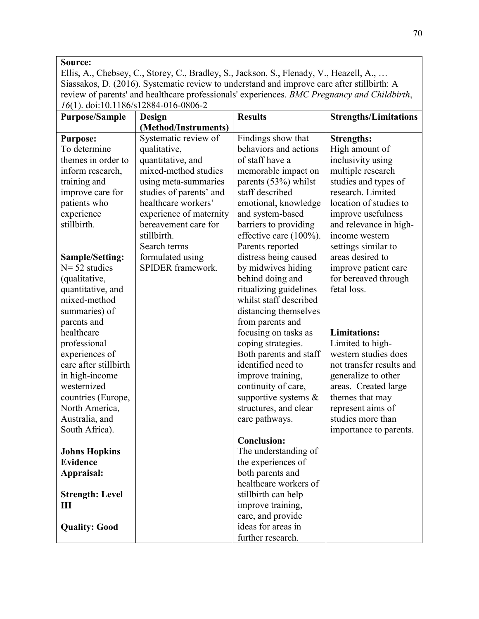## **Source:**

Ellis, A., Chebsey, C., Storey, C., Bradley, S., Jackson, S., Flenady, V., Heazell, A., … Siassakos, D. (2016). Systematic review to understand and improve care after stillbirth: A review of parents' and healthcare professionals' experiences. *BMC Pregnancy and Childbirth*, *16*(1). doi:10.1186/s12884-016-0806-2

| <b>Purpose/Sample</b>  | Design                  | <b>Results</b>             | <b>Strengths/Limitations</b> |
|------------------------|-------------------------|----------------------------|------------------------------|
|                        | (Method/Instruments)    |                            |                              |
| <b>Purpose:</b>        | Systematic review of    | Findings show that         | <b>Strengths:</b>            |
| To determine           | qualitative,            | behaviors and actions      | High amount of               |
| themes in order to     | quantitative, and       | of staff have a            | inclusivity using            |
| inform research,       | mixed-method studies    | memorable impact on        | multiple research            |
| training and           | using meta-summaries    | parents $(53%)$ whilst     | studies and types of         |
| improve care for       | studies of parents' and | staff described            | research. Limited            |
| patients who           | healthcare workers'     | emotional, knowledge       | location of studies to       |
| experience             | experience of maternity | and system-based           | improve usefulness           |
| stillbirth.            | bereavement care for    | barriers to providing      | and relevance in high-       |
|                        | stillbirth.             | effective care $(100\%)$ . | income western               |
|                        | Search terms            | Parents reported           | settings similar to          |
| <b>Sample/Setting:</b> | formulated using        | distress being caused      | areas desired to             |
| $N = 52$ studies       | SPIDER framework.       | by midwives hiding         | improve patient care         |
| (qualitative,          |                         | behind doing and           | for bereaved through         |
| quantitative, and      |                         | ritualizing guidelines     | fetal loss.                  |
| mixed-method           |                         | whilst staff described     |                              |
| summaries) of          |                         | distancing themselves      |                              |
| parents and            |                         | from parents and           |                              |
| healthcare             |                         | focusing on tasks as       | <b>Limitations:</b>          |
| professional           |                         | coping strategies.         | Limited to high-             |
| experiences of         |                         | Both parents and staff     | western studies does         |
| care after stillbirth  |                         | identified need to         | not transfer results and     |
| in high-income         |                         | improve training,          | generalize to other          |
| westernized            |                         | continuity of care,        | areas. Created large         |
| countries (Europe,     |                         | supportive systems $\&$    | themes that may              |
| North America,         |                         | structures, and clear      | represent aims of            |
| Australia, and         |                         | care pathways.             | studies more than            |
| South Africa).         |                         |                            | importance to parents.       |
|                        |                         | <b>Conclusion:</b>         |                              |
| <b>Johns Hopkins</b>   |                         | The understanding of       |                              |
| <b>Evidence</b>        |                         | the experiences of         |                              |
| Appraisal:             |                         | both parents and           |                              |
|                        |                         | healthcare workers of      |                              |
| <b>Strength: Level</b> |                         | stillbirth can help        |                              |
| Ш                      |                         | improve training,          |                              |
|                        |                         | care, and provide          |                              |
| <b>Quality: Good</b>   |                         | ideas for areas in         |                              |
|                        |                         | further research.          |                              |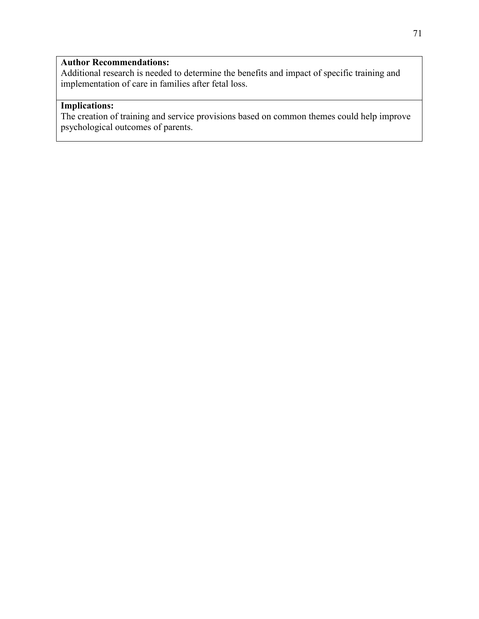## **Author Recommendations:**

Additional research is needed to determine the benefits and impact of specific training and implementation of care in families after fetal loss.

## **Implications:**

The creation of training and service provisions based on common themes could help improve psychological outcomes of parents.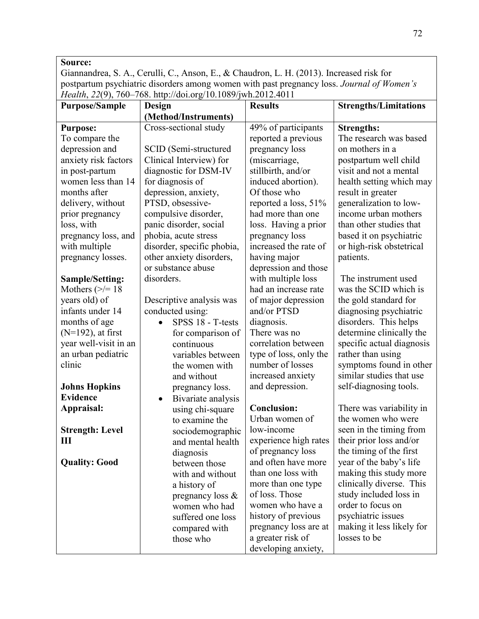Giannandrea, S. A., Cerulli, C., Anson, E., & Chaudron, L. H. (2013). Increased risk for postpartum psychiatric disorders among women with past pregnancy loss. *Journal of Women's Health*, *22*(9), 760–768. http://doi.org/10.1089/jwh.2012.4011

| <b>Purpose/Sample</b>  | Design                          | <b>Results</b>                           | <b>Strengths/Limitations</b> |
|------------------------|---------------------------------|------------------------------------------|------------------------------|
|                        | (Method/Instruments)            |                                          |                              |
| <b>Purpose:</b>        | Cross-sectional study           | 49% of participants                      | <b>Strengths:</b>            |
| To compare the         |                                 | reported a previous                      | The research was based       |
| depression and         | SCID (Semi-structured           | pregnancy loss                           | on mothers in a              |
| anxiety risk factors   | Clinical Interview) for         | (miscarriage,                            | postpartum well child        |
| in post-partum         | diagnostic for DSM-IV           | stillbirth, and/or                       | visit and not a mental       |
| women less than 14     | for diagnosis of                | induced abortion).                       | health setting which may     |
| months after           | depression, anxiety,            | Of those who                             | result in greater            |
| delivery, without      | PTSD, obsessive-                | reported a loss, 51%                     | generalization to low-       |
| prior pregnancy        | compulsive disorder,            | had more than one                        | income urban mothers         |
| loss, with             | panic disorder, social          | loss. Having a prior                     | than other studies that      |
| pregnancy loss, and    | phobia, acute stress            | pregnancy loss                           | based it on psychiatric      |
| with multiple          | disorder, specific phobia,      | increased the rate of                    | or high-risk obstetrical     |
| pregnancy losses.      | other anxiety disorders,        | having major                             | patients.                    |
|                        | or substance abuse              | depression and those                     |                              |
| <b>Sample/Setting:</b> | disorders.                      | with multiple loss                       | The instrument used          |
| Mothers $(\ge)=18$     |                                 | had an increase rate                     | was the SCID which is        |
| years old) of          | Descriptive analysis was        | of major depression                      | the gold standard for        |
| infants under 14       | conducted using:                | and/or PTSD                              | diagnosing psychiatric       |
| months of age          | SPSS 18 - T-tests<br>$\bullet$  | diagnosis.                               | disorders. This helps        |
| $(N=192)$ , at first   | for comparison of               | There was no                             | determine clinically the     |
| year well-visit in an  | continuous                      | correlation between                      | specific actual diagnosis    |
| an urban pediatric     | variables between               | type of loss, only the                   | rather than using            |
| clinic                 | the women with                  | number of losses                         | symptoms found in other      |
|                        | and without                     | increased anxiety                        | similar studies that use     |
| <b>Johns Hopkins</b>   | pregnancy loss.                 | and depression.                          | self-diagnosing tools.       |
| <b>Evidence</b>        | Bivariate analysis<br>$\bullet$ |                                          |                              |
| Appraisal:             | using chi-square                | <b>Conclusion:</b>                       | There was variability in     |
|                        | to examine the                  | Urban women of                           | the women who were           |
| <b>Strength: Level</b> | sociodemographic                | low-income                               | seen in the timing from      |
| Ш                      | and mental health               | experience high rates                    | their prior loss and/or      |
|                        | diagnosis                       | of pregnancy loss                        | the timing of the first      |
| <b>Quality: Good</b>   | between those                   | and often have more                      | year of the baby's life      |
|                        | with and without                | than one loss with                       | making this study more       |
|                        | a history of                    | more than one type                       | clinically diverse. This     |
|                        | pregnancy loss $\&$             | of loss. Those                           | study included loss in       |
|                        | women who had                   | women who have a                         | order to focus on            |
|                        | suffered one loss               | history of previous                      | psychiatric issues           |
|                        | compared with                   | pregnancy loss are at                    | making it less likely for    |
|                        |                                 |                                          |                              |
|                        | those who                       | a greater risk of<br>developing anxiety, | losses to be                 |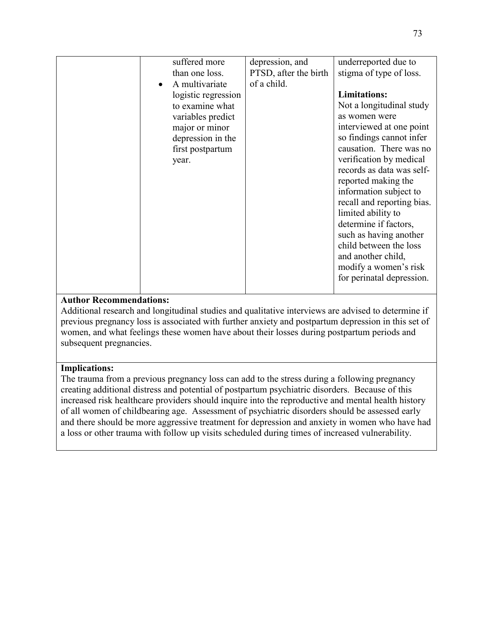| suffered more               | depression, and       | underreported due to       |
|-----------------------------|-----------------------|----------------------------|
| than one loss.              | PTSD, after the birth | stigma of type of loss.    |
| A multivariate<br>$\bullet$ | of a child.           |                            |
| logistic regression         |                       | <b>Limitations:</b>        |
| to examine what             |                       | Not a longitudinal study   |
| variables predict           |                       | as women were              |
| major or minor              |                       | interviewed at one point   |
| depression in the           |                       | so findings cannot infer   |
| first postpartum            |                       | causation. There was no    |
| year.                       |                       | verification by medical    |
|                             |                       | records as data was self-  |
|                             |                       | reported making the        |
|                             |                       | information subject to     |
|                             |                       | recall and reporting bias. |
|                             |                       | limited ability to         |
|                             |                       | determine if factors,      |
|                             |                       | such as having another     |
|                             |                       | child between the loss     |
|                             |                       | and another child,         |
|                             |                       | modify a women's risk      |
|                             |                       | for perinatal depression.  |
|                             |                       |                            |
|                             |                       |                            |

Additional research and longitudinal studies and qualitative interviews are advised to determine if previous pregnancy loss is associated with further anxiety and postpartum depression in this set of women, and what feelings these women have about their losses during postpartum periods and subsequent pregnancies.

# **Implications:**

The trauma from a previous pregnancy loss can add to the stress during a following pregnancy creating additional distress and potential of postpartum psychiatric disorders. Because of this increased risk healthcare providers should inquire into the reproductive and mental health history of all women of childbearing age. Assessment of psychiatric disorders should be assessed early and there should be more aggressive treatment for depression and anxiety in women who have had a loss or other trauma with follow up visits scheduled during times of increased vulnerability.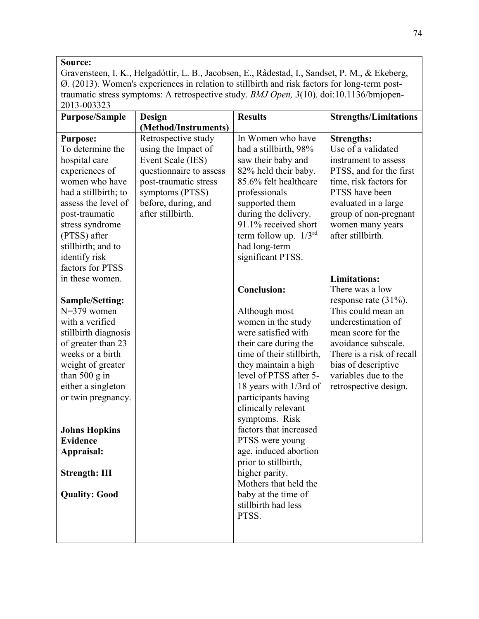Gravensteen, I. K., Helgadóttir, L. B., Jacobsen, E., Rådestad, I., Sandset, P. M., & Ekeberg, Ø. (2013). Women's experiences in relation to stillbirth and risk factors for long-term posttraumatic stress symptoms: A retrospective study. *BMJ Open, 3*(10). doi:10.1136/bmjopen-2013-003323

| <b>Purpose/Sample</b>                                                                                                                                                                                                                                                                                   | <b>Design</b>                                                                                                                                                                      | <b>Results</b>                                                                                                                                                                                                                                                                                                                                                                                                                                               | <b>Strengths/Limitations</b>                                                                                                                                                                                                                                                                           |
|---------------------------------------------------------------------------------------------------------------------------------------------------------------------------------------------------------------------------------------------------------------------------------------------------------|------------------------------------------------------------------------------------------------------------------------------------------------------------------------------------|--------------------------------------------------------------------------------------------------------------------------------------------------------------------------------------------------------------------------------------------------------------------------------------------------------------------------------------------------------------------------------------------------------------------------------------------------------------|--------------------------------------------------------------------------------------------------------------------------------------------------------------------------------------------------------------------------------------------------------------------------------------------------------|
|                                                                                                                                                                                                                                                                                                         | (Method/Instruments)                                                                                                                                                               |                                                                                                                                                                                                                                                                                                                                                                                                                                                              |                                                                                                                                                                                                                                                                                                        |
| <b>Purpose:</b><br>To determine the<br>hospital care<br>experiences of<br>women who have<br>had a stillbirth; to<br>assess the level of<br>post-traumatic<br>stress syndrome<br>(PTSS) after<br>stillbirth; and to<br>identify risk<br>factors for PTSS<br>in these women.<br><b>Sample/Setting:</b>    | Retrospective study<br>using the Impact of<br>Event Scale (IES)<br>questionnaire to assess<br>post-traumatic stress<br>symptoms (PTSS)<br>before, during, and<br>after stillbirth. | In Women who have<br>had a stillbirth, 98%<br>saw their baby and<br>82% held their baby.<br>85.6% felt healthcare<br>professionals<br>supported them<br>during the delivery.<br>91.1% received short<br>term follow up. $1/3^{rd}$<br>had long-term<br>significant PTSS.<br><b>Conclusion:</b>                                                                                                                                                               | <b>Strengths:</b><br>Use of a validated<br>instrument to assess<br>PTSS, and for the first<br>time, risk factors for<br>PTSS have been<br>evaluated in a large<br>group of non-pregnant<br>women many years<br>after stillbirth.<br><b>Limitations:</b><br>There was a low<br>response rate $(31\%)$ . |
| $N=379$ women<br>with a verified<br>stillbirth diagnosis<br>of greater than 23<br>weeks or a birth<br>weight of greater<br>than $500 \text{ g}$ in<br>either a singleton<br>or twin pregnancy.<br><b>Johns Hopkins</b><br><b>Evidence</b><br>Appraisal:<br><b>Strength: III</b><br><b>Quality: Good</b> |                                                                                                                                                                                    | Although most<br>women in the study<br>were satisfied with<br>their care during the<br>time of their stillbirth,<br>they maintain a high<br>level of PTSS after 5-<br>18 years with 1/3rd of<br>participants having<br>clinically relevant<br>symptoms. Risk<br>factors that increased<br>PTSS were young<br>age, induced abortion<br>prior to stillbirth,<br>higher parity.<br>Mothers that held the<br>baby at the time of<br>stillbirth had less<br>PTSS. | This could mean an<br>underestimation of<br>mean score for the<br>avoidance subscale.<br>There is a risk of recall<br>bias of descriptive<br>variables due to the<br>retrospective design.                                                                                                             |
|                                                                                                                                                                                                                                                                                                         |                                                                                                                                                                                    |                                                                                                                                                                                                                                                                                                                                                                                                                                                              |                                                                                                                                                                                                                                                                                                        |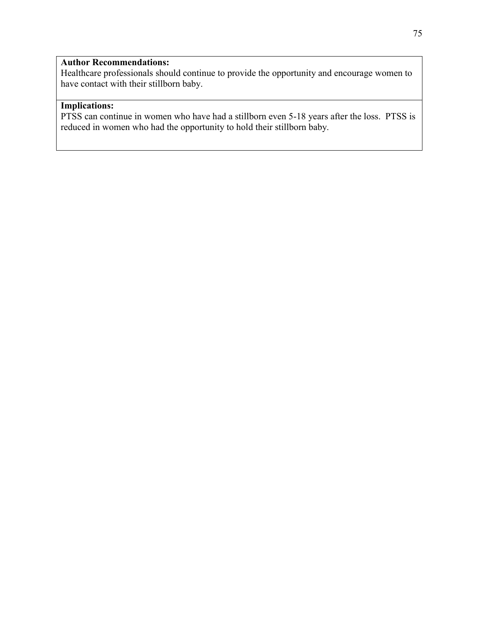Healthcare professionals should continue to provide the opportunity and encourage women to have contact with their stillborn baby.

# **Implications:**

PTSS can continue in women who have had a stillborn even 5-18 years after the loss. PTSS is reduced in women who had the opportunity to hold their stillborn baby.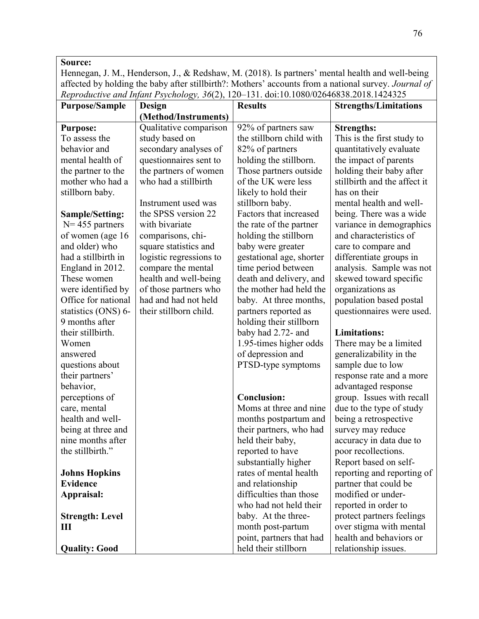Hennegan, J. M., Henderson, J., & Redshaw, M. (2018). Is partners' mental health and well-being affected by holding the baby after stillbirth?: Mothers' accounts from a national survey. *Journal of Reproductive and Infant Psychology, 36*(2), 120–131. doi:10.1080/02646838.2018.1424325

| <b>Purpose/Sample</b>  | Design                  | <b>Results</b>           | <b>Strengths/Limitations</b> |
|------------------------|-------------------------|--------------------------|------------------------------|
|                        | (Method/Instruments)    |                          |                              |
| <b>Purpose:</b>        | Qualitative comparison  | 92% of partners saw      | <b>Strengths:</b>            |
| To assess the          | study based on          | the stillborn child with | This is the first study to   |
| behavior and           | secondary analyses of   | 82% of partners          | quantitatively evaluate      |
| mental health of       | questionnaires sent to  | holding the stillborn.   | the impact of parents        |
| the partner to the     | the partners of women   | Those partners outside   | holding their baby after     |
| mother who had a       | who had a stillbirth    | of the UK were less      | stillbirth and the affect it |
| stillborn baby.        |                         | likely to hold their     | has on their                 |
|                        | Instrument used was     | stillborn baby.          | mental health and well-      |
| <b>Sample/Setting:</b> | the SPSS version 22     | Factors that increased   | being. There was a wide      |
| $N = 455$ partners     | with bivariate          | the rate of the partner  | variance in demographics     |
| of women (age 16       | comparisons, chi-       | holding the stillborn    | and characteristics of       |
| and older) who         | square statistics and   | baby were greater        | care to compare and          |
| had a stillbirth in    | logistic regressions to | gestational age, shorter | differentiate groups in      |
| England in 2012.       | compare the mental      | time period between      | analysis. Sample was not     |
| These women            | health and well-being   | death and delivery, and  | skewed toward specific       |
| were identified by     | of those partners who   | the mother had held the  | organizations as             |
| Office for national    | had and had not held    | baby. At three months,   | population based postal      |
| statistics (ONS) 6-    | their stillborn child.  | partners reported as     | questionnaires were used.    |
| 9 months after         |                         | holding their stillborn  |                              |
| their stillbirth.      |                         | baby had 2.72- and       | <b>Limitations:</b>          |
| Women                  |                         | 1.95-times higher odds   | There may be a limited       |
| answered               |                         | of depression and        | generalizability in the      |
| questions about        |                         | PTSD-type symptoms       | sample due to low            |
| their partners'        |                         |                          | response rate and a more     |
| behavior,              |                         |                          | advantaged response          |
| perceptions of         |                         | <b>Conclusion:</b>       | group. Issues with recall    |
| care, mental           |                         | Moms at three and nine   | due to the type of study     |
| health and well-       |                         | months postpartum and    | being a retrospective        |
| being at three and     |                         | their partners, who had  | survey may reduce            |
| nine months after      |                         | held their baby,         | accuracy in data due to      |
| the stillbirth."       |                         | reported to have         | poor recollections.          |
|                        |                         | substantially higher     | Report based on self-        |
| <b>Johns Hopkins</b>   |                         | rates of mental health   | reporting and reporting of   |
| <b>Evidence</b>        |                         | and relationship         | partner that could be        |
| Appraisal:             |                         | difficulties than those  | modified or under-           |
|                        |                         | who had not held their   | reported in order to         |
| <b>Strength: Level</b> |                         | baby. At the three-      | protect partners feelings    |
| Ш                      |                         | month post-partum        | over stigma with mental      |
|                        |                         | point, partners that had | health and behaviors or      |
| <b>Quality: Good</b>   |                         | held their stillborn     | relationship issues.         |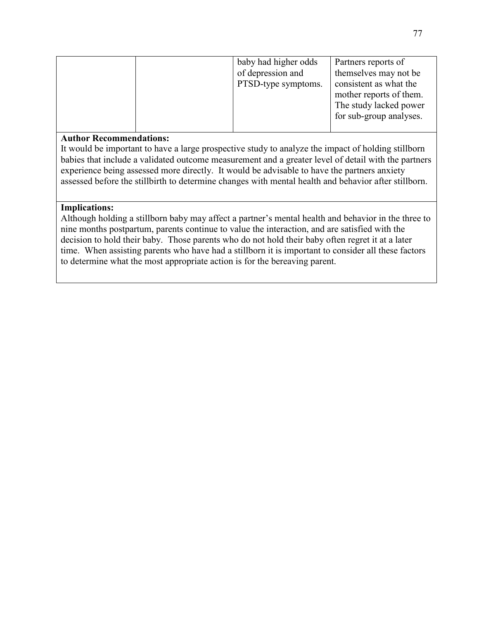|  | baby had higher odds | Partners reports of     |
|--|----------------------|-------------------------|
|  | of depression and    | themselves may not be   |
|  | PTSD-type symptoms.  | consistent as what the  |
|  |                      | mother reports of them. |
|  |                      | The study lacked power  |
|  |                      | for sub-group analyses. |
|  |                      |                         |

It would be important to have a large prospective study to analyze the impact of holding stillborn babies that include a validated outcome measurement and a greater level of detail with the partners experience being assessed more directly. It would be advisable to have the partners anxiety assessed before the stillbirth to determine changes with mental health and behavior after stillborn.

## **Implications:**

Although holding a stillborn baby may affect a partner's mental health and behavior in the three to nine months postpartum, parents continue to value the interaction, and are satisfied with the decision to hold their baby. Those parents who do not hold their baby often regret it at a later time. When assisting parents who have had a stillborn it is important to consider all these factors to determine what the most appropriate action is for the bereaving parent.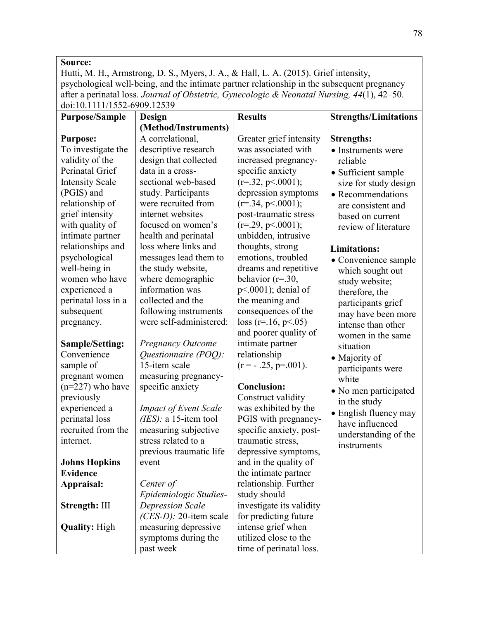Hutti, M. H., Armstrong, D. S., Myers, J. A., & Hall, L. A. (2015). Grief intensity, psychological well‐being, and the intimate partner relationship in the subsequent pregnancy after a perinatal loss. *Journal of Obstetric, Gynecologic & Neonatal Nursing, 44*(1), 42–50. doi:10.1111/1552-6909.12539

| <b>Purpose/Sample</b>  | <b>Design</b>                  | <b>Results</b>           | <b>Strengths/Limitations</b> |
|------------------------|--------------------------------|--------------------------|------------------------------|
|                        | (Method/Instruments)           |                          |                              |
| <b>Purpose:</b>        | A correlational,               | Greater grief intensity  | <b>Strengths:</b>            |
| To investigate the     | descriptive research           | was associated with      | • Instruments were           |
| validity of the        | design that collected          | increased pregnancy-     | reliable                     |
| Perinatal Grief        | data in a cross-               | specific anxiety         | • Sufficient sample          |
| <b>Intensity Scale</b> | sectional web-based            | $(r=.32, p \le 0.001);$  | size for study design        |
| (PGIS) and             | study. Participants            | depression symptoms      | • Recommendations            |
| relationship of        | were recruited from            | $(r=.34, p \lt .0001);$  | are consistent and           |
| grief intensity        | internet websites              | post-traumatic stress    | based on current             |
| with quality of        | focused on women's             | $(r=.29, p \le 0.001);$  | review of literature         |
| intimate partner       | health and perinatal           | unbidden, intrusive      |                              |
| relationships and      | loss where links and           | thoughts, strong         | <b>Limitations:</b>          |
| psychological          | messages lead them to          | emotions, troubled       | • Convenience sample         |
| well-being in          | the study website,             | dreams and repetitive    | which sought out             |
| women who have         | where demographic              | behavior ( $r = 30$ ,    | study website;               |
| experienced a          | information was                | $p<.0001$ ); denial of   | therefore, the               |
| perinatal loss in a    | collected and the              | the meaning and          | participants grief           |
| subsequent             | following instruments          | consequences of the      | may have been more           |
| pregnancy.             | were self-administered:        | $loss (r=16, p<0.05)$    | intense than other           |
|                        |                                | and poorer quality of    | women in the same            |
| <b>Sample/Setting:</b> | <b>Pregnancy Outcome</b>       | intimate partner         | situation                    |
| Convenience            | Questionnaire (POQ):           | relationship             | • Majority of                |
| sample of              | 15-item scale                  | $(r = -.25, p = .001)$ . | participants were            |
| pregnant women         | measuring pregnancy-           |                          | white                        |
| $(n=227)$ who have     | specific anxiety               | <b>Conclusion:</b>       | • No men participated        |
| previously             |                                | Construct validity       | in the study                 |
| experienced a          | <b>Impact of Event Scale</b>   | was exhibited by the     | • English fluency may        |
| perinatal loss         | ( <i>IES</i> ): a 15-item tool | PGIS with pregnancy-     | have influenced              |
| recruited from the     | measuring subjective           | specific anxiety, post-  | understanding of the         |
| internet.              | stress related to a            | traumatic stress,        | instruments                  |
|                        | previous traumatic life        | depressive symptoms,     |                              |
| <b>Johns Hopkins</b>   | event                          | and in the quality of    |                              |
| <b>Evidence</b>        |                                | the intimate partner     |                              |
| Appraisal:             | Center of                      | relationship. Further    |                              |
|                        | Epidemiologic Studies-         | study should             |                              |
| Strength: III          | <b>Depression Scale</b>        | investigate its validity |                              |
|                        | $(CES-D)$ : 20-item scale      | for predicting future    |                              |
| <b>Quality: High</b>   | measuring depressive           | intense grief when       |                              |
|                        | symptoms during the            | utilized close to the    |                              |
|                        | past week                      | time of perinatal loss.  |                              |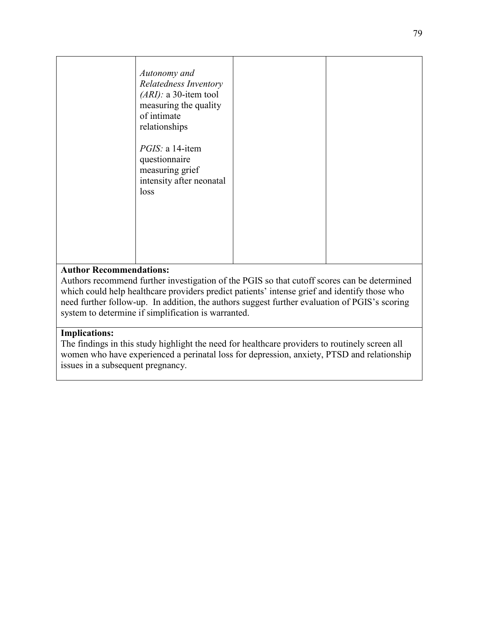|                         | Autonomy and<br>Relatedness Inventory<br>$(ARI):$ a 30-item tool<br>measuring the quality<br>of intimate<br>relationships<br>PGIS: a 14-item<br>questionnaire<br>measuring grief<br>intensity after neonatal<br>loss |  |
|-------------------------|----------------------------------------------------------------------------------------------------------------------------------------------------------------------------------------------------------------------|--|
| $\sim$ $\sim$<br>$\sim$ |                                                                                                                                                                                                                      |  |

Authors recommend further investigation of the PGIS so that cutoff scores can be determined which could help healthcare providers predict patients' intense grief and identify those who need further follow-up. In addition, the authors suggest further evaluation of PGIS's scoring system to determine if simplification is warranted.

# **Implications:**

The findings in this study highlight the need for healthcare providers to routinely screen all women who have experienced a perinatal loss for depression, anxiety, PTSD and relationship issues in a subsequent pregnancy.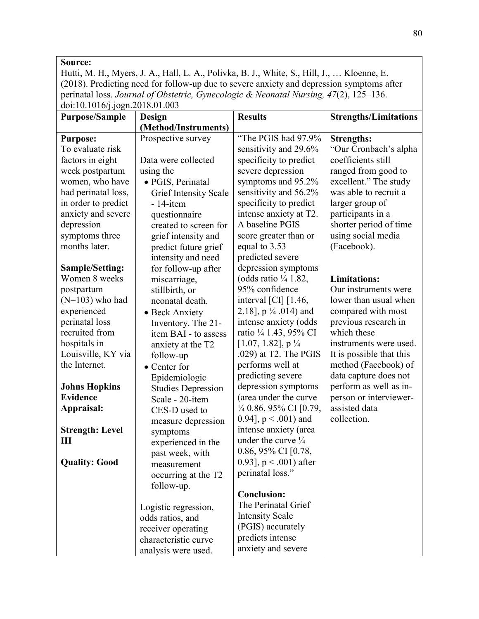Hutti, M. H., Myers, J. A., Hall, L. A., Polivka, B. J., White, S., Hill, J., … Kloenne, E. (2018). Predicting need for follow-up due to severe anxiety and depression symptoms after perinatal loss. *Journal of Obstetric, Gynecologic & Neonatal Nursing, 47*(2), 125–136. doi:10.1016/j.jogn.2018.01.003

| <b>Purpose/Sample</b>  | <b>Design</b>                | <b>Results</b>                                             | <b>Strengths/Limitations</b> |
|------------------------|------------------------------|------------------------------------------------------------|------------------------------|
|                        | (Method/Instruments)         |                                                            |                              |
| <b>Purpose:</b>        | Prospective survey           | "The PGIS had 97.9%                                        | <b>Strengths:</b>            |
| To evaluate risk       |                              | sensitivity and 29.6%                                      | "Our Cronbach's alpha        |
| factors in eight       | Data were collected          | specificity to predict                                     | coefficients still           |
| week postpartum        | using the                    | severe depression                                          | ranged from good to          |
| women, who have        | · PGIS, Perinatal            | symptoms and 95.2%                                         | excellent." The study        |
| had perinatal loss,    | <b>Grief Intensity Scale</b> | sensitivity and 56.2%                                      | was able to recruit a        |
| in order to predict    | $-14$ -item                  | specificity to predict                                     | larger group of              |
| anxiety and severe     | questionnaire                | intense anxiety at T2.                                     | participants in a            |
| depression             | created to screen for        | A baseline PGIS                                            | shorter period of time       |
| symptoms three         | grief intensity and          | score greater than or                                      | using social media           |
| months later.          | predict future grief         | equal to 3.53                                              | (Facebook).                  |
|                        | intensity and need           | predicted severe                                           |                              |
| <b>Sample/Setting:</b> | for follow-up after          | depression symptoms                                        |                              |
| Women 8 weeks          | miscarriage,                 | (odds ratio $\frac{1}{4}$ 1.82,                            | <b>Limitations:</b>          |
| postpartum             | stillbirth, or               | 95% confidence                                             | Our instruments were         |
| $(N=103)$ who had      | neonatal death.              | interval $\left[ \text{CI} \right]$ $\left[ 1.46, \right]$ | lower than usual when        |
| experienced            | • Beck Anxiety               | 2.18], $p \frac{1}{4}$ .014) and                           | compared with most           |
| perinatal loss         | Inventory. The 21-           | intense anxiety (odds                                      | previous research in         |
| recruited from         | item BAI - to assess         | ratio 1/4 1.43, 95% CI                                     | which these                  |
| hospitals in           | anxiety at the T2            | $[1.07, 1.82]$ , p $\frac{1}{4}$                           | instruments were used.       |
| Louisville, KY via     | follow-up                    | .029) at T2. The PGIS                                      | It is possible that this     |
| the Internet.          | • Center for                 | performs well at                                           | method (Facebook) of         |
|                        | Epidemiologic                | predicting severe                                          | data capture does not        |
| <b>Johns Hopkins</b>   | <b>Studies Depression</b>    | depression symptoms                                        | perform as well as in-       |
| <b>Evidence</b>        | Scale - 20-item              | (area under the curve                                      | person or interviewer-       |
| Appraisal:             | CES-D used to                | $\frac{1}{4}$ 0.86, 95% CI [0.79,                          | assisted data                |
|                        | measure depression           | 0.94], $p < .001$ ) and                                    | collection.                  |
| <b>Strength: Level</b> | symptoms                     | intense anxiety (area                                      |                              |
| Ш                      | experienced in the           | under the curve $\frac{1}{4}$                              |                              |
|                        | past week, with              | 0.86, 95% CI [0.78,                                        |                              |
| <b>Quality: Good</b>   | measurement                  | 0.93], $p < .001$ ) after                                  |                              |
|                        | occurring at the T2          | perinatal loss."                                           |                              |
|                        | follow-up.                   |                                                            |                              |
|                        |                              | <b>Conclusion:</b>                                         |                              |
|                        | Logistic regression,         | The Perinatal Grief                                        |                              |
|                        | odds ratios, and             | <b>Intensity Scale</b>                                     |                              |
|                        | receiver operating           | (PGIS) accurately                                          |                              |
|                        | characteristic curve         | predicts intense                                           |                              |
|                        | analysis were used.          | anxiety and severe                                         |                              |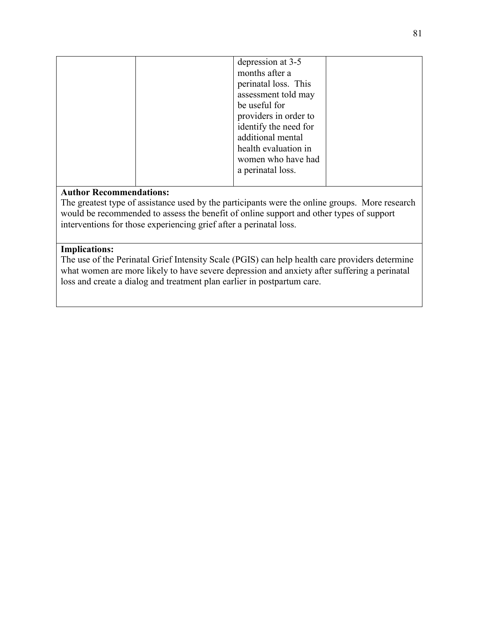| depression at 3-5<br>months after a<br>perinatal loss. This<br>assessment told may<br>be useful for<br>providers in order to<br>identify the need for<br>additional mental<br>health evaluation in<br>women who have had<br>a perinatal loss. |  |
|-----------------------------------------------------------------------------------------------------------------------------------------------------------------------------------------------------------------------------------------------|--|
|                                                                                                                                                                                                                                               |  |

The greatest type of assistance used by the participants were the online groups. More research would be recommended to assess the benefit of online support and other types of support interventions for those experiencing grief after a perinatal loss.

## **Implications:**

The use of the Perinatal Grief Intensity Scale (PGIS) can help health care providers determine what women are more likely to have severe depression and anxiety after suffering a perinatal loss and create a dialog and treatment plan earlier in postpartum care.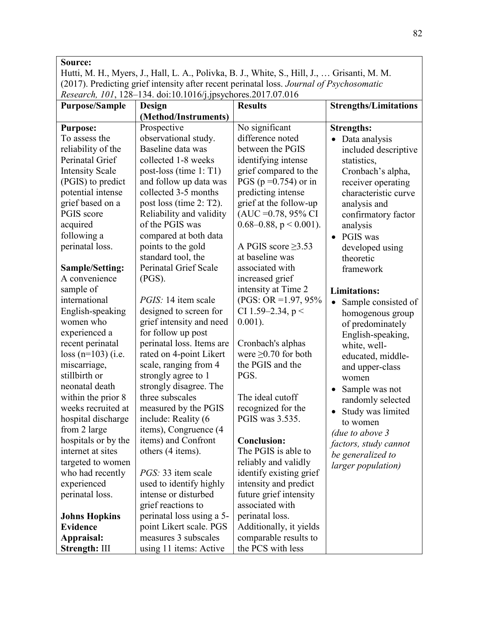Hutti, M. H., Myers, J., Hall, L. A., Polivka, B. J., White, S., Hill, J., … Grisanti, M. M. (2017). Predicting grief intensity after recent perinatal loss. *Journal of Psychosomatic Research, 101*, 128–134. doi:10.1016/j.jpsychores.2017.07.016

| <b>Purpose/Sample</b>  | Design                       | <b>Results</b>                 | <b>Strengths/Limitations</b>     |
|------------------------|------------------------------|--------------------------------|----------------------------------|
|                        | (Method/Instruments)         |                                |                                  |
| <b>Purpose:</b>        | Prospective                  | No significant                 | <b>Strengths:</b>                |
| To assess the          | observational study.         | difference noted               | Data analysis<br>$\bullet$       |
| reliability of the     | Baseline data was            | between the PGIS               | included descriptive             |
| Perinatal Grief        | collected 1-8 weeks          | identifying intense            | statistics,                      |
| <b>Intensity Scale</b> | post-loss (time $1: T1$ )    | grief compared to the          | Cronbach's alpha,                |
| (PGIS) to predict      | and follow up data was       | PGS ( $p = 0.754$ ) or in      | receiver operating               |
| potential intense      | collected 3-5 months         | predicting intense             | characteristic curve             |
| grief based on a       | post loss (time 2: T2).      | grief at the follow-up         | analysis and                     |
| PGIS score             | Reliability and validity     | $(AUC = 0.78, 95\% CI$         | confirmatory factor              |
| acquired               | of the PGIS was              | $0.68 - 0.88$ , $p < 0.001$ ). | analysis                         |
| following a            | compared at both data        |                                | PGIS was<br>$\bullet$            |
| perinatal loss.        | points to the gold           | A PGIS score $\geq$ 3.53       | developed using                  |
|                        | standard tool, the           | at baseline was                | theoretic                        |
| <b>Sample/Setting:</b> | <b>Perinatal Grief Scale</b> | associated with                | framework                        |
| A convenience          | $(PGS)$ .                    | increased grief                |                                  |
| sample of              |                              | intensity at Time 2            | <b>Limitations:</b>              |
| international          | <i>PGIS</i> : 14 item scale  | (PGS: OR = 1.97, 95%)          | Sample consisted of<br>$\bullet$ |
| English-speaking       | designed to screen for       | CI 1.59-2.34, $p <$            | homogenous group                 |
| women who              | grief intensity and need     | $0.001$ ).                     | of predominately                 |
| experienced a          | for follow up post           |                                | English-speaking,                |
| recent perinatal       | perinatal loss. Items are    | Cronbach's alphas              | white, well-                     |
| $loss (n=103)$ (i.e.   | rated on 4-point Likert      | were $\geq$ 0.70 for both      | educated, middle-                |
| miscarriage,           | scale, ranging from 4        | the PGIS and the               | and upper-class                  |
| stillbirth or          | strongly agree to 1          | PGS.                           | women                            |
| neonatal death         | strongly disagree. The       |                                | Sample was not<br>$\bullet$      |
| within the prior 8     | three subscales              | The ideal cutoff               | randomly selected                |
| weeks recruited at     | measured by the PGIS         | recognized for the             | Study was limited<br>$\bullet$   |
| hospital discharge     | include: Reality (6          | PGIS was 3.535.                | to women                         |
| from 2 large           | items), Congruence (4        |                                | (due to above 3                  |
| hospitals or by the    | items) and Confront          | <b>Conclusion:</b>             | factors, study cannot            |
| internet at sites      | others (4 items).            | The PGIS is able to            | be generalized to                |
| targeted to women      |                              | reliably and validly           | <i>larger population</i> )       |
| who had recently       | <i>PGS</i> : 33 item scale   | identify existing grief        |                                  |
| experienced            | used to identify highly      | intensity and predict          |                                  |
| perinatal loss.        | intense or disturbed         | future grief intensity         |                                  |
|                        | grief reactions to           | associated with                |                                  |
| <b>Johns Hopkins</b>   | perinatal loss using a 5-    | perinatal loss.                |                                  |
| <b>Evidence</b>        | point Likert scale. PGS      | Additionally, it yields        |                                  |
| Appraisal:             | measures 3 subscales         | comparable results to          |                                  |
| Strength: III          | using 11 items: Active       | the PCS with less              |                                  |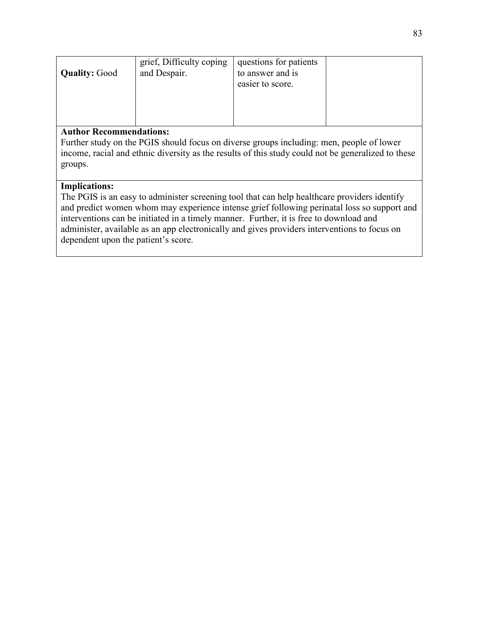| <b>Quality: Good</b>           | grief, Difficulty coping<br>and Despair. | questions for patients<br>to answer and is<br>easier to score. |  |
|--------------------------------|------------------------------------------|----------------------------------------------------------------|--|
| <b>Author Recommendations:</b> |                                          |                                                                |  |

Further study on the PGIS should focus on diverse groups including: men, people of lower income, racial and ethnic diversity as the results of this study could not be generalized to these groups.

# **Implications:**

The PGIS is an easy to administer screening tool that can help healthcare providers identify and predict women whom may experience intense grief following perinatal loss so support and interventions can be initiated in a timely manner. Further, it is free to download and administer, available as an app electronically and gives providers interventions to focus on dependent upon the patient's score.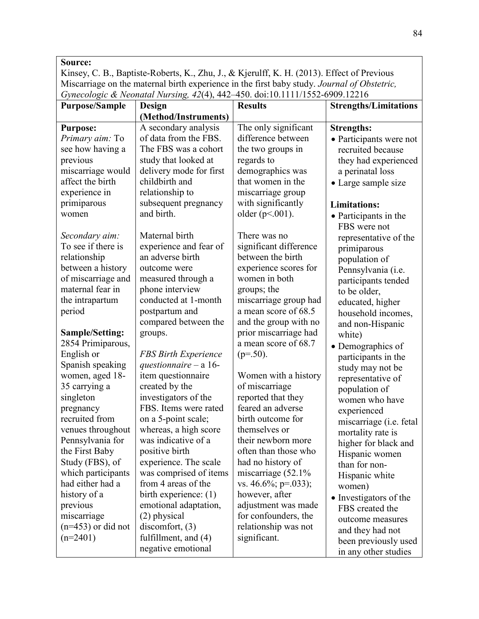Kinsey, C. B., Baptiste-Roberts, K., Zhu, J., & Kjerulff, K. H. (2013). Effect of Previous Miscarriage on the maternal birth experience in the first baby study. *Journal of Obstetric, Gynecologic & Neonatal Nursing, 42*(4), 442–450. doi:10.1111/1552-6909.12216

| <b>Purpose/Sample</b>  | Design                      | <b>Results</b>          | <b>Strengths/Limitations</b> |
|------------------------|-----------------------------|-------------------------|------------------------------|
|                        | (Method/Instruments)        |                         |                              |
| <b>Purpose:</b>        | A secondary analysis        | The only significant    | <b>Strengths:</b>            |
| Primary aim: To        | of data from the FBS.       | difference between      | • Participants were not      |
| see how having a       | The FBS was a cohort        | the two groups in       | recruited because            |
| previous               | study that looked at        | regards to              | they had experienced         |
| miscarriage would      | delivery mode for first     | demographics was        | a perinatal loss             |
| affect the birth       | childbirth and              | that women in the       | • Large sample size          |
| experience in          | relationship to             | miscarriage group       |                              |
| primiparous            | subsequent pregnancy        | with significantly      | <b>Limitations:</b>          |
| women                  | and birth.                  | older ( $p<.001$ ).     | • Participants in the        |
|                        |                             |                         | FBS were not                 |
| Secondary aim:         | Maternal birth              | There was no            | representative of the        |
| To see if there is     | experience and fear of      | significant difference  | primiparous                  |
| relationship           | an adverse birth            | between the birth       | population of                |
| between a history      | outcome were                | experience scores for   | Pennsylvania (i.e.           |
| of miscarriage and     | measured through a          | women in both           | participants tended          |
| maternal fear in       | phone interview             | groups; the             | to be older,                 |
| the intrapartum        | conducted at 1-month        | miscarriage group had   | educated, higher             |
| period                 | postpartum and              | a mean score of 68.5    | household incomes,           |
|                        | compared between the        | and the group with no   | and non-Hispanic             |
| <b>Sample/Setting:</b> | groups.                     | prior miscarriage had   | white)                       |
| 2854 Primiparous,      |                             | a mean score of 68.7    | • Demographics of            |
| English or             | <b>FBS Birth Experience</b> | $(p=.50)$ .             | participants in the          |
| Spanish speaking       | questionnaire $- a 16$ -    |                         | study may not be             |
| women, aged 18-        | item questionnaire          | Women with a history    | representative of            |
| 35 carrying a          | created by the              | of miscarriage          | population of                |
| singleton              | investigators of the        | reported that they      | women who have               |
| pregnancy              | FBS. Items were rated       | feared an adverse       | experienced                  |
| recruited from         | on a 5-point scale;         | birth outcome for       | miscarriage (i.e. fetal      |
| venues throughout      | whereas, a high score       | themselves or           | mortality rate is            |
| Pennsylvania for       | was indicative of a         | their newborn more      | higher for black and         |
| the First Baby         | positive birth              | often than those who    | Hispanic women               |
| Study (FBS), of        | experience. The scale       | had no history of       | than for non-                |
| which participants     | was comprised of items      | miscarriage (52.1%      | Hispanic white               |
| had either had a       | from 4 areas of the         | vs. $46.6\%$ ; p=.033); | women)                       |
| history of a           | birth experience: $(1)$     | however, after          | • Investigators of the       |
| previous               | emotional adaptation,       | adjustment was made     | FBS created the              |
| miscarriage            | (2) physical                | for confounders, the    | outcome measures             |
| $(n=453)$ or did not   | discomfort, $(3)$           | relationship was not    | and they had not             |
| $(n=2401)$             | fulfillment, and $(4)$      | significant.            | been previously used         |
|                        | negative emotional          |                         | in any other studies         |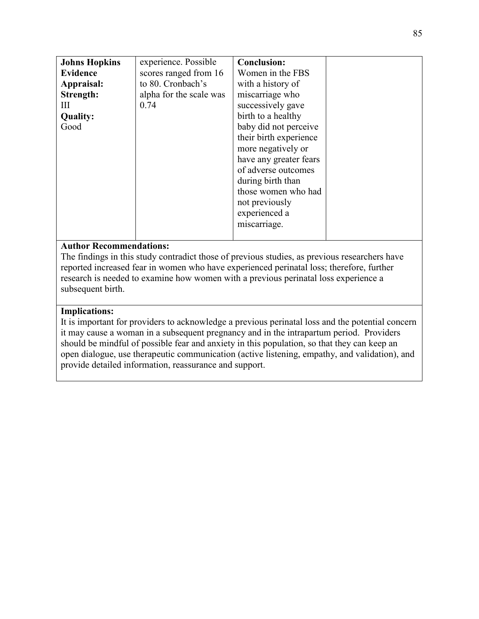| <b>Johns Hopkins</b> | experience. Possible    | <b>Conclusion:</b>     |  |
|----------------------|-------------------------|------------------------|--|
| <b>Evidence</b>      | scores ranged from 16   | Women in the FBS       |  |
| Appraisal:           | to 80. Cronbach's       | with a history of      |  |
| Strength:            | alpha for the scale was | miscarriage who        |  |
| Ш                    | 0.74                    | successively gave      |  |
| <b>Quality:</b>      |                         | birth to a healthy     |  |
| Good                 |                         | baby did not perceive  |  |
|                      |                         | their birth experience |  |
|                      |                         | more negatively or     |  |
|                      |                         | have any greater fears |  |
|                      |                         | of adverse outcomes    |  |
|                      |                         | during birth than      |  |
|                      |                         | those women who had    |  |
|                      |                         | not previously         |  |
|                      |                         | experienced a          |  |
|                      |                         | miscarriage.           |  |
|                      |                         |                        |  |

The findings in this study contradict those of previous studies, as previous researchers have reported increased fear in women who have experienced perinatal loss; therefore, further research is needed to examine how women with a previous perinatal loss experience a subsequent birth.

### **Implications:**

It is important for providers to acknowledge a previous perinatal loss and the potential concern it may cause a woman in a subsequent pregnancy and in the intrapartum period. Providers should be mindful of possible fear and anxiety in this population, so that they can keep an open dialogue, use therapeutic communication (active listening, empathy, and validation), and provide detailed information, reassurance and support.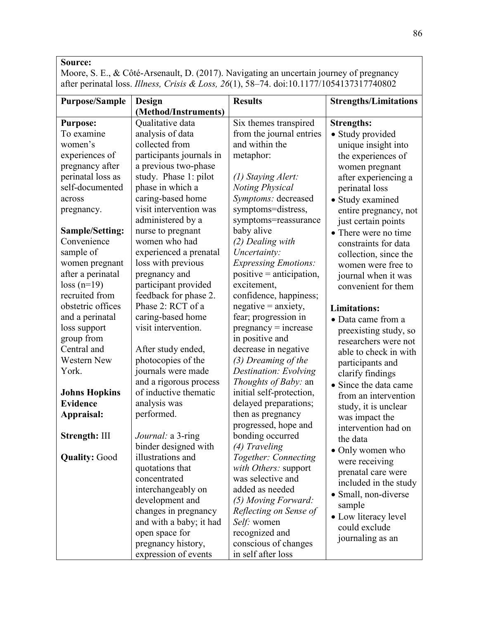Moore, S. E., & Côté-Arsenault, D. (2017). Navigating an uncertain journey of pregnancy after perinatal loss. *Illness, Crisis & Loss, 26*(1), 58–74. doi:10.1177/1054137317740802

| <b>Purpose/Sample</b>  | Design                   | <b>Results</b>              | <b>Strengths/Limitations</b> |
|------------------------|--------------------------|-----------------------------|------------------------------|
|                        | (Method/Instruments)     |                             |                              |
| <b>Purpose:</b>        | Qualitative data         | Six themes transpired       | <b>Strengths:</b>            |
| To examine             | analysis of data         | from the journal entries    | • Study provided             |
| women's                | collected from           | and within the              | unique insight into          |
| experiences of         | participants journals in | metaphor:                   | the experiences of           |
| pregnancy after        | a previous two-phase     |                             | women pregnant               |
| perinatal loss as      | study. Phase 1: pilot    | (1) Staying Alert:          | after experiencing a         |
| self-documented        | phase in which a         | <b>Noting Physical</b>      | perinatal loss               |
| across                 | caring-based home        | Symptoms: decreased         | • Study examined             |
| pregnancy.             | visit intervention was   | symptoms=distress,          | entire pregnancy, not        |
|                        | administered by a        | symptoms=reassurance        | just certain points          |
| <b>Sample/Setting:</b> | nurse to pregnant        | baby alive                  | • There were no time         |
| Convenience            | women who had            | (2) Dealing with            | constraints for data         |
| sample of              | experienced a prenatal   | Uncertainty:                | collection, since the        |
| women pregnant         | loss with previous       | <b>Expressing Emotions:</b> | women were free to           |
| after a perinatal      | pregnancy and            | $positive = anticipation$ , | journal when it was          |
| $loss(n=19)$           | participant provided     | excitement,                 | convenient for them          |
| recruited from         | feedback for phase 2.    | confidence, happiness;      |                              |
| obstetric offices      | Phase 2: RCT of a        | $negative = anxiety,$       | <b>Limitations:</b>          |
| and a perinatal        | caring-based home        | fear; progression in        | • Data came from a           |
| loss support           | visit intervention.      | $pregnancy = increase$      | preexisting study, so        |
| group from             |                          | in positive and             | researchers were not         |
| Central and            | After study ended,       | decrease in negative        | able to check in with        |
| <b>Western New</b>     | photocopies of the       | (3) Dreaming of the         | participants and             |
| York.                  | journals were made       | Destination: Evolving       | clarify findings             |
|                        | and a rigorous process   | <i>Thoughts of Baby: an</i> | • Since the data came        |
| <b>Johns Hopkins</b>   | of inductive thematic    | initial self-protection,    | from an intervention         |
| <b>Evidence</b>        | analysis was             | delayed preparations;       | study, it is unclear         |
| Appraisal:             | performed.               | then as pregnancy           | was impact the               |
|                        |                          | progressed, hope and        | intervention had on          |
| Strength: III          | Journal: a 3-ring        | bonding occurred            | the data                     |
|                        | binder designed with     | (4) Traveling               | • Only women who             |
| <b>Quality: Good</b>   | illustrations and        | Together: Connecting        | were receiving               |
|                        | quotations that          | with Others: support        | prenatal care were           |
|                        | concentrated             | was selective and           | included in the study        |
|                        | interchangeably on       | added as needed             | • Small, non-diverse         |
|                        | development and          | (5) Moving Forward:         | sample                       |
|                        | changes in pregnancy     | Reflecting on Sense of      | • Low literacy level         |
|                        | and with a baby; it had  | Self: women                 | could exclude                |
|                        | open space for           | recognized and              | journaling as an             |
|                        | pregnancy history,       | conscious of changes        |                              |
|                        | expression of events     | in self after loss          |                              |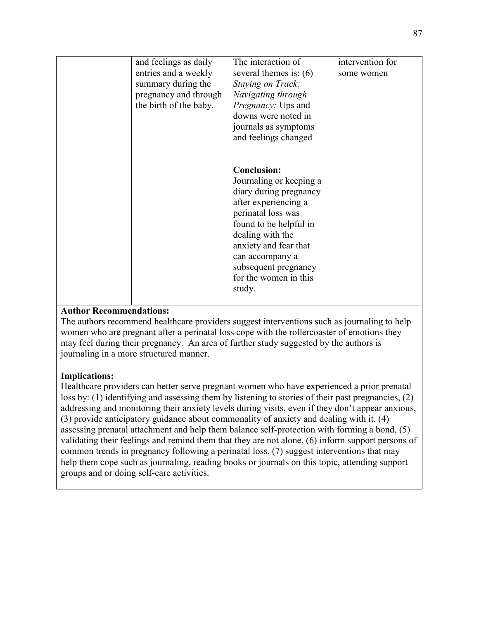| and feelings as daily  | The interaction of       | intervention for |
|------------------------|--------------------------|------------------|
| entries and a weekly   | several themes is: $(6)$ | some women       |
| summary during the     | Staying on Track:        |                  |
| pregnancy and through  | Navigating through       |                  |
| the birth of the baby. | Pregnancy: Ups and       |                  |
|                        | downs were noted in      |                  |
|                        | journals as symptoms     |                  |
|                        | and feelings changed     |                  |
|                        |                          |                  |
|                        |                          |                  |
|                        | <b>Conclusion:</b>       |                  |
|                        | Journaling or keeping a  |                  |
|                        | diary during pregnancy   |                  |
|                        | after experiencing a     |                  |
|                        |                          |                  |
|                        | perinatal loss was       |                  |
|                        | found to be helpful in   |                  |
|                        | dealing with the         |                  |
|                        | anxiety and fear that    |                  |
|                        | can accompany a          |                  |
|                        | subsequent pregnancy     |                  |
|                        | for the women in this    |                  |
|                        | study.                   |                  |
|                        |                          |                  |

The authors recommend healthcare providers suggest interventions such as journaling to help women who are pregnant after a perinatal loss cope with the rollercoaster of emotions they may feel during their pregnancy. An area of further study suggested by the authors is journaling in a more structured manner.

#### **Implications:**

Healthcare providers can better serve pregnant women who have experienced a prior prenatal loss by: (1) identifying and assessing them by listening to stories of their past pregnancies, (2) addressing and monitoring their anxiety levels during visits, even if they don't appear anxious, (3) provide anticipatory guidance about commonality of anxiety and dealing with it, (4) assessing prenatal attachment and help them balance self-protection with forming a bond, (5) validating their feelings and remind them that they are not alone, (6) inform support persons of common trends in pregnancy following a perinatal loss, (7) suggest interventions that may help them cope such as journaling, reading books or journals on this topic, attending support groups and or doing self-care activities.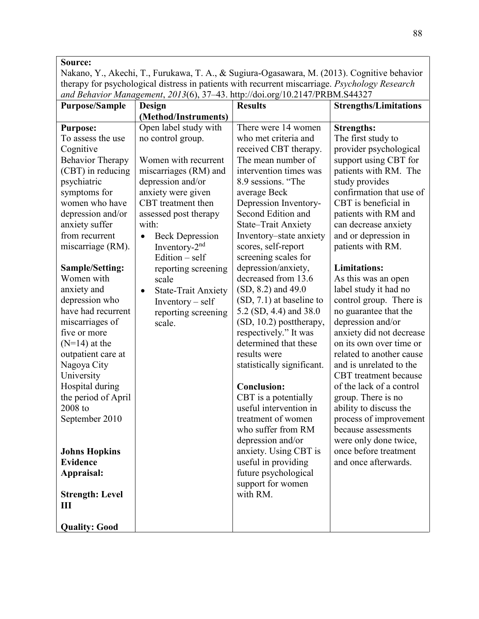Nakano, Y., Akechi, T., Furukawa, T. A., & Sugiura-Ogasawara, M. (2013). Cognitive behavior therapy for psychological distress in patients with recurrent miscarriage. *Psychology Research and Behavior Management*, *2013*(6), 37–43. http://doi.org/10.2147/PRBM.S44327

| <b>Purpose/Sample</b>   | Design                                  | <b>Results</b>             | <b>Strengths/Limitations</b> |
|-------------------------|-----------------------------------------|----------------------------|------------------------------|
|                         | (Method/Instruments)                    |                            |                              |
| <b>Purpose:</b>         | Open label study with                   | There were 14 women        | <b>Strengths:</b>            |
| To assess the use       | no control group.                       | who met criteria and       | The first study to           |
| Cognitive               |                                         | received CBT therapy.      | provider psychological       |
| <b>Behavior Therapy</b> | Women with recurrent                    | The mean number of         | support using CBT for        |
| (CBT) in reducing       | miscarriages (RM) and                   | intervention times was     | patients with RM. The        |
| psychiatric             | depression and/or                       | 8.9 sessions. "The         | study provides               |
| symptoms for            | anxiety were given                      | average Beck               | confirmation that use of     |
| women who have          | CBT treatment then                      | Depression Inventory-      | CBT is beneficial in         |
| depression and/or       | assessed post therapy                   | Second Edition and         | patients with RM and         |
| anxiety suffer          | with:                                   | State-Trait Anxiety        | can decrease anxiety         |
| from recurrent          | <b>Beck Depression</b><br>$\bullet$     | Inventory-state anxiety    | and or depression in         |
| miscarriage (RM).       | Inventory- $2nd$                        | scores, self-report        | patients with RM.            |
|                         | Edition $-$ self                        | screening scales for       |                              |
| <b>Sample/Setting:</b>  | reporting screening                     | depression/anxiety,        | <b>Limitations:</b>          |
| Women with              | scale                                   | decreased from 13.6        | As this was an open          |
| anxiety and             | <b>State-Trait Anxiety</b><br>$\bullet$ | $(SD, 8.2)$ and 49.0       | label study it had no        |
| depression who          | Inventory – self                        | $(SD, 7.1)$ at baseline to | control group. There is      |
| have had recurrent      | reporting screening                     | 5.2 (SD, 4.4) and 38.0     | no guarantee that the        |
| miscarriages of         | scale.                                  | (SD, 10.2) posttherapy,    | depression and/or            |
| five or more            |                                         | respectively." It was      | anxiety did not decrease     |
| $(N=14)$ at the         |                                         | determined that these      | on its own over time or      |
| outpatient care at      |                                         | results were               | related to another cause     |
| Nagoya City             |                                         | statistically significant. | and is unrelated to the      |
| University              |                                         |                            | CBT treatment because        |
| Hospital during         |                                         | <b>Conclusion:</b>         | of the lack of a control     |
| the period of April     |                                         | CBT is a potentially       | group. There is no           |
| 2008 to                 |                                         | useful intervention in     | ability to discuss the       |
| September 2010          |                                         | treatment of women         | process of improvement       |
|                         |                                         | who suffer from RM         | because assessments          |
|                         |                                         | depression and/or          | were only done twice,        |
| <b>Johns Hopkins</b>    |                                         | anxiety. Using CBT is      | once before treatment        |
| <b>Evidence</b>         |                                         | useful in providing        | and once afterwards.         |
| Appraisal:              |                                         | future psychological       |                              |
|                         |                                         | support for women          |                              |
| <b>Strength: Level</b>  |                                         | with RM.                   |                              |
| $\mathbf{III}$          |                                         |                            |                              |
|                         |                                         |                            |                              |
| <b>Quality: Good</b>    |                                         |                            |                              |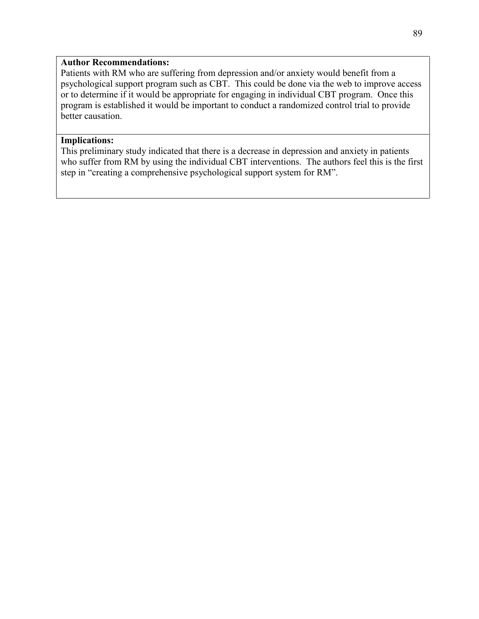Patients with RM who are suffering from depression and/or anxiety would benefit from a psychological support program such as CBT. This could be done via the web to improve access or to determine if it would be appropriate for engaging in individual CBT program. Once this program is established it would be important to conduct a randomized control trial to provide better causation.

#### **Implications:**

This preliminary study indicated that there is a decrease in depression and anxiety in patients who suffer from RM by using the individual CBT interventions. The authors feel this is the first step in "creating a comprehensive psychological support system for RM".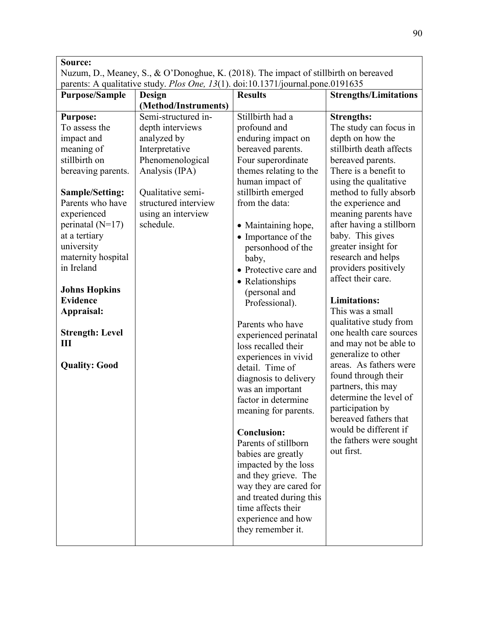Nuzum, D., Meaney, S., & O'Donoghue, K. (2018). The impact of stillbirth on bereaved parents: A qualitative study. *Plos One, 13*(1). doi:10.1371/journal.pone.0191635

| <b>Purpose/Sample</b>  | Design               | <b>Results</b>          | <b>Strengths/Limitations</b>                   |
|------------------------|----------------------|-------------------------|------------------------------------------------|
|                        | (Method/Instruments) |                         |                                                |
| <b>Purpose:</b>        | Semi-structured in-  | Stillbirth had a        | <b>Strengths:</b>                              |
| To assess the          | depth interviews     | profound and            | The study can focus in                         |
| impact and             | analyzed by          | enduring impact on      | depth on how the                               |
| meaning of             | Interpretative       | bereaved parents.       | stillbirth death affects                       |
| stillbirth on          | Phenomenological     | Four superordinate      | bereaved parents.                              |
| bereaving parents.     | Analysis (IPA)       | themes relating to the  | There is a benefit to                          |
|                        |                      | human impact of         | using the qualitative                          |
| <b>Sample/Setting:</b> | Qualitative semi-    | stillbirth emerged      | method to fully absorb                         |
| Parents who have       | structured interview | from the data:          | the experience and                             |
| experienced            | using an interview   |                         | meaning parents have                           |
| perinatal $(N=17)$     | schedule.            | • Maintaining hope,     | after having a stillborn                       |
| at a tertiary          |                      | • Importance of the     | baby. This gives                               |
| university             |                      | personhood of the       | greater insight for                            |
| maternity hospital     |                      | baby,                   | research and helps                             |
| in Ireland             |                      | • Protective care and   | providers positively                           |
|                        |                      | • Relationships         | affect their care.                             |
| <b>Johns Hopkins</b>   |                      | (personal and           |                                                |
| <b>Evidence</b>        |                      | Professional).          | <b>Limitations:</b>                            |
| Appraisal:             |                      |                         | This was a small                               |
|                        |                      | Parents who have        | qualitative study from                         |
| <b>Strength: Level</b> |                      | experienced perinatal   | one health care sources                        |
| Ш                      |                      | loss recalled their     | and may not be able to                         |
|                        |                      | experiences in vivid    | generalize to other                            |
| <b>Quality: Good</b>   |                      | detail. Time of         | areas. As fathers were                         |
|                        |                      | diagnosis to delivery   | found through their                            |
|                        |                      | was an important        | partners, this may                             |
|                        |                      | factor in determine     | determine the level of                         |
|                        |                      | meaning for parents.    | participation by                               |
|                        |                      |                         | bereaved fathers that<br>would be different if |
|                        |                      | <b>Conclusion:</b>      |                                                |
|                        |                      | Parents of stillborn    | the fathers were sought<br>out first.          |
|                        |                      | babies are greatly      |                                                |
|                        |                      | impacted by the loss    |                                                |
|                        |                      | and they grieve. The    |                                                |
|                        |                      | way they are cared for  |                                                |
|                        |                      | and treated during this |                                                |
|                        |                      | time affects their      |                                                |
|                        |                      | experience and how      |                                                |
|                        |                      | they remember it.       |                                                |
|                        |                      |                         |                                                |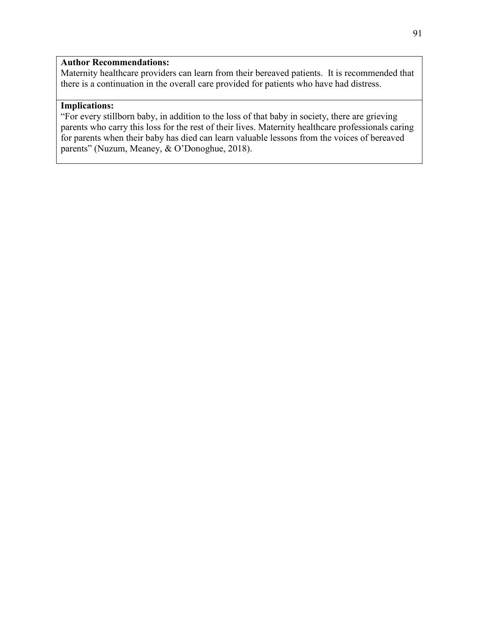Maternity healthcare providers can learn from their bereaved patients. It is recommended that there is a continuation in the overall care provided for patients who have had distress.

# **Implications:**

"For every stillborn baby, in addition to the loss of that baby in society, there are grieving parents who carry this loss for the rest of their lives. Maternity healthcare professionals caring for parents when their baby has died can learn valuable lessons from the voices of bereaved parents" (Nuzum, Meaney, & O'Donoghue, 2018).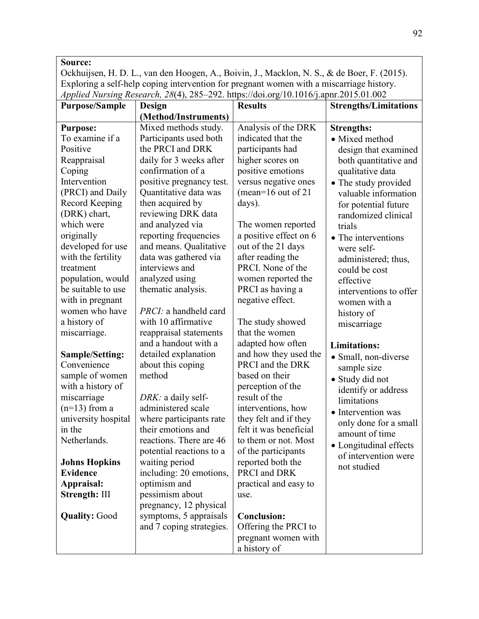Ockhuijsen, H. D. L., van den Hoogen, A., Boivin, J., Macklon, N. S., & de Boer, F. (2015). Exploring a self-help coping intervention for pregnant women with a miscarriage history. *Applied Nursing Research, 28*(4), 285–292. https://doi.org/10.1016/j.apnr.2015.01.002

| <b>Purpose/Sample</b>  | Design                   | <b>Results</b>         | <b>Strengths/Limitations</b> |
|------------------------|--------------------------|------------------------|------------------------------|
|                        | (Method/Instruments)     |                        |                              |
| <b>Purpose:</b>        | Mixed methods study.     | Analysis of the DRK    | <b>Strengths:</b>            |
| To examine if a        | Participants used both   | indicated that the     | • Mixed method               |
| Positive               | the PRCI and DRK         | participants had       | design that examined         |
| Reappraisal            | daily for 3 weeks after  | higher scores on       | both quantitative and        |
| Coping                 | confirmation of a        | positive emotions      | qualitative data             |
| Intervention           | positive pregnancy test. | versus negative ones   | • The study provided         |
| (PRCI) and Daily       | Quantitative data was    | (mean= $16$ out of 21  | valuable information         |
| <b>Record Keeping</b>  | then acquired by         | days).                 | for potential future         |
| (DRK) chart,           | reviewing DRK data       |                        | randomized clinical          |
| which were             | and analyzed via         | The women reported     | trials                       |
| originally             | reporting frequencies    | a positive effect on 6 | • The interventions          |
| developed for use      | and means. Qualitative   | out of the 21 days     | were self-                   |
| with the fertility     | data was gathered via    | after reading the      | administered; thus,          |
| treatment              | interviews and           | PRCI. None of the      | could be cost                |
| population, would      | analyzed using           | women reported the     | effective                    |
| be suitable to use     | thematic analysis.       | PRCI as having a       | interventions to offer       |
| with in pregnant       |                          | negative effect.       | women with a                 |
| women who have         | PRCI: a handheld card    |                        | history of                   |
| a history of           | with 10 affirmative      | The study showed       | miscarriage                  |
| miscarriage.           | reappraisal statements   | that the women         |                              |
|                        | and a handout with a     | adapted how often      | <b>Limitations:</b>          |
| <b>Sample/Setting:</b> | detailed explanation     | and how they used the  | • Small, non-diverse         |
| Convenience            | about this coping        | PRCI and the DRK       | sample size                  |
| sample of women        | method                   | based on their         | · Study did not              |
| with a history of      |                          | perception of the      | identify or address          |
| miscarriage            | DRK: a daily self-       | result of the          | limitations                  |
| $(n=13)$ from a        | administered scale       | interventions, how     | • Intervention was           |
| university hospital    | where participants rate  | they felt and if they  | only done for a small        |
| in the                 | their emotions and       | felt it was beneficial | amount of time               |
| Netherlands.           | reactions. There are 46  | to them or not. Most   | • Longitudinal effects       |
|                        | potential reactions to a | of the participants    | of intervention were         |
| <b>Johns Hopkins</b>   | waiting period           | reported both the      | not studied                  |
| <b>Evidence</b>        | including: 20 emotions,  | PRCI and DRK           |                              |
| Appraisal:             | optimism and             | practical and easy to  |                              |
| Strength: III          | pessimism about          | use.                   |                              |
|                        | pregnancy, 12 physical   |                        |                              |
| <b>Quality: Good</b>   | symptoms, 5 appraisals   | <b>Conclusion:</b>     |                              |
|                        | and 7 coping strategies. | Offering the PRCI to   |                              |
|                        |                          | pregnant women with    |                              |
|                        |                          | a history of           |                              |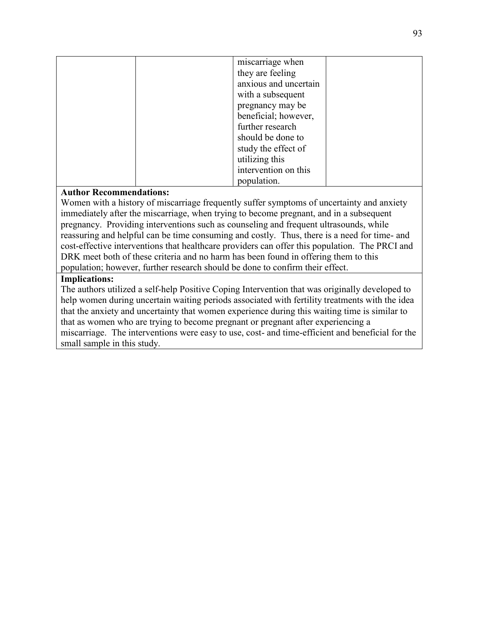| miscarriage when      |
|-----------------------|
| they are feeling      |
| anxious and uncertain |
| with a subsequent     |
| pregnancy may be      |
| beneficial; however,  |
| further research      |
| should be done to     |
| study the effect of   |
| utilizing this        |
| intervention on this  |
| population.           |

Women with a history of miscarriage frequently suffer symptoms of uncertainty and anxiety immediately after the miscarriage, when trying to become pregnant, and in a subsequent pregnancy. Providing interventions such as counseling and frequent ultrasounds, while reassuring and helpful can be time consuming and costly. Thus, there is a need for time- and cost-effective interventions that healthcare providers can offer this population. The PRCI and DRK meet both of these criteria and no harm has been found in offering them to this population; however, further research should be done to confirm their effect.

#### **Implications:**

The authors utilized a self-help Positive Coping Intervention that was originally developed to help women during uncertain waiting periods associated with fertility treatments with the idea that the anxiety and uncertainty that women experience during this waiting time is similar to that as women who are trying to become pregnant or pregnant after experiencing a miscarriage. The interventions were easy to use, cost- and time-efficient and beneficial for the small sample in this study.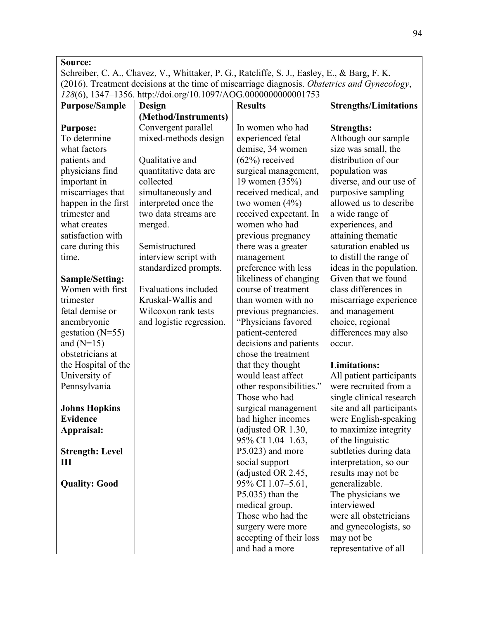Schreiber, C. A., Chavez, V., Whittaker, P. G., Ratcliffe, S. J., Easley, E., & Barg, F. K. (2016). Treatment decisions at the time of miscarriage diagnosis. *Obstetrics and Gynecology*, *128*(6), 1347–1356. http://doi.org/10.1097/AOG.0000000000001753

| <b>Purpose/Sample</b>  | Design                      | <b>Results</b>           | <b>Strengths/Limitations</b> |
|------------------------|-----------------------------|--------------------------|------------------------------|
|                        | (Method/Instruments)        |                          |                              |
| <b>Purpose:</b>        | Convergent parallel         | In women who had         | <b>Strengths:</b>            |
| To determine           | mixed-methods design        | experienced fetal        | Although our sample          |
| what factors           |                             | demise, 34 women         | size was small, the          |
| patients and           | Qualitative and             | $(62%)$ received         | distribution of our          |
| physicians find        | quantitative data are       | surgical management,     | population was               |
| important in           | collected                   | 19 women (35%)           | diverse, and our use of      |
| miscarriages that      | simultaneously and          | received medical, and    | purposive sampling           |
| happen in the first    | interpreted once the        | two women $(4\%)$        | allowed us to describe       |
| trimester and          | two data streams are        | received expectant. In   | a wide range of              |
| what creates           | merged.                     | women who had            | experiences, and             |
| satisfaction with      |                             | previous pregnancy       | attaining thematic           |
| care during this       | Semistructured              | there was a greater      | saturation enabled us        |
| time.                  | interview script with       | management               | to distill the range of      |
|                        | standardized prompts.       | preference with less     | ideas in the population.     |
| <b>Sample/Setting:</b> |                             | likeliness of changing   | Given that we found          |
| Women with first       | <b>Evaluations included</b> | course of treatment      | class differences in         |
| trimester              | Kruskal-Wallis and          | than women with no       | miscarriage experience       |
| fetal demise or        | Wilcoxon rank tests         | previous pregnancies.    | and management               |
| anembryonic            | and logistic regression.    | "Physicians favored      | choice, regional             |
| gestation $(N=55)$     |                             | patient-centered         | differences may also         |
| and $(N=15)$           |                             | decisions and patients   | occur.                       |
| obstetricians at       |                             | chose the treatment      |                              |
| the Hospital of the    |                             | that they thought        | <b>Limitations:</b>          |
| University of          |                             | would least affect       | All patient participants     |
| Pennsylvania           |                             | other responsibilities." | were recruited from a        |
|                        |                             | Those who had            | single clinical research     |
| <b>Johns Hopkins</b>   |                             | surgical management      | site and all participants    |
| <b>Evidence</b>        |                             | had higher incomes       | were English-speaking        |
| Appraisal:             |                             | (adjusted OR 1.30,       | to maximize integrity        |
|                        |                             | 95% CI 1.04-1.63,        | of the linguistic            |
| <b>Strength: Level</b> |                             | P5.023) and more         | subtleties during data       |
| Ш                      |                             | social support           | interpretation, so our       |
|                        |                             | (adjusted OR 2.45,       | results may not be           |
| <b>Quality: Good</b>   |                             | 95% CI 1.07-5.61,        | generalizable.               |
|                        |                             | $P5.035$ ) than the      | The physicians we            |
|                        |                             | medical group.           | interviewed                  |
|                        |                             | Those who had the        | were all obstetricians       |
|                        |                             | surgery were more        | and gynecologists, so        |
|                        |                             | accepting of their loss  | may not be                   |
|                        |                             | and had a more           | representative of all        |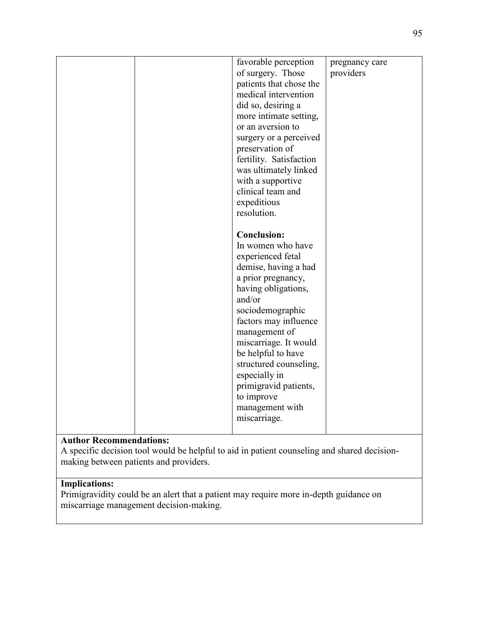|  | favorable perception<br>of surgery. Those<br>patients that chose the<br>medical intervention<br>did so, desiring a<br>more intimate setting,<br>or an aversion to<br>surgery or a perceived<br>preservation of<br>fertility. Satisfaction<br>was ultimately linked<br>with a supportive<br>clinical team and<br>expeditious<br>resolution.                                    | pregnancy care<br>providers |
|--|-------------------------------------------------------------------------------------------------------------------------------------------------------------------------------------------------------------------------------------------------------------------------------------------------------------------------------------------------------------------------------|-----------------------------|
|  | <b>Conclusion:</b><br>In women who have<br>experienced fetal<br>demise, having a had<br>a prior pregnancy,<br>having obligations,<br>and/or<br>sociodemographic<br>factors may influence<br>management of<br>miscarriage. It would<br>be helpful to have<br>structured counseling,<br>especially in<br>primigravid patients,<br>to improve<br>management with<br>miscarriage. |                             |

A specific decision tool would be helpful to aid in patient counseling and shared decisionmaking between patients and providers.

# **Implications:**

Primigravidity could be an alert that a patient may require more in-depth guidance on miscarriage management decision-making.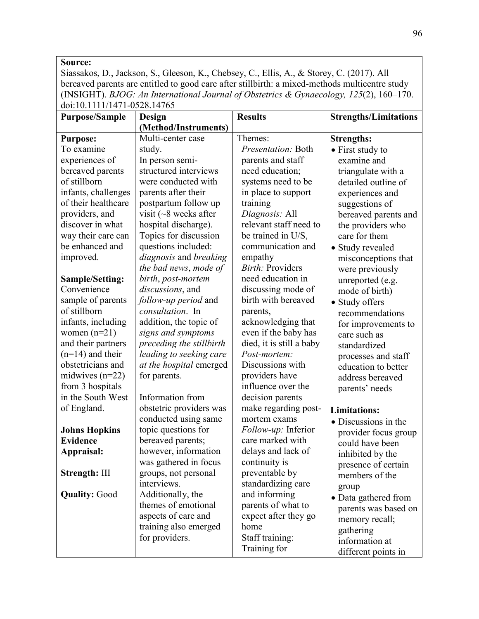Siassakos, D., Jackson, S., Gleeson, K., Chebsey, C., Ellis, A., & Storey, C. (2017). All bereaved parents are entitled to good care after stillbirth: a mixed-methods multicentre study (INSIGHT). *BJOG: An International Journal of Obstetrics & Gynaecology, 125*(2), 160–170. doi:10.1111/1471-0528.14765

| <b>Purpose/Sample</b>  | <b>Design</b>                | <b>Results</b>           | <b>Strengths/Limitations</b> |
|------------------------|------------------------------|--------------------------|------------------------------|
|                        | (Method/Instruments)         |                          |                              |
| <b>Purpose:</b>        | Multi-center case            | Themes:                  | <b>Strengths:</b>            |
| To examine             | study.                       | Presentation: Both       | • First study to             |
| experiences of         | In person semi-              | parents and staff        | examine and                  |
| bereaved parents       | structured interviews        | need education;          | triangulate with a           |
| of stillborn           | were conducted with          | systems need to be       | detailed outline of          |
| infants, challenges    | parents after their          | in place to support      | experiences and              |
| of their healthcare    | postpartum follow up         | training                 | suggestions of               |
| providers, and         | visit ( $\sim$ 8 weeks after | Diagnosis: All           | bereaved parents and         |
| discover in what       | hospital discharge).         | relevant staff need to   | the providers who            |
| way their care can     | Topics for discussion        | be trained in U/S,       | care for them                |
| be enhanced and        | questions included:          | communication and        | • Study revealed             |
| improved.              | diagnosis and breaking       | empathy                  | misconceptions that          |
|                        | the bad news, mode of        | <b>Birth: Providers</b>  | were previously              |
| <b>Sample/Setting:</b> | birth, post-mortem           | need education in        | unreported (e.g.             |
| Convenience            | discussions, and             | discussing mode of       | mode of birth)               |
| sample of parents      | follow-up period and         | birth with bereaved      | • Study offers               |
| of stillborn           | consultation. In             | parents,                 | recommendations              |
| infants, including     | addition, the topic of       | acknowledging that       | for improvements to          |
| women $(n=21)$         | signs and symptoms           | even if the baby has     | care such as                 |
| and their partners     | preceding the stillbirth     | died, it is still a baby | standardized                 |
| $(n=14)$ and their     | leading to seeking care      | Post-mortem:             | processes and staff          |
| obstetricians and      | at the hospital emerged      | Discussions with         | education to better          |
| midwives $(n=22)$      | for parents.                 | providers have           | address bereaved             |
| from 3 hospitals       |                              | influence over the       | parents' needs               |
| in the South West      | Information from             | decision parents         |                              |
| of England.            | obstetric providers was      | make regarding post-     | <b>Limitations:</b>          |
|                        | conducted using same         | mortem exams             | • Discussions in the         |
| <b>Johns Hopkins</b>   | topic questions for          | Follow-up: Inferior      | provider focus group         |
| <b>Evidence</b>        | bereaved parents;            | care marked with         | could have been              |
| Appraisal:             | however, information         | delays and lack of       | inhibited by the             |
|                        | was gathered in focus        | continuity is            | presence of certain          |
| Strength: III          | groups, not personal         | preventable by           | members of the               |
|                        | interviews.                  | standardizing care       | group                        |
| <b>Quality: Good</b>   | Additionally, the            | and informing            | • Data gathered from         |
|                        | themes of emotional          | parents of what to       | parents was based on         |
|                        | aspects of care and          | expect after they go     | memory recall;               |
|                        | training also emerged        | home                     | gathering                    |
|                        | for providers.               | Staff training:          | information at               |
|                        |                              | Training for             | different points in          |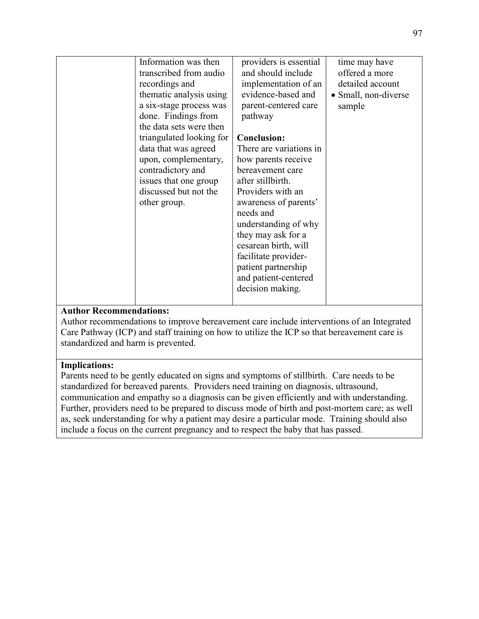| Information was then<br>transcribed from audio<br>recordings and<br>thematic analysis using<br>a six-stage process was<br>done. Findings from<br>the data sets were then<br>triangulated looking for<br>data that was agreed<br>upon, complementary,<br>contradictory and<br>issues that one group<br>discussed but not the<br>other group. | providers is essential<br>and should include<br>implementation of an<br>evidence-based and<br>parent-centered care<br>pathway<br><b>Conclusion:</b><br>There are variations in<br>how parents receive<br>bereavement care<br>after stillbirth.<br>Providers with an<br>awareness of parents'<br>needs and<br>understanding of why<br>they may ask for a<br>cesarean birth, will<br>facilitate provider-<br>patient partnership<br>and patient-centered<br>decision making. | time may have<br>offered a more<br>detailed account<br>• Small, non-diverse<br>sample |
|---------------------------------------------------------------------------------------------------------------------------------------------------------------------------------------------------------------------------------------------------------------------------------------------------------------------------------------------|----------------------------------------------------------------------------------------------------------------------------------------------------------------------------------------------------------------------------------------------------------------------------------------------------------------------------------------------------------------------------------------------------------------------------------------------------------------------------|---------------------------------------------------------------------------------------|
|                                                                                                                                                                                                                                                                                                                                             |                                                                                                                                                                                                                                                                                                                                                                                                                                                                            |                                                                                       |

Author recommendations to improve bereavement care include interventions of an Integrated Care Pathway (ICP) and staff training on how to utilize the ICP so that bereavement care is standardized and harm is prevented.

## **Implications:**

Parents need to be gently educated on signs and symptoms of stillbirth. Care needs to be standardized for bereaved parents. Providers need training on diagnosis, ultrasound, communication and empathy so a diagnosis can be given efficiently and with understanding. Further, providers need to be prepared to discuss mode of birth and post-mortem care; as well as, seek understanding for why a patient may desire a particular mode. Training should also include a focus on the current pregnancy and to respect the baby that has passed.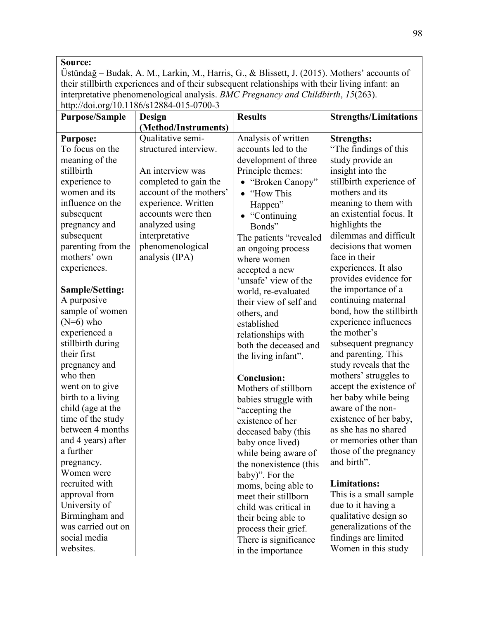Üstündağ – Budak, A. M., Larkin, M., Harris, G., & Blissett, J. (2015). Mothers' accounts of their stillbirth experiences and of their subsequent relationships with their living infant: an interpretative phenomenological analysis. *BMC Pregnancy and Childbirth*, *15*(263).  $\ln{ \frac{1}{100}}$  http://doi.org/10.1186/s12884-015-0700-3

| . <u>.</u><br><b>Purpose/Sample</b> | Design                  | <b>Results</b>          | <b>Strengths/Limitations</b> |
|-------------------------------------|-------------------------|-------------------------|------------------------------|
|                                     | (Method/Instruments)    |                         |                              |
| <b>Purpose:</b>                     | Qualitative semi-       | Analysis of written     | <b>Strengths:</b>            |
| To focus on the                     | structured interview.   | accounts led to the     | "The findings of this"       |
| meaning of the                      |                         | development of three    | study provide an             |
| stillbirth                          | An interview was        | Principle themes:       | insight into the             |
| experience to                       | completed to gain the   | • "Broken Canopy"       | stillbirth experience of     |
| women and its                       | account of the mothers' | "How This               | mothers and its              |
| influence on the                    | experience. Written     | Happen"                 | meaning to them with         |
| subsequent                          | accounts were then      | $\bullet$ "Continuing"  | an existential focus. It     |
| pregnancy and                       | analyzed using          | Bonds"                  | highlights the               |
| subsequent                          | interpretative          | The patients "revealed" | dilemmas and difficult       |
| parenting from the                  | phenomenological        | an ongoing process      | decisions that women         |
| mothers' own                        | analysis (IPA)          | where women             | face in their                |
| experiences.                        |                         | accepted a new          | experiences. It also         |
|                                     |                         | 'unsafe' view of the    | provides evidence for        |
| <b>Sample/Setting:</b>              |                         | world, re-evaluated     | the importance of a          |
| A purposive                         |                         | their view of self and  | continuing maternal          |
| sample of women                     |                         | others, and             | bond, how the stillbirth     |
| $(N=6)$ who                         |                         | established             | experience influences        |
| experienced a                       |                         | relationships with      | the mother's                 |
| stillbirth during                   |                         | both the deceased and   | subsequent pregnancy         |
| their first                         |                         | the living infant".     | and parenting. This          |
| pregnancy and                       |                         |                         | study reveals that the       |
| who then                            |                         | <b>Conclusion:</b>      | mothers' struggles to        |
| went on to give                     |                         | Mothers of stillborn    | accept the existence of      |
| birth to a living                   |                         | babies struggle with    | her baby while being         |
| child (age at the                   |                         | "accepting the          | aware of the non-            |
| time of the study                   |                         | existence of her        | existence of her baby,       |
| between 4 months                    |                         | deceased baby (this     | as she has no shared         |
| and 4 years) after                  |                         | baby once lived)        | or memories other than       |
| a further                           |                         | while being aware of    | those of the pregnancy       |
| pregnancy.                          |                         | the nonexistence (this  | and birth".                  |
| Women were                          |                         | baby)". For the         |                              |
| recruited with                      |                         | moms, being able to     | <b>Limitations:</b>          |
| approval from                       |                         | meet their stillborn    | This is a small sample       |
| University of                       |                         | child was critical in   | due to it having a           |
| Birmingham and                      |                         | their being able to     | qualitative design so        |
| was carried out on                  |                         | process their grief.    | generalizations of the       |
| social media                        |                         | There is significance   | findings are limited         |
| websites.                           |                         | in the importance       | Women in this study          |